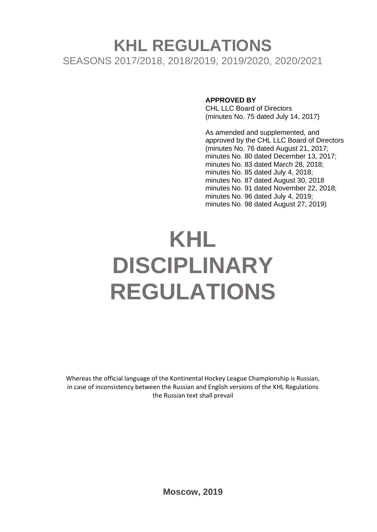# **KHL REGULATIONS** SEASONS 2017/2018, 2018/2019, 2019/2020, 2020/2021

#### **APPROVED BY**

CHL LLC Board of Directors (minutes No. 75 dated July 14, 2017)

As amended and supplemented, and approved by the CHL LLC Board of Directors (minutes No. 76 dated August 21, 2017; minutes No. 80 dated December 13, 2017; minutes No. 83 dated March 28, 2018; minutes No. 85 dated July 4, 2018; minutes No. 87 dated August 30, 2018 minutes No. 91 dated November 22, 2018; minutes No. 96 dated July 4, 2019; minutes No. 98 dated August 27, 2019)

# **KHL DISCIPLINARY REGULATIONS**

Whereas the official language of the Kontinental Hockey League Championship is Russian, in case of inconsistency between the Russian and English versions of the KHL Regulations the Russian text shall prevail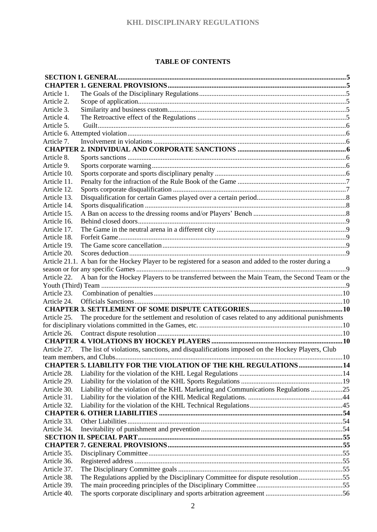#### **TABLE OF CONTENTS**

| Article 1.  |                                                                                                          |  |
|-------------|----------------------------------------------------------------------------------------------------------|--|
| Article 2.  |                                                                                                          |  |
| Article 3.  |                                                                                                          |  |
| Article 4.  |                                                                                                          |  |
| Article 5.  |                                                                                                          |  |
|             |                                                                                                          |  |
| Article 7.  |                                                                                                          |  |
|             |                                                                                                          |  |
| Article 8.  |                                                                                                          |  |
| Article 9.  |                                                                                                          |  |
| Article 10. |                                                                                                          |  |
| Article 11. |                                                                                                          |  |
| Article 12. |                                                                                                          |  |
| Article 13. |                                                                                                          |  |
| Article 14. |                                                                                                          |  |
| Article 15. |                                                                                                          |  |
| Article 16. |                                                                                                          |  |
| Article 17. |                                                                                                          |  |
| Article 18. |                                                                                                          |  |
| Article 19. |                                                                                                          |  |
| Article 20. |                                                                                                          |  |
|             | Article 21.1. A ban for the Hockey Player to be registered for a season and added to the roster during a |  |
|             |                                                                                                          |  |
| Article 22. | A ban for the Hockey Players to be transferred between the Main Team, the Second Team or the             |  |
|             |                                                                                                          |  |
| Article 23. |                                                                                                          |  |
| Article 24. |                                                                                                          |  |
|             |                                                                                                          |  |
| Article 25. | The procedure for the settlement and resolution of cases related to any additional punishments           |  |
|             |                                                                                                          |  |
| Article 26. |                                                                                                          |  |
|             |                                                                                                          |  |
|             | Article 27. The list of violations, sanctions, and disqualifications imposed on the Hockey Players, Club |  |
|             |                                                                                                          |  |
|             | <b>CHAPTER 5. LIABILITY FOR THE VIOLATION OF THE KHL REGULATIONS  14</b>                                 |  |
| Article 28. |                                                                                                          |  |
| Article 29. |                                                                                                          |  |
| Article 30. | Liability of the violation of the KHL Marketing and Communications Regulations 25                        |  |
| Article 31. |                                                                                                          |  |
| Article 32. |                                                                                                          |  |
|             |                                                                                                          |  |
| Article 33. |                                                                                                          |  |
| Article 34. |                                                                                                          |  |
|             |                                                                                                          |  |
|             |                                                                                                          |  |
| Article 35. |                                                                                                          |  |
| Article 36. |                                                                                                          |  |
| Article 37. |                                                                                                          |  |
| Article 38. | The Regulations applied by the Disciplinary Committee for dispute resolution55                           |  |
| Article 39. |                                                                                                          |  |
| Article 40. |                                                                                                          |  |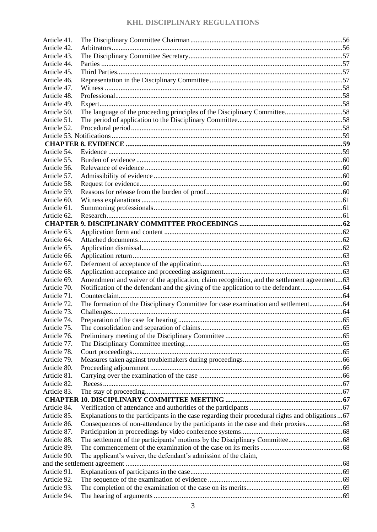| Article 41. |                                                                                                  |  |
|-------------|--------------------------------------------------------------------------------------------------|--|
| Article 42. |                                                                                                  |  |
| Article 43. |                                                                                                  |  |
| Article 44. |                                                                                                  |  |
| Article 45. |                                                                                                  |  |
| Article 46. |                                                                                                  |  |
| Article 47. |                                                                                                  |  |
| Article 48. |                                                                                                  |  |
| Article 49. |                                                                                                  |  |
| Article 50. | The language of the proceeding principles of the Disciplinary Committee58                        |  |
| Article 51. |                                                                                                  |  |
| Article 52. |                                                                                                  |  |
|             |                                                                                                  |  |
|             |                                                                                                  |  |
| Article 54. |                                                                                                  |  |
| Article 55. |                                                                                                  |  |
| Article 56. |                                                                                                  |  |
| Article 57. |                                                                                                  |  |
| Article 58. |                                                                                                  |  |
| Article 59. |                                                                                                  |  |
| Article 60. |                                                                                                  |  |
| Article 61. |                                                                                                  |  |
| Article 62. |                                                                                                  |  |
|             |                                                                                                  |  |
| Article 63. |                                                                                                  |  |
| Article 64. |                                                                                                  |  |
| Article 65. |                                                                                                  |  |
| Article 66. |                                                                                                  |  |
| Article 67. |                                                                                                  |  |
| Article 68. |                                                                                                  |  |
| Article 69. | Amendment and waiver of the application, claim recognition, and the settlement agreement63       |  |
| Article 70. |                                                                                                  |  |
| Article 71. |                                                                                                  |  |
| Article 72. |                                                                                                  |  |
| Article 73. |                                                                                                  |  |
| Article 74. |                                                                                                  |  |
| Article 75. |                                                                                                  |  |
| Article 76. |                                                                                                  |  |
| Article 77. |                                                                                                  |  |
| Article 78. |                                                                                                  |  |
| Article 79. |                                                                                                  |  |
| Article 80. |                                                                                                  |  |
| Article 81. |                                                                                                  |  |
| Article 82. |                                                                                                  |  |
| Article 83. |                                                                                                  |  |
|             |                                                                                                  |  |
| Article 84. |                                                                                                  |  |
| Article 85. | Explanations to the participants in the case regarding their procedural rights and obligations67 |  |
| Article 86. |                                                                                                  |  |
| Article 87. |                                                                                                  |  |
| Article 88. |                                                                                                  |  |
| Article 89. |                                                                                                  |  |
| Article 90. | The applicant's waiver, the defendant's admission of the claim,                                  |  |
|             |                                                                                                  |  |
| Article 91. |                                                                                                  |  |
| Article 92. |                                                                                                  |  |
| Article 93. |                                                                                                  |  |
| Article 94. |                                                                                                  |  |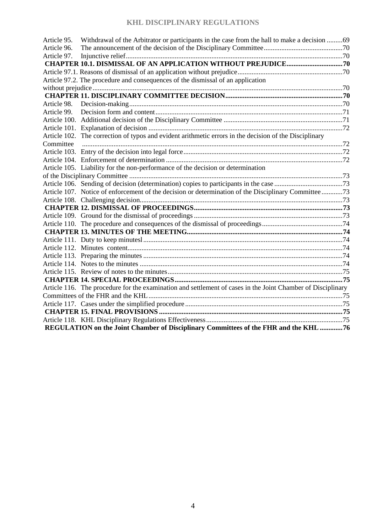| Article 95. | Withdrawal of the Arbitrator or participants in the case from the hall to make a decision 69                |  |
|-------------|-------------------------------------------------------------------------------------------------------------|--|
| Article 96. |                                                                                                             |  |
| Article 97. |                                                                                                             |  |
|             |                                                                                                             |  |
|             |                                                                                                             |  |
|             | Article 97.2. The procedure and consequences of the dismissal of an application                             |  |
|             |                                                                                                             |  |
|             |                                                                                                             |  |
| Article 98. |                                                                                                             |  |
| Article 99. |                                                                                                             |  |
|             |                                                                                                             |  |
|             |                                                                                                             |  |
|             | Article 102. The correction of typos and evident arithmetic errors in the decision of the Disciplinary      |  |
| Committee   |                                                                                                             |  |
|             |                                                                                                             |  |
|             |                                                                                                             |  |
|             | Article 105. Liability for the non-performance of the decision or determination                             |  |
|             |                                                                                                             |  |
|             |                                                                                                             |  |
|             | Article 107. Notice of enforcement of the decision or determination of the Disciplinary Committee 73        |  |
|             |                                                                                                             |  |
|             |                                                                                                             |  |
|             |                                                                                                             |  |
|             |                                                                                                             |  |
|             |                                                                                                             |  |
|             |                                                                                                             |  |
|             |                                                                                                             |  |
|             |                                                                                                             |  |
|             |                                                                                                             |  |
|             |                                                                                                             |  |
|             |                                                                                                             |  |
|             | Article 116. The procedure for the examination and settlement of cases in the Joint Chamber of Disciplinary |  |
|             |                                                                                                             |  |
|             |                                                                                                             |  |
|             |                                                                                                             |  |
|             |                                                                                                             |  |
|             | REGULATION on the Joint Chamber of Disciplinary Committees of the FHR and the KHL 76                        |  |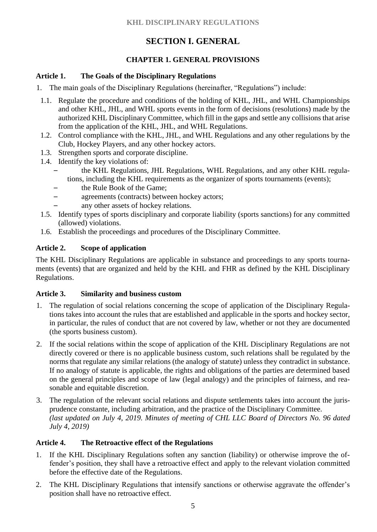# **SECTION I. GENERAL**

# **CHAPTER 1. GENERAL PROVISIONS**

#### <span id="page-4-2"></span><span id="page-4-1"></span><span id="page-4-0"></span>**Article 1. The Goals of the Disciplinary Regulations**

- 1. The main goals of the Disciplinary Regulations (hereinafter, "Regulations") include:
- 1.1. Regulate the procedure and conditions of the holding of KHL, JHL, and WHL Championships and other KHL, JHL, and WHL sports events in the form of decisions (resolutions) made by the authorized KHL Disciplinary Committee, which fill in the gaps and settle any collisions that arise from the application of the KHL, JHL, and WHL Regulations.
- 1.2. Control compliance with the KHL, JHL, and WHL Regulations and any other regulations by the Club, Hockey Players, and any other hockey actors.
- 1.3. Strengthen sports and corporate discipline.
- 1.4. Identify the key violations of:
	- the KHL Regulations, JHL Regulations, WHL Regulations, and any other KHL regulations, including the KHL requirements as the organizer of sports tournaments (events);
	- the Rule Book of the Game;
	- agreements (contracts) between hockey actors;
	- any other assets of hockey relations.
- 1.5. Identify types of sports disciplinary and corporate liability (sports sanctions) for any committed (allowed) violations.
- 1.6. Establish the proceedings and procedures of the Disciplinary Committee.

## <span id="page-4-3"></span>**Article 2. Scope of application**

The KHL Disciplinary Regulations are applicable in substance and proceedings to any sports tournaments (events) that are organized and held by the KHL and FHR as defined by the KHL Disciplinary Regulations.

#### <span id="page-4-4"></span>**Article 3. Similarity and business custom**

- 1. The regulation of social relations concerning the scope of application of the Disciplinary Regulations takes into account the rules that are established and applicable in the sports and hockey sector, in particular, the rules of conduct that are not covered by law, whether or not they are documented (the sports business custom).
- 2. If the social relations within the scope of application of the KHL Disciplinary Regulations are not directly covered or there is no applicable business custom, such relations shall be regulated by the norms that regulate any similar relations (the analogy of statute) unless they contradict in substance. If no analogy of statute is applicable, the rights and obligations of the parties are determined based on the general principles and scope of law (legal analogy) and the principles of fairness, and reasonable and equitable discretion.
- 3. The regulation of the relevant social relations and dispute settlements takes into account the jurisprudence constante, including arbitration, and the practice of the Disciplinary Committee. *(last updated on July 4, 2019. Minutes of meeting of CHL LLC Board of Directors No. 96 dated July 4, 2019)*

## <span id="page-4-5"></span>**Article 4. The Retroactive effect of the Regulations**

- 1. If the KHL Disciplinary Regulations soften any sanction (liability) or otherwise improve the offender's position, they shall have a retroactive effect and apply to the relevant violation committed before the effective date of the Regulations.
- 2. The KHL Disciplinary Regulations that intensify sanctions or otherwise aggravate the offender's position shall have no retroactive effect.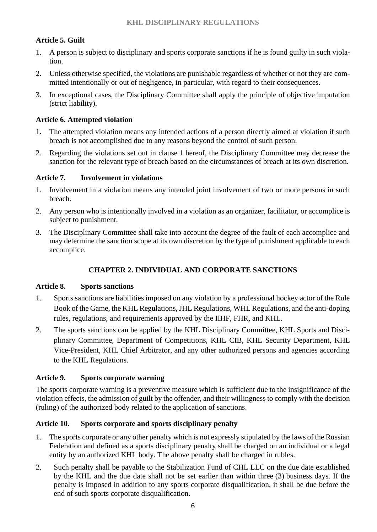# <span id="page-5-0"></span>**Article 5. Guilt**

- 1. A person is subject to disciplinary and sports corporate sanctions if he is found guilty in such violation.
- 2. Unless otherwise specified, the violations are punishable regardless of whether or not they are committed intentionally or out of negligence, in particular, with regard to their consequences.
- 3. In exceptional cases, the Disciplinary Committee shall apply the principle of objective imputation (strict liability).

#### <span id="page-5-1"></span>**Article 6. Attempted violation**

- 1. The attempted violation means any intended actions of a person directly aimed at violation if such breach is not accomplished due to any reasons beyond the control of such person.
- 2. Regarding the violations set out in clause 1 hereof, the Disciplinary Committee may decrease the sanction for the relevant type of breach based on the circumstances of breach at its own discretion.

#### <span id="page-5-2"></span>**Article 7. Involvement in violations**

- 1. Involvement in a violation means any intended joint involvement of two or more persons in such breach.
- 2. Any person who is intentionally involved in a violation as an organizer, facilitator, or accomplice is subject to punishment.
- <span id="page-5-3"></span>3. The Disciplinary Committee shall take into account the degree of the fault of each accomplice and may determine the sanction scope at its own discretion by the type of punishment applicable to each accomplice.

## **CHAPTER 2. INDIVIDUAL AND CORPORATE SANCTIONS**

#### <span id="page-5-4"></span>**Article 8. Sports sanctions**

- 1. Sports sanctions are liabilities imposed on any violation by a professional hockey actor of the Rule Book of the Game, the KHL Regulations, JHL Regulations, WHL Regulations, and the anti-doping rules, regulations, and requirements approved by the IIHF, FHR, and KHL.
- 2. The sports sanctions can be applied by the KHL Disciplinary Committee, KHL Sports and Disciplinary Committee, Department of Competitions, KHL CIB, KHL Security Department, KHL Vice-President, KHL Chief Arbitrator, and any other authorized persons and agencies according to the KHL Regulations.

#### <span id="page-5-5"></span>**Article 9. Sports corporate warning**

The sports corporate warning is a preventive measure which is sufficient due to the insignificance of the violation effects, the admission of guilt by the offender, and their willingness to comply with the decision (ruling) of the authorized body related to the application of sanctions.

#### <span id="page-5-6"></span>**Article 10. Sports corporate and sports disciplinary penalty**

- 1. The sports corporate or any other penalty which is not expressly stipulated by the laws of the Russian Federation and defined as a sports disciplinary penalty shall be charged on an individual or a legal entity by an authorized KHL body. The above penalty shall be charged in rubles.
- 2. Such penalty shall be payable to the Stabilization Fund of CHL LLC on the due date established by the KHL and the due date shall not be set earlier than within three (3) business days. If the penalty is imposed in addition to any sports corporate disqualification, it shall be due before the end of such sports corporate disqualification.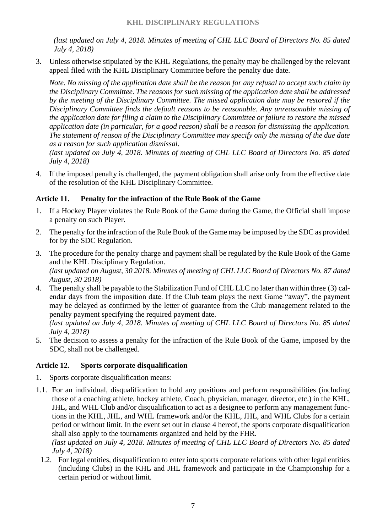*(last updated on July 4, 2018. Minutes of meeting of CHL LLC Board of Directors No. 85 dated July 4, 2018)*

3. Unless otherwise stipulated by the KHL Regulations, the penalty may be challenged by the relevant appeal filed with the KHL Disciplinary Committee before the penalty due date.

*Note. No missing of the application date shall be the reason for any refusal to accept such claim by the Disciplinary Committee. The reasons for such missing of the application date shall be addressed by the meeting of the Disciplinary Committee. The missed application date may be restored if the Disciplinary Committee finds the default reasons to be reasonable. Any unreasonable missing of the application date for filing a claim to the Disciplinary Committee or failure to restore the missed application date (in particular, for a good reason) shall be a reason for dismissing the application. The statement of reason of the Disciplinary Committee may specify only the missing of the due date as a reason for such application dismissal.*

*(last updated on July 4, 2018. Minutes of meeting of CHL LLC Board of Directors No. 85 dated July 4, 2018)*

4. If the imposed penalty is challenged, the payment obligation shall arise only from the effective date of the resolution of the KHL Disciplinary Committee.

#### <span id="page-6-0"></span>**Article 11. Penalty for the infraction of the Rule Book of the Game**

- 1. If a Hockey Player violates the Rule Book of the Game during the Game, the Official shall impose a penalty on such Player.
- 2. The penalty for the infraction of the Rule Book of the Game may be imposed by the SDC as provided for by the SDC Regulation.
- 3. The procedure for the penalty charge and payment shall be regulated by the Rule Book of the Game and the KHL Disciplinary Regulation. *(last updated on August, 30 2018. Minutes of meeting of CHL LLC Board of Directors No. 87 dated August, 30 2018)*
- 4. The penalty shall be payable to the Stabilization Fund of CHL LLC no later than within three (3) calendar days from the imposition date. If the Club team plays the next Game "away", the payment may be delayed as confirmed by the letter of guarantee from the Club management related to the penalty payment specifying the required payment date.

*(last updated on July 4, 2018. Minutes of meeting of CHL LLC Board of Directors No. 85 dated July 4, 2018)*

5. The decision to assess a penalty for the infraction of the Rule Book of the Game, imposed by the SDC, shall not be challenged.

#### <span id="page-6-1"></span>**Article 12. Sports corporate disqualification**

- 1. Sports corporate disqualification means:
- 1.1. For an individual, disqualification to hold any positions and perform responsibilities (including those of a coaching athlete, hockey athlete, Coach, physician, manager, director, etc.) in the KHL, JHL, and WHL Club and/or disqualification to act as a designee to perform any management functions in the KHL, JHL, and WHL framework and/or the KHL, JHL, and WHL Clubs for a certain period or without limit. In the event set out in clause 4 hereof, the sports corporate disqualification shall also apply to the tournaments organized and held by the FHR.

*(last updated on July 4, 2018. Minutes of meeting of CHL LLC Board of Directors No. 85 dated July 4, 2018)*

1.2. For legal entities, disqualification to enter into sports corporate relations with other legal entities (including Clubs) in the KHL and JHL framework and participate in the Championship for a certain period or without limit.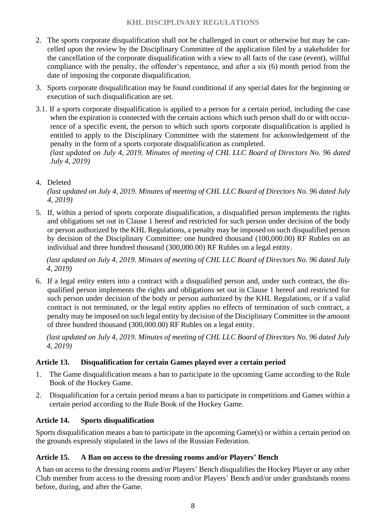- 2. The sports corporate disqualification shall not be challenged in court or otherwise but may be cancelled upon the review by the Disciplinary Committee of the application filed by a stakeholder for the cancellation of the corporate disqualification with a view to all facts of the case (event), willful compliance with the penalty, the offender's repentance, and after a six (6) month period from the date of imposing the corporate disqualification.
- 3. Sports corporate disqualification may be found conditional if any special dates for the beginning or execution of such disqualification are set.
- 3.1. If a sports corporate disqualification is applied to a person for a certain period, including the case when the expiration is connected with the certain actions which such person shall do or with occurrence of a specific event, the person to which such sports corporate disqualification is applied is entitled to apply to the Disciplinary Committee with the statement for acknowledgement of the penalty in the form of a sports corporate disqualification as completed. *(last updated on July 4, 2019. Minutes of meeting of CHL LLC Board of Directors No. 96 dated July 4, 2019)*

#### 4. Deleted

*(last updated on July 4, 2019. Minutes of meeting of CHL LLC Board of Directors No. 96 dated July 4, 2019)*

5. If, within a period of sports corporate disqualification, a disqualified person implements the rights and obligations set out in Clause 1 hereof and restricted for such person under decision of the body or person authorized by the KHL Regulations, a penalty may be imposed on such disqualified person by decision of the Disciplinary Committee: one hundred thousand (100,000.00) RF Rubles on an individual and three hundred thousand (300,000.00) RF Rubles on a legal entity.

*(last updated on July 4, 2019. Minutes of meeting of CHL LLC Board of Directors No. 96 dated July 4, 2019)*

6. If a legal entity enters into a contract with a disqualified person and, under such contract, the disqualified person implements the rights and obligations set out in Clause 1 hereof and restricted for such person under decision of the body or person authorized by the KHL Regulations, or if a valid contract is not terminated, or the legal entity applies no effects of termination of such contract, a penalty may be imposed on such legal entity by decision of the Disciplinary Committee in the amount of three hundred thousand (300,000.00) RF Rubles on a legal entity.

*(last updated on July 4, 2019. Minutes of meeting of CHL LLC Board of Directors No. 96 dated July 4, 2019)*

## <span id="page-7-0"></span>**Article 13. Disqualification for certain Games played over a certain period**

- 1. The Game disqualification means a ban to participate in the upcoming Game according to the Rule Book of the Hockey Game.
- 2. Disqualification for a certain period means a ban to participate in competitions and Games within a certain period according to the Rule Book of the Hockey Game.

## <span id="page-7-1"></span>**Article 14. Sports disqualification**

Sports disqualification means a ban to participate in the upcoming Game(s) or within a certain period on the grounds expressly stipulated in the laws of the Russian Federation.

#### <span id="page-7-2"></span>**Article 15. A Ban on access to the dressing rooms and/or Players' Bench**

A ban on access to the dressing rooms and/or Players' Bench disqualifies the Hockey Player or any other Club member from access to the dressing room and/or Players' Bench and/or under grandstands rooms before, during, and after the Game.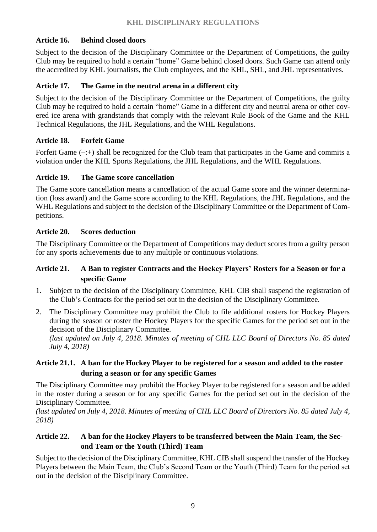## <span id="page-8-0"></span>**Article 16. Behind closed doors**

Subject to the decision of the Disciplinary Committee or the Department of Competitions, the guilty Club may be required to hold a certain "home" Game behind closed doors. Such Game can attend only the accredited by KHL journalists, the Club employees, and the KHL, SHL, and JHL representatives.

# <span id="page-8-1"></span>**Article 17. The Game in the neutral arena in a different city**

Subject to the decision of the Disciplinary Committee or the Department of Competitions, the guilty Club may be required to hold a certain "home" Game in a different city and neutral arena or other covered ice arena with grandstands that comply with the relevant Rule Book of the Game and the KHL Technical Regulations, the JHL Regulations, and the WHL Regulations.

# <span id="page-8-2"></span>**Article 18. Forfeit Game**

Forfeit Game  $(-;+)$  shall be recognized for the Club team that participates in the Game and commits a violation under the KHL Sports Regulations, the JHL Regulations, and the WHL Regulations.

## <span id="page-8-3"></span>**Article 19. The Game score cancellation**

The Game score cancellation means a cancellation of the actual Game score and the winner determination (loss award) and the Game score according to the KHL Regulations, the JHL Regulations, and the WHL Regulations and subject to the decision of the Disciplinary Committee or the Department of Competitions.

## <span id="page-8-4"></span>**Article 20. Scores deduction**

The Disciplinary Committee or the Department of Competitions may deduct scores from a guilty person for any sports achievements due to any multiple or continuous violations.

#### **Article 21. A Ban to register Contracts and the Hockey Players' Rosters for a Season or for a specific Game**

- 1. Subject to the decision of the Disciplinary Committee, KHL CIB shall suspend the registration of the Club's Contracts for the period set out in the decision of the Disciplinary Committee.
- 2. The Disciplinary Committee may prohibit the Club to file additional rosters for Hockey Players during the season or roster the Hockey Players for the specific Games for the period set out in the decision of the Disciplinary Committee.

*(last updated on July 4, 2018. Minutes of meeting of CHL LLC Board of Directors No. 85 dated July 4, 2018)*

# <span id="page-8-5"></span>**Article 21.1. A ban for the Hockey Player to be registered for a season and added to the roster during a season or for any specific Games**

The Disciplinary Committee may prohibit the Hockey Player to be registered for a season and be added in the roster during a season or for any specific Games for the period set out in the decision of the Disciplinary Committee.

*(last updated on July 4, 2018. Minutes of meeting of CHL LLC Board of Directors No. 85 dated July 4, 2018)*

## <span id="page-8-6"></span>**Article 22. A ban for the Hockey Players to be transferred between the Main Team, the Second Team or the Youth (Third) Team**

Subject to the decision of the Disciplinary Committee, KHL CIB shall suspend the transfer of the Hockey Players between the Main Team, the Club's Second Team or the Youth (Third) Team for the period set out in the decision of the Disciplinary Committee.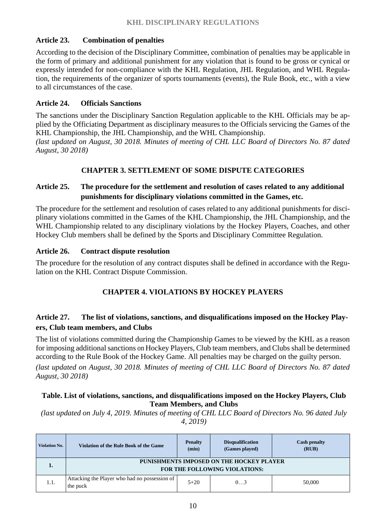#### <span id="page-9-0"></span>**Article 23. Combination of penalties**

According to the decision of the Disciplinary Committee, сombination of penalties may be applicable in the form of primary and additional punishment for any violation that is found to be gross or cynical or expressly intended for non-compliance with the KHL Regulation, JHL Regulation, and WHL Regulation, the requirements of the organizer of sports tournaments (events), the Rule Book, etc., with a view to all circumstances of the case.

#### <span id="page-9-1"></span>**Article 24. Officials Sanctions**

The sanctions under the Disciplinary Sanction Regulation applicable to the KHL Officials may be applied by the Officiating Department as disciplinary measures to the Officials servicing the Games of the KHL Championship, the JHL Championship, and the WHL Championship.

<span id="page-9-2"></span>*(last updated on August, 30 2018. Minutes of meeting of CHL LLC Board of Directors No. 87 dated August, 30 2018)*

#### **CHAPTER 3. SETTLEMENT OF SOME DISPUTE CATEGORIES**

## <span id="page-9-3"></span>**Article 25. The procedure for the settlement and resolution of cases related to any additional punishments for disciplinary violations committed in the Games, etc.**

The procedure for the settlement and resolution of cases related to any additional punishments for disciplinary violations committed in the Games of the KHL Championship, the JHL Championship, and the WHL Championship related to any disciplinary violations by the Hockey Players, Coaches, and other Hockey Club members shall be defined by the Sports and Disciplinary Committee Regulation.

#### <span id="page-9-4"></span>**Article 26. Contract dispute resolution**

<span id="page-9-5"></span>The procedure for the resolution of any contract disputes shall be defined in accordance with the Regulation on the KHL Contract Dispute Commission.

## **CHAPTER 4. VIOLATIONS BY HOCKEY PLAYERS**

#### <span id="page-9-6"></span>**Article 27. The list of violations, sanctions, and disqualifications imposed on the Hockey Players, Club team members, and Clubs**

The list of violations committed during the Championship Games to be viewed by the KHL as a reason for imposing additional sanctions on Hockey Players, Club team members, and Clubs shall be determined according to the Rule Book of the Hockey Game. All penalties may be charged on the guilty person.

*(last updated on August, 30 2018. Minutes of meeting of CHL LLC Board of Directors No. 87 dated August, 30 2018)*

#### **Table. List of violations, sanctions, and disqualifications imposed on the Hockey Players, Club Team Members, and Clubs**

| <b>Violation No.</b> | Violation of the Rule Book of the Game                                           | <b>Penalty</b><br>(min) | <b>Disqualification</b><br>(Games played) | <b>Cash penalty</b><br>(RUB) |
|----------------------|----------------------------------------------------------------------------------|-------------------------|-------------------------------------------|------------------------------|
|                      | PUNISHMENTS IMPOSED ON THE HOCKEY PLAYER<br><b>FOR THE FOLLOWING VIOLATIONS:</b> |                         |                                           |                              |
| 1.1.                 | Attacking the Player who had no possession of<br>the puck                        | $5 + 20$                | $01$ 3                                    | 50,000                       |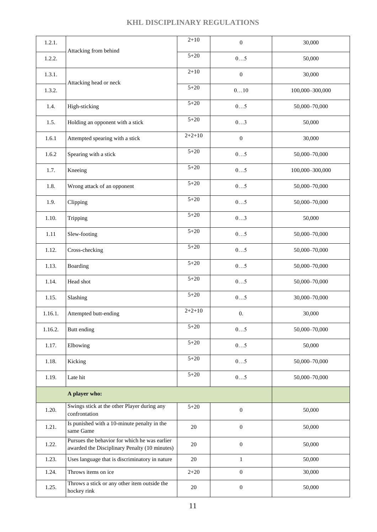| 1.2.1.  |                                                                                                | $2 + 10$ | $\boldsymbol{0}$ | 30,000          |  |
|---------|------------------------------------------------------------------------------------------------|----------|------------------|-----------------|--|
| 1.2.2.  | Attacking from behind                                                                          | $5 + 20$ | 05               | 50,000          |  |
| 1.3.1.  | Attacking head or neck                                                                         | $2 + 10$ | $\boldsymbol{0}$ | 30,000          |  |
| 1.3.2.  |                                                                                                | $5 + 20$ | 010              | 100,000-300,000 |  |
| 1.4.    | High-sticking                                                                                  | $5 + 20$ | 05               | 50,000-70,000   |  |
| 1.5.    | Holding an opponent with a stick                                                               | $5 + 20$ | 03               | 50,000          |  |
| 1.6.1   | Attempted spearing with a stick                                                                | $2+2+10$ | $\boldsymbol{0}$ | 30,000          |  |
| 1.6.2   | Spearing with a stick                                                                          | $5 + 20$ | 05               | 50,000-70,000   |  |
| 1.7.    | Kneeing                                                                                        | $5 + 20$ | 05               | 100,000-300,000 |  |
| 1.8.    | Wrong attack of an opponent                                                                    | $5 + 20$ | 05               | 50,000-70,000   |  |
| 1.9.    | Clipping                                                                                       | $5 + 20$ | 05               | 50,000-70,000   |  |
| 1.10.   | Tripping                                                                                       | $5 + 20$ | 03               | 50,000          |  |
| 1.11    | Slew-footing                                                                                   | $5 + 20$ | 05               | 50,000-70,000   |  |
| 1.12.   | Cross-checking                                                                                 | $5 + 20$ | 05               | 50,000-70,000   |  |
| 1.13.   | Boarding                                                                                       | $5 + 20$ | 05               | 50,000-70,000   |  |
| 1.14.   | Head shot                                                                                      | $5 + 20$ | 05               | 50,000-70,000   |  |
| 1.15.   | Slashing                                                                                       | $5 + 20$ | 05               | 30,000-70,000   |  |
| 1.16.1. | Attempted butt-ending                                                                          | $2+2+10$ | $\overline{0}$ . | 30,000          |  |
| 1.16.2. | Butt ending                                                                                    | $5 + 20$ | 05               | 50,000-70,000   |  |
| 1.17.   | Elbowing                                                                                       | $5 + 20$ | 05               | 50,000          |  |
| 1.18.   | Kicking                                                                                        | $5 + 20$ | 05               | 50,000-70,000   |  |
| 1.19.   | Late hit                                                                                       | $5 + 20$ | $05$             | 50,000-70,000   |  |
|         | A player who:                                                                                  |          |                  |                 |  |
| 1.20.   | Swings stick at the other Player during any<br>confrontation                                   | $5 + 20$ | $\boldsymbol{0}$ | 50,000          |  |
| 1.21.   | Is punished with a 10-minute penalty in the<br>same Game                                       | 20       | $\boldsymbol{0}$ | 50,000          |  |
| 1.22.   | Pursues the behavior for which he was earlier<br>awarded the Disciplinary Penalty (10 minutes) | 20       | $\boldsymbol{0}$ | 50,000          |  |
| 1.23.   | Uses language that is discriminatory in nature                                                 | 20       | $\mathbf{1}$     | 50,000          |  |
| 1.24.   | Throws items on ice                                                                            | $2 + 20$ | $\boldsymbol{0}$ | 30,000          |  |
| 1.25.   | Throws a stick or any other item outside the<br>hockey rink                                    | 20       | $\boldsymbol{0}$ | 50,000          |  |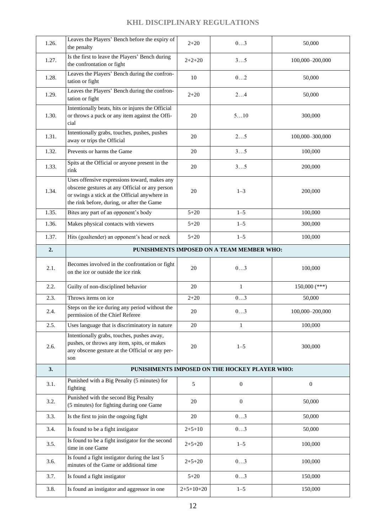| 1.26. | Leaves the Players' Bench before the expiry of<br>the penalty                                                                                                                                 | $2 + 20$     | 03                                            | 50,000           |  |
|-------|-----------------------------------------------------------------------------------------------------------------------------------------------------------------------------------------------|--------------|-----------------------------------------------|------------------|--|
| 1.27. | Is the first to leave the Players' Bench during<br>the confrontation or fight                                                                                                                 | $2+2+20$     | 35                                            | 100,000-200,000  |  |
| 1.28. | Leaves the Players' Bench during the confron-<br>tation or fight                                                                                                                              | 10           | 02                                            | 50,000           |  |
| 1.29. | Leaves the Players' Bench during the confron-<br>tation or fight                                                                                                                              | $2 + 20$     | 24                                            | 50,000           |  |
| 1.30. | Intentionally beats, hits or injures the Official<br>or throws a puck or any item against the Offi-<br>cial                                                                                   | 20           | 510                                           | 300,000          |  |
| 1.31. | Intentionally grabs, touches, pushes, pushes<br>away or trips the Official                                                                                                                    | 20           | 25                                            | 100,000-300,000  |  |
| 1.32. | Prevents or harms the Game                                                                                                                                                                    | 20           | 35                                            | 100,000          |  |
| 1.33. | Spits at the Official or anyone present in the<br>rink                                                                                                                                        | 20           | 35                                            | 200,000          |  |
| 1.34. | Uses offensive expressions toward, makes any<br>obscene gestures at any Official or any person<br>or swings a stick at the Official anywhere in<br>the rink before, during, or after the Game | 20           | $1 - 3$                                       | 200,000          |  |
| 1.35. | Bites any part of an opponent's body                                                                                                                                                          | $5 + 20$     | $1 - 5$                                       | 100,000          |  |
| 1.36. | Makes physical contacts with viewers                                                                                                                                                          | $5 + 20$     | $1 - 5$                                       | 300,000          |  |
| 1.37. | Hits (goaltender) an opponent's head or neck                                                                                                                                                  | $5 + 20$     | $1 - 5$                                       | 100,000          |  |
| 2.    |                                                                                                                                                                                               |              | PUNISHMENTS IMPOSED ON A TEAM MEMBER WHO:     |                  |  |
| 2.1.  | Becomes involved in the confrontation or fight<br>on the ice or outside the ice rink                                                                                                          | 20           | 03                                            | 100,000          |  |
| 2.2.  | Guilty of non-disciplined behavior                                                                                                                                                            | 20           | $\mathbf{1}$                                  | $150,000$ (***)  |  |
| 2.3.  | Throws items on ice                                                                                                                                                                           | $2 + 20$     | $\overline{03}$                               | 50,000           |  |
| 2.4.  | Steps on the ice during any period without the<br>permission of the Chief Referee                                                                                                             | 20           | 03                                            | 100,000-200,000  |  |
| 2.5.  | Uses language that is discriminatory in nature                                                                                                                                                | 20           | $\mathbf{1}$                                  | 100,000          |  |
| 2.6.  | Intentionally grabs, touches, pushes away,<br>pushes, or throws any item, spits, or makes<br>any obscene gesture at the Official or any per-<br>son                                           | 20           | $1 - 5$                                       | 300,000          |  |
| 3.    |                                                                                                                                                                                               |              | PUNISHMENTS IMPOSED ON THE HOCKEY PLAYER WHO: |                  |  |
| 3.1.  | Punished with a Big Penalty (5 minutes) for<br>fighting                                                                                                                                       | 5            | $\boldsymbol{0}$                              | $\boldsymbol{0}$ |  |
| 3.2.  | Punished with the second Big Penalty<br>(5 minutes) for fighting during one Game                                                                                                              | 20           | $\boldsymbol{0}$                              | 50,000           |  |
| 3.3.  | Is the first to join the ongoing fight                                                                                                                                                        | 20           | 03                                            | 50,000           |  |
| 3.4.  | Is found to be a fight instigator                                                                                                                                                             | $2 + 5 + 10$ | 03                                            | 50,000           |  |
| 3.5.  | Is found to be a fight instigator for the second<br>time in one Game                                                                                                                          | $2+5+20$     | $1 - 5$                                       | 100,000          |  |
| 3.6.  | Is found a fight instigator during the last 5<br>minutes of the Game or additional time                                                                                                       | $2+5+20$     | 03                                            | 100,000          |  |
| 3.7.  | Is found a fight instigator                                                                                                                                                                   | $5 + 20$     | 03                                            | 150,000          |  |
| 3.8.  | Is found an instigator and aggressor in one                                                                                                                                                   | $2+5+10+20$  | $1 - 5$                                       | 150,000          |  |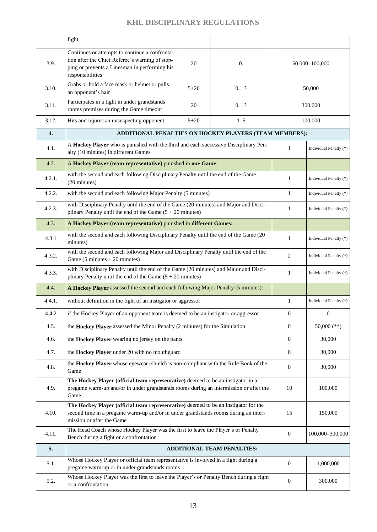|        | fight                                                                                                                                                                                                   |          |                                                        |                  |                        |  |
|--------|---------------------------------------------------------------------------------------------------------------------------------------------------------------------------------------------------------|----------|--------------------------------------------------------|------------------|------------------------|--|
| 3.9.   | Continues or attempts to continue a confronta-<br>tion after the Chief Referee's warning of stop-<br>ping or prevents a Linesman in performing his<br>responsibilities                                  | 20       | $\overline{0}$ .                                       |                  | 50,000-100,000         |  |
| 3.10.  | Grabs or hold a face mask or helmet or pulls<br>an opponent's hair                                                                                                                                      | $5 + 20$ | 03                                                     | 50,000           |                        |  |
| 3.11.  | Participates in a fight in under grandstands<br>rooms premises during the Game timeout                                                                                                                  | 20       | 03                                                     |                  | 300,000                |  |
| 3.12.  | Hits and injures an unsuspecting opponent                                                                                                                                                               | $5 + 20$ | $1 - 5$                                                | 100,000          |                        |  |
| 4.     |                                                                                                                                                                                                         |          | ADDITIONAL PENALTIES ON HOCKEY PLAYERS (TEAM MEMBERS): |                  |                        |  |
| 4.1.   | A Hockey Player who is punished with the third and each successive Disciplinary Pen-<br>alty (10 minutes) in different Games                                                                            |          |                                                        | $\mathbf{1}$     | Individual Penalty (*) |  |
| 4.2.   | A Hockey Player (team representative) punished in one Game:                                                                                                                                             |          |                                                        |                  |                        |  |
| 4.2.1. | with the second and each following Disciplinary Penalty until the end of the Game<br>(20 minutes)                                                                                                       |          |                                                        | $\mathbf{1}$     | Individual Penalty (*) |  |
| 4.2.2. | with the second and each following Major Penalty (5 minutes)                                                                                                                                            |          |                                                        | $\mathbf{1}$     | Individual Penalty (*) |  |
| 4.2.3. | with Disciplinary Penalty until the end of the Game (20 minutes) and Major and Disci-<br>plinary Penalty until the end of the Game $(5 + 20 \text{ minutes})$                                           |          |                                                        | $\mathbf{1}$     | Individual Penalty (*) |  |
| 4.3.   | A Hockey Player (team representative) punished in different Games:                                                                                                                                      |          |                                                        |                  |                        |  |
| 4.3.1  | with the second and each following Disciplinary Penalty until the end of the Game (20<br>minutes)                                                                                                       |          |                                                        | $\mathbf{1}$     | Individual Penalty (*) |  |
| 4.3.2. | with the second and each following Major and Disciplinary Penalty until the end of the<br>Game $(5 \text{ minutes} + 20 \text{ minutes})$                                                               |          |                                                        | $\mathbf{2}$     | Individual Penalty (*) |  |
| 4.3.3. | with Disciplinary Penalty until the end of the Game (20 minutes) and Major and Disci-<br>plinary Penalty until the end of the Game $(5 + 20 \text{ minutes})$                                           |          |                                                        | 1                | Individual Penalty (*) |  |
| 4.4.   | A Hockey Player assessed the second and each following Major Penalty (5 minutes):                                                                                                                       |          |                                                        |                  |                        |  |
| 4.4.1. | without definition in the fight of an instigator or aggressor                                                                                                                                           |          |                                                        | $\mathbf{1}$     | Individual Penalty (*) |  |
| 4.4.2  | if the Hockey Player of an opponent team is deemed to be an instigator or aggressor                                                                                                                     |          |                                                        | $\boldsymbol{0}$ | $\mathbf{0}$           |  |
| 4.5.   | the Hockey Player assessed the Minor Penalty (2 minutes) for the Simulation                                                                                                                             |          |                                                        | $\mathbf{0}$     | 50,000 (**)            |  |
| 4.6.   | the Hockey Player wearing no jersey on the pants                                                                                                                                                        |          |                                                        | $\mathbf{0}$     | 30,000                 |  |
| 4.7.   | the Hockey Player under 20 with no mouthguard                                                                                                                                                           |          |                                                        | $\overline{0}$   | 30,000                 |  |
| 4.8.   | the Hockey Player whose eyewear (shield) is non-compliant with the Rule Book of the<br>Game                                                                                                             |          |                                                        | $\mathbf{0}$     | 30,000                 |  |
| 4.9.   | The Hockey Player (official team representative) deemed to be an instigator in a<br>pregame warm-up and/or in under grandstands rooms during an intermission or after the<br>Game                       |          |                                                        | 10               | 100,000                |  |
| 4.10.  | The Hockey Player (official team representative) deemed to be an instigator for the<br>second time in a pregame warm-up and/or in under grandstands rooms during an inter-<br>mission or after the Game |          |                                                        | 15               | 150,000                |  |
| 4.11.  | The Head Coach whose Hockey Player was the first to leave the Player's or Penalty<br>Bench during a fight or a confrontation                                                                            |          |                                                        | $\mathbf{0}$     | 100,000-300,000        |  |
| 5.     |                                                                                                                                                                                                         |          | ADDITIONAL TEAM PENALTIES:                             |                  |                        |  |
| 5.1.   | Whose Hockey Player or official team representative is involved in a fight during a<br>pregame warm-up or in under grandstands rooms                                                                    |          |                                                        | $\mathbf{0}$     | 1,000,000              |  |
| 5.2.   | Whose Hockey Player was the first to leave the Player's or Penalty Bench during a fight<br>or a confrontation                                                                                           |          |                                                        | $\mathbf{0}$     | 300,000                |  |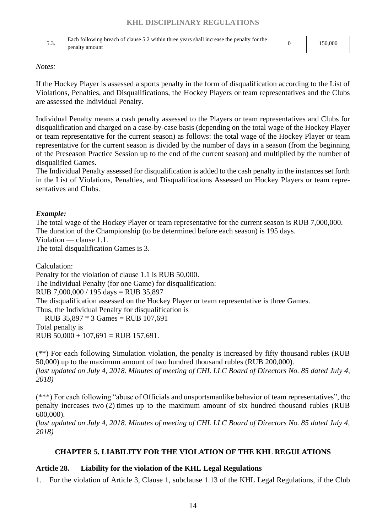| J .J | Each following breach of clause 5.2 within three years shall increase the penalty for the<br>penalty amount | 50.000 |
|------|-------------------------------------------------------------------------------------------------------------|--------|
|      |                                                                                                             |        |

#### *Notes:*

If the Hockey Player is assessed a sports penalty in the form of disqualification according to the List of Violations, Penalties, and Disqualifications, the Hockey Players or team representatives and the Clubs are assessed the Individual Penalty.

Individual Penalty means a cash penalty assessed to the Players or team representatives and Clubs for disqualification and charged on a case-by-case basis (depending on the total wage of the Hockey Player or team representative for the current season) as follows: the total wage of the Hockey Player or team representative for the current season is divided by the number of days in a season (from the beginning of the Preseason Practice Session up to the end of the current season) and multiplied by the number of disqualified Games.

The Individual Penalty assessed for disqualification is added to the cash penalty in the instances set forth in the List of Violations, Penalties, and Disqualifications Assessed on Hockey Players or team representatives and Clubs.

#### *Example:*

The total wage of the Hockey Player or team representative for the current season is RUB 7,000,000. The duration of the Championship (to be determined before each season) is 195 days. Violation — clause 1.1.

The total disqualification Games is 3.

Calculation:

Penalty for the violation of clause 1.1 is RUB 50,000. The Individual Penalty (for one Game) for disqualification: RUB 7,000,000 / 195 days = RUB 35,897 The disqualification assessed on the Hockey Player or team representative is three Games. Thus, the Individual Penalty for disqualification is RUB 35,897 \* 3 Games = RUB 107,691 Total penalty is

RUB  $50,000 + 107,691 = RUB 157,691$ .

(\*\*) For each following Simulation violation, the penalty is increased by fifty thousand rubles (RUB 50,000) up to the maximum amount of two hundred thousand rubles (RUB 200,000). *(last updated on July 4, 2018. Minutes of meeting of CHL LLC Board of Directors No. 85 dated July 4,* 

*2018)*

(\*\*\*) For each following "abuse of Officials and unsportsmanlike behavior of team representatives", the penalty increases two (2) times up to the maximum amount of six hundred thousand rubles (RUB 600,000).

<span id="page-13-0"></span>*(last updated on July 4, 2018. Minutes of meeting of CHL LLC Board of Directors No. 85 dated July 4, 2018)*

#### **CHAPTER 5. LIABILITY FOR THE VIOLATION OF THE KHL REGULATIONS**

## <span id="page-13-1"></span>**Article 28. Liability for the violation of the KHL Legal Regulations**

1. For the violation of Article 3, Clause 1, subclause 1.13 of the KHL Legal Regulations, if the Club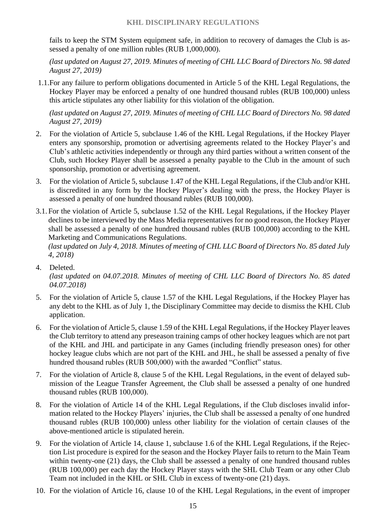fails to keep the STM System equipment safe, in addition to recovery of damages the Club is assessed a penalty of one million rubles (RUB 1,000,000).

*(last updated on August 27, 2019. Minutes of meeting of CHL LLC Board of Directors No. 98 dated August 27, 2019)*

1.1.For any failure to perform obligations documented in Article 5 of the KHL Legal Regulations, the Hockey Player may be enforced a penalty of one hundred thousand rubles (RUB 100,000) unless this article stipulates any other liability for this violation of the obligation.

*(last updated on August 27, 2019. Minutes of meeting of CHL LLC Board of Directors No. 98 dated August 27, 2019)*

- 2. For the violation of Article 5, subclause 1.46 of the KHL Legal Regulations, if the Hockey Player enters any sponsorship, promotion or advertising agreements related to the Hockey Player's and Club's athletic activities independently or through any third parties without a written consent of the Club, such Hockey Player shall be assessed a penalty payable to the Club in the amount of such sponsorship, promotion or advertising agreement.
- 3. For the violation of Article 5, subclause 1.47 of the KHL Legal Regulations, if the Club and/or KHL is discredited in any form by the Hockey Player's dealing with the press, the Hockey Player is assessed a penalty of one hundred thousand rubles (RUB 100,000).
- 3.1. For the violation of Article 5, subclause 1.52 of the KHL Legal Regulations, if the Hockey Player declines to be interviewed by the Mass Media representatives for no good reason, the Hockey Player shall be assessed a penalty of one hundred thousand rubles (RUB 100,000) according to the KHL Marketing and Communications Regulations.

- 4. Deleted. *(last updated on 04.07.2018. Minutes of meeting of CHL LLC Board of Directors No. 85 dated 04.07.2018)*
- 5. For the violation of Article 5, clause 1.57 of the KHL Legal Regulations, if the Hockey Player has any debt to the KHL as of July 1, the Disciplinary Committee may decide to dismiss the KHL Club application.
- 6. For the violation of Article 5, clause 1.59 of the KHL Legal Regulations, if the Hockey Player leaves the Club territory to attend any preseason training camps of other hockey leagues which are not part of the KHL and JHL and participate in any Games (including friendly preseason ones) for other hockey league clubs which are not part of the KHL and JHL, he shall be assessed a penalty of five hundred thousand rubles (RUB 500,000) with the awarded "Conflict" status.
- 7. For the violation of Article 8, clause 5 of the KHL Legal Regulations, in the event of delayed submission of the League Transfer Agreement, the Club shall be assessed a penalty of one hundred thousand rubles (RUB 100,000).
- 8. For the violation of Article 14 of the KHL Legal Regulations, if the Club discloses invalid information related to the Hockey Players' injuries, the Club shall be assessed a penalty of one hundred thousand rubles (RUB 100,000) unless other liability for the violation of certain clauses of the above-mentioned article is stipulated herein.
- 9. For the violation of Article 14, clause 1, subclause 1.6 of the KHL Legal Regulations, if the Rejection List procedure is expired for the season and the Hockey Player fails to return to the Main Team within twenty-one (21) days, the Club shall be assessed a penalty of one hundred thousand rubles (RUB 100,000) per each day the Hockey Player stays with the SHL Club Team or any other Club Team not included in the KHL or SHL Club in excess of twenty-one (21) days.
- 10. For the violation of Article 16, clause 10 of the KHL Legal Regulations, in the event of improper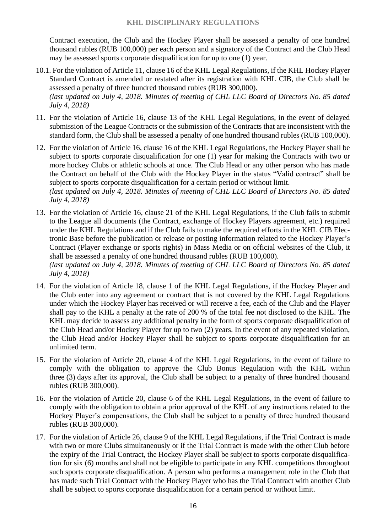Contract execution, the Club and the Hockey Player shall be assessed a penalty of one hundred thousand rubles (RUB 100,000) per each person and a signatory of the Contract and the Club Head may be assessed sports corporate disqualification for up to one (1) year.

- 10.1. For the violation of Article 11, clause 16 of the KHL Legal Regulations, if the KHL Hockey Player Standard Contract is amended or restated after its registration with KHL CIB, the Club shall be assessed a penalty of three hundred thousand rubles (RUB 300,000). *(last updated on July 4, 2018. Minutes of meeting of CHL LLC Board of Directors No. 85 dated July 4, 2018)*
- 11. For the violation of Article 16, clause 13 of the KHL Legal Regulations, in the event of delayed submission of the League Contracts or the submission of the Contracts that are inconsistent with the standard form, the Club shall be assessed a penalty of one hundred thousand rubles (RUB 100,000).
- 12. For the violation of Article 16, clause 16 of the KHL Legal Regulations, the Hockey Player shall be subject to sports corporate disqualification for one (1) year for making the Contracts with two or more hockey Clubs or athletic schools at once. The Club Head or any other person who has made the Contract on behalf of the Club with the Hockey Player in the status "Valid contract" shall be subject to sports corporate disqualification for a certain period or without limit. *(last updated on July 4, 2018. Minutes of meeting of CHL LLC Board of Directors No. 85 dated July 4, 2018)*
- 13. For the violation of Article 16, clause 21 of the KHL Legal Regulations, if the Club fails to submit to the League all documents (the Contract, exchange of Hockey Players agreement, etc.) required under the KHL Regulations and if the Club fails to make the required efforts in the KHL CIB Electronic Base before the publication or release or posting information related to the Hockey Player's Contract (Player exchange or sports rights) in Mass Media or on official websites of the Club, it shall be assessed a penalty of one hundred thousand rubles (RUB 100,000). *(last updated on July 4, 2018. Minutes of meeting of CHL LLC Board of Directors No. 85 dated July 4, 2018)*
- 14. For the violation of Article 18, clause 1 of the KHL Legal Regulations, if the Hockey Player and the Club enter into any agreement or contract that is not covered by the KHL Legal Regulations under which the Hockey Player has received or will receive a fee, each of the Club and the Player shall pay to the KHL a penalty at the rate of 200 % of the total fee not disclosed to the KHL. The KHL may decide to assess any additional penalty in the form of sports corporate disqualification of the Club Head and/or Hockey Player for up to two (2) years. In the event of any repeated violation, the Club Head and/or Hockey Player shall be subject to sports corporate disqualification for an unlimited term.
- 15. For the violation of Article 20, clause 4 of the KHL Legal Regulations, in the event of failure to comply with the obligation to approve the Club Bonus Regulation with the KHL within three (3) days after its approval, the Club shall be subject to a penalty of three hundred thousand rubles (RUB 300,000).
- 16. For the violation of Article 20, clause 6 of the KHL Legal Regulations, in the event of failure to comply with the obligation to obtain a prior approval of the KHL of any instructions related to the Hockey Player's compensations, the Club shall be subject to a penalty of three hundred thousand rubles (RUB 300,000).
- 17. For the violation of Article 26, clause 9 of the KHL Legal Regulations, if the Trial Contract is made with two or more Clubs simultaneously or if the Trial Contract is made with the other Club before the expiry of the Trial Contract, the Hockey Player shall be subject to sports corporate disqualification for six (6) months and shall not be eligible to participate in any KHL competitions throughout such sports corporate disqualification. A person who performs a management role in the Club that has made such Trial Contract with the Hockey Player who has the Trial Contract with another Club shall be subject to sports corporate disqualification for a certain period or without limit.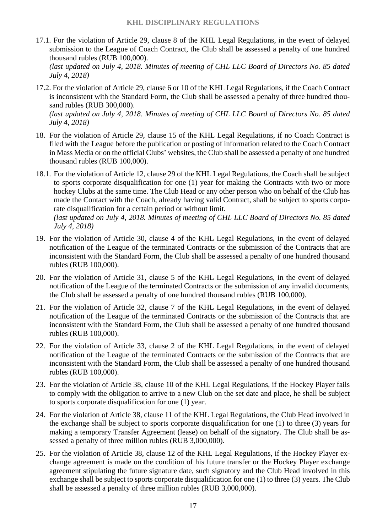17.1. For the violation of Article 29, clause 8 of the KHL Legal Regulations, in the event of delayed submission to the League of Coach Contract, the Club shall be assessed a penalty of one hundred thousand rubles (RUB 100,000).

*(last updated on July 4, 2018. Minutes of meeting of CHL LLC Board of Directors No. 85 dated July 4, 2018)*

17.2. For the violation of Article 29, clause 6 or 10 of the KHL Legal Regulations, if the Coach Contract is inconsistent with the Standard Form, the Club shall be assessed a penalty of three hundred thousand rubles (RUB 300,000). *(last updated on July 4, 2018. Minutes of meeting of CHL LLC Board of Directors No. 85 dated* 

*July 4, 2018)* 18. For the violation of Article 29, clause 15 of the KHL Legal Regulations, if no Coach Contract is

- filed with the League before the publication or posting of information related to the Coach Contract in Mass Media or on the official Clubs' websites, the Club shall be assessed a penalty of one hundred thousand rubles (RUB 100,000).
- 18.1. For the violation of Article 12, clause 29 of the KHL Legal Regulations, the Coach shall be subject to sports corporate disqualification for one (1) year for making the Contracts with two or more hockey Clubs at the same time. The Club Head or any other person who on behalf of the Club has made the Contact with the Coach, already having valid Contract, shall be subject to sports corporate disqualification for a certain period or without limit. *(last updated on July 4, 2018. Minutes of meeting of CHL LLC Board of Directors No. 85 dated July 4, 2018)*
- 19. For the violation of Article 30, clause 4 of the KHL Legal Regulations, in the event of delayed notification of the League of the terminated Contracts or the submission of the Contracts that are inconsistent with the Standard Form, the Club shall be assessed a penalty of one hundred thousand rubles (RUB 100,000).
- 20. For the violation of Article 31, clause 5 of the KHL Legal Regulations, in the event of delayed notification of the League of the terminated Contracts or the submission of any invalid documents, the Club shall be assessed a penalty of one hundred thousand rubles (RUB 100,000).
- 21. For the violation of Article 32, clause 7 of the KHL Legal Regulations, in the event of delayed notification of the League of the terminated Contracts or the submission of the Contracts that are inconsistent with the Standard Form, the Club shall be assessed a penalty of one hundred thousand rubles (RUB 100,000).
- 22. For the violation of Article 33, clause 2 of the KHL Legal Regulations, in the event of delayed notification of the League of the terminated Contracts or the submission of the Contracts that are inconsistent with the Standard Form, the Club shall be assessed a penalty of one hundred thousand rubles (RUB 100,000).
- 23. For the violation of Article 38, clause 10 of the KHL Legal Regulations, if the Hockey Player fails to comply with the obligation to arrive to a new Club on the set date and place, he shall be subject to sports corporate disqualification for one (1) year.
- 24. For the violation of Article 38, clause 11 of the KHL Legal Regulations, the Club Head involved in the exchange shall be subject to sports corporate disqualification for one (1) to three (3) years for making a temporary Transfer Agreement (lease) on behalf of the signatory. The Club shall be assessed a penalty of three million rubles (RUB 3,000,000).
- 25. For the violation of Article 38, clause 12 of the KHL Legal Regulations, if the Hockey Player exchange agreement is made on the condition of his future transfer or the Hockey Player exchange agreement stipulating the future signature date, such signatory and the Club Head involved in this exchange shall be subject to sports corporate disqualification for one (1) to three (3) years. The Club shall be assessed a penalty of three million rubles (RUB 3,000,000).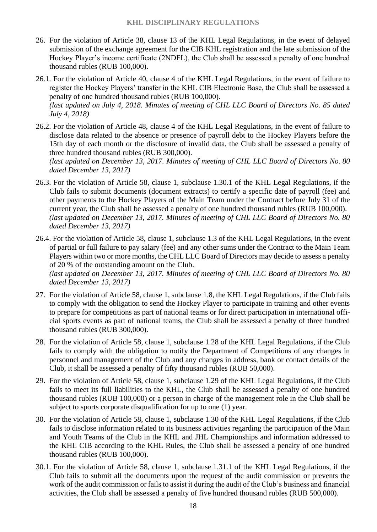- 26. For the violation of Article 38, clause 13 of the KHL Legal Regulations, in the event of delayed submission of the exchange agreement for the CIB KHL registration and the late submission of the Hockey Player's income certificate (2NDFL), the Club shall be assessed a penalty of one hundred thousand rubles (RUB 100,000).
- 26.1. For the violation of Article 40, clause 4 of the KHL Legal Regulations, in the event of failure to register the Hockey Players' transfer in the KHL CIB Electronic Base, the Club shall be assessed a penalty of one hundred thousand rubles (RUB 100,000). *(last updated on July 4, 2018. Minutes of meeting of CHL LLC Board of Directors No. 85 dated July 4, 2018)*
- 26.2. For the violation of Article 48, clause 4 of the KHL Legal Regulations, in the event of failure to disclose data related to the absence or presence of payroll debt to the Hockey Players before the 15th day of each month or the disclosure of invalid data, the Club shall be assessed a penalty of three hundred thousand rubles (RUB 300,000).

*(last updated on December 13, 2017. Minutes of meeting of CHL LLC Board of Directors No. 80 dated December 13, 2017)*

- 26.3. For the violation of Article 58, clause 1, subclause 1.30.1 of the KHL Legal Regulations, if the Club fails to submit documents (document extracts) to certify a specific date of payroll (fee) and other payments to the Hockey Players of the Main Team under the Contract before July 31 of the current year, the Club shall be assessed a penalty of one hundred thousand rubles (RUB 100,000). *(last updated on December 13, 2017. Minutes of meeting of CHL LLC Board of Directors No. 80 dated December 13, 2017)*
- 26.4. For the violation of Article 58, clause 1, subclause 1.3 of the KHL Legal Regulations, in the event of partial or full failure to pay salary (fee) and any other sums under the Contract to the Main Team Players within two or more months, the CHL LLC Board of Directors may decide to assess a penalty of 20 % of the outstanding amount on the Club.

*(last updated on December 13, 2017. Minutes of meeting of CHL LLC Board of Directors No. 80 dated December 13, 2017)*

- 27. For the violation of Article 58, clause 1, subclause 1.8, the KHL Legal Regulations, if the Club fails to comply with the obligation to send the Hockey Player to participate in training and other events to prepare for competitions as part of national teams or for direct participation in international official sports events as part of national teams, the Club shall be assessed a penalty of three hundred thousand rubles (RUB 300,000).
- 28. For the violation of Article 58, clause 1, subclause 1.28 of the KHL Legal Regulations, if the Club fails to comply with the obligation to notify the Department of Competitions of any changes in personnel and management of the Club and any changes in address, bank or contact details of the Club, it shall be assessed a penalty of fifty thousand rubles (RUB 50,000).
- 29. For the violation of Article 58, clause 1, subclause 1.29 of the KHL Legal Regulations, if the Club fails to meet its full liabilities to the KHL, the Club shall be assessed a penalty of one hundred thousand rubles (RUB 100,000) or a person in charge of the management role in the Club shall be subject to sports corporate disqualification for up to one (1) year.
- 30. For the violation of Article 58, clause 1, subclause 1.30 of the KHL Legal Regulations, if the Club fails to disclose information related to its business activities regarding the participation of the Main and Youth Teams of the Club in the KHL and JHL Championships and information addressed to the KHL CIB according to the KHL Rules, the Club shall be assessed a penalty of one hundred thousand rubles (RUB 100,000).
- 30.1. For the violation of Article 58, clause 1, subclause 1.31.1 of the KHL Legal Regulations, if the Club fails to submit all the documents upon the request of the audit commission or prevents the work of the audit commission or fails to assist it during the audit of the Club's business and financial activities, the Club shall be assessed a penalty of five hundred thousand rubles (RUB 500,000).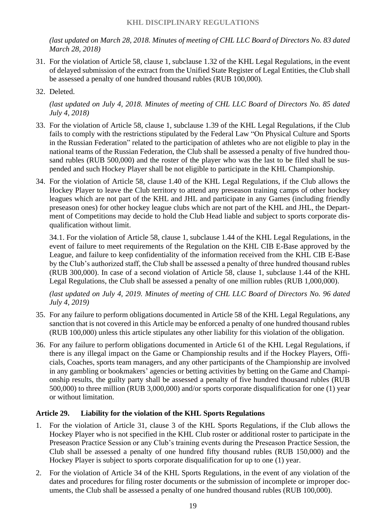*(last updated on March 28, 2018. Minutes of meeting of CHL LLC Board of Directors No. 83 dated March 28, 2018)*

- 31. For the violation of Article 58, clause 1, subclause 1.32 of the KHL Legal Regulations, in the event of delayed submission of the extract from the Unified State Register of Legal Entities, the Club shall be assessed a penalty of one hundred thousand rubles (RUB 100,000).
- 32. Deleted.

*(last updated on July 4, 2018. Minutes of meeting of CHL LLC Board of Directors No. 85 dated July 4, 2018)*

- 33. For the violation of Article 58, clause 1, subclause 1.39 of the KHL Legal Regulations, if the Club fails to comply with the restrictions stipulated by the Federal Law "On Physical Culture and Sports in the Russian Federation" related to the participation of athletes who are not eligible to play in the national teams of the Russian Federation, the Club shall be assessed a penalty of five hundred thousand rubles (RUB 500,000) and the roster of the player who was the last to be filed shall be suspended and such Hockey Player shall be not eligible to participate in the KHL Championship.
- 34. For the violation of Article 58, clause 1.40 of the KHL Legal Regulations, if the Club allows the Hockey Player to leave the Club territory to attend any preseason training camps of other hockey leagues which are not part of the KHL and JHL and participate in any Games (including friendly preseason ones) for other hockey league clubs which are not part of the KHL and JHL, the Department of Competitions may decide to hold the Club Head liable and subject to sports corporate disqualification without limit.

34.1. For the violation of Article 58, clause 1, subclause 1.44 of the KHL Legal Regulations, in the event of failure to meet requirements of the Regulation on the KHL CIB E-Base approved by the League, and failure to keep confidentiality of the information received from the KHL CIB E-Base by the Club's authorized staff, the Club shall be assessed a penalty of three hundred thousand rubles (RUB 300,000). In case of a second violation of Article 58, clause 1, subclause 1.44 of the KHL Legal Regulations, the Club shall be assessed a penalty of one million rubles (RUB 1,000,000).

*(last updated on July 4, 2019. Minutes of meeting of CHL LLC Board of Directors No. 96 dated July 4, 2019)*

- 35. For any failure to perform obligations documented in Article 58 of the KHL Legal Regulations, any sanction that is not covered in this Article may be enforced a penalty of one hundred thousand rubles (RUB 100,000) unless this article stipulates any other liability for this violation of the obligation.
- 36. For any failure to perform obligations documented in Article 61 of the KHL Legal Regulations, if there is any illegal impact on the Game or Championship results and if the Hockey Players, Officials, Coaches, sports team managers, and any other participants of the Championship are involved in any gambling or bookmakers' agencies or betting activities by betting on the Game and Championship results, the guilty party shall be assessed a penalty of five hundred thousand rubles (RUB 500,000) to three million (RUB 3,000,000) and/or sports corporate disqualification for one (1) year or without limitation.

#### <span id="page-18-0"></span>**Article 29. Liability for the violation of the KHL Sports Regulations**

- 1. For the violation of Article 31, clause 3 of the KHL Sports Regulations, if the Club allows the Hockey Player who is not specified in the KHL Club roster or additional roster to participate in the Preseason Practice Session or any Club's training events during the Preseason Practice Session, the Club shall be assessed a penalty of one hundred fifty thousand rubles (RUB 150,000) and the Hockey Player is subject to sports corporate disqualification for up to one (1) year.
- 2. For the violation of Article 34 of the KHL Sports Regulations, in the event of any violation of the dates and procedures for filing roster documents or the submission of incomplete or improper documents, the Club shall be assessed a penalty of one hundred thousand rubles (RUB 100,000).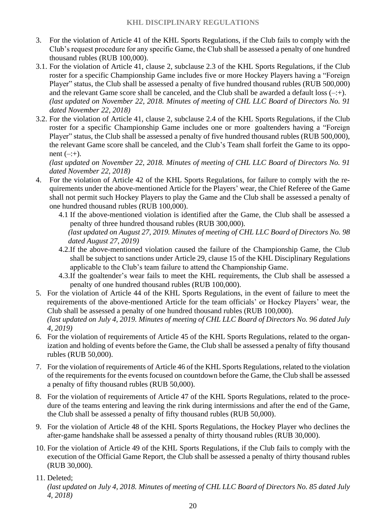- 3. For the violation of Article 41 of the KHL Sports Regulations, if the Club fails to comply with the Club's request procedure for any specific Game, the Club shall be assessed a penalty of one hundred thousand rubles (RUB 100,000).
- 3.1. For the violation of Article 41, clause 2, subclause 2.3 of the KHL Sports Regulations, if the Club roster for a specific Championship Game includes five or more Hockey Players having a "Foreign Player" status, the Club shall be assessed a penalty of five hundred thousand rubles (RUB 500,000) and the relevant Game score shall be canceled, and the Club shall be awarded a default loss  $(-;+)$ . *(last updated on November 22, 2018. Minutes of meeting of CHL LLC Board of Directors No. 91 dated November 22, 2018)*
- 3.2. For the violation of Article 41, clause 2, subclause 2.4 of the KHL Sports Regulations, if the Club roster for a specific Championship Game includes one or more goaltenders having a "Foreign Player" status, the Club shall be assessed a penalty of five hundred thousand rubles (RUB 500,000), the relevant Game score shall be canceled, and the Club's Team shall forfeit the Game to its opponent  $(-;+)$ .

*(last updated on November 22, 2018. Minutes of meeting of CHL LLC Board of Directors No. 91 dated November 22, 2018)*

- 4. For the violation of Article 42 of the KHL Sports Regulations, for failure to comply with the requirements under the above-mentioned Article for the Players' wear, the Chief Referee of the Game shall not permit such Hockey Players to play the Game and the Club shall be assessed a penalty of one hundred thousand rubles (RUB 100,000).
	- 4.1 If the above-mentioned violation is identified after the Game, the Club shall be assessed a penalty of three hundred thousand rubles (RUB 300,000). *(last updated on August 27, 2019. Minutes of meeting of CHL LLC Board of Directors No. 98 dated August 27, 2019)*
	- 4.2.If the above-mentioned violation caused the failure of the Championship Game, the Club shall be subject to sanctions under Article 29, clause 15 of the KHL Disciplinary Regulations applicable to the Club's team failure to attend the Championship Game.
	- 4.3.If the goaltender's wear fails to meet the KHL requirements, the Club shall be assessed a penalty of one hundred thousand rubles (RUB 100,000).
- 5. For the violation of Article 44 of the KHL Sports Regulations, in the event of failure to meet the requirements of the above-mentioned Article for the team officials' or Hockey Players' wear, the Club shall be assessed a penalty of one hundred thousand rubles (RUB 100,000).

*(last updated on July 4, 2019. Minutes of meeting of CHL LLC Board of Directors No. 96 dated July 4, 2019)*

- 6. For the violation of requirements of Article 45 of the KHL Sports Regulations, related to the organization and holding of events before the Game, the Club shall be assessed a penalty of fifty thousand rubles (RUB 50,000).
- 7. For the violation of requirements of Article 46 of the KHL Sports Regulations, related to the violation of the requirements for the events focused on countdown before the Game, the Club shall be assessed a penalty of fifty thousand rubles (RUB 50,000).
- 8. For the violation of requirements of Article 47 of the KHL Sports Regulations, related to the procedure of the teams entering and leaving the rink during intermissions and after the end of the Game, the Club shall be assessed a penalty of fifty thousand rubles (RUB 50,000).
- 9. For the violation of Article 48 of the KHL Sports Regulations, the Hockey Player who declines the after-game handshake shall be assessed a penalty of thirty thousand rubles (RUB 30,000).
- 10. For the violation of Article 49 of the KHL Sports Regulations, if the Club fails to comply with the execution of the Official Game Report, the Club shall be assessed a penalty of thirty thousand rubles (RUB 30,000).

11. Deleted;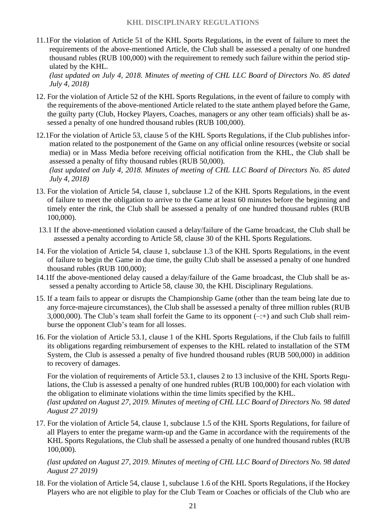11.1For the violation of Article 51 of the KHL Sports Regulations, in the event of failure to meet the requirements of the above-mentioned Article, the Club shall be assessed a penalty of one hundred thousand rubles (RUB 100,000) with the requirement to remedy such failure within the period stipulated by the KHL.

*(last updated on July 4, 2018. Minutes of meeting of CHL LLC Board of Directors No. 85 dated July 4, 2018)*

- 12. For the violation of Article 52 of the KHL Sports Regulations, in the event of failure to comply with the requirements of the above-mentioned Article related to the state anthem played before the Game, the guilty party (Club, Hockey Players, Coaches, managers or any other team officials) shall be assessed a penalty of one hundred thousand rubles (RUB 100,000).
- 12.1For the violation of Article 53, clause 5 of the KHL Sports Regulations, if the Club publishes information related to the postponement of the Game on any official online resources (website or social media) or in Mass Media before receiving official notification from the KHL, the Club shall be assessed a penalty of fifty thousand rubles (RUB 50,000). *(last updated on July 4, 2018. Minutes of meeting of CHL LLC Board of Directors No. 85 dated July 4, 2018)*
- 13. For the violation of Article 54, clause 1, subclause 1.2 of the KHL Sports Regulations, in the event of failure to meet the obligation to arrive to the Game at least 60 minutes before the beginning and timely enter the rink, the Club shall be assessed a penalty of one hundred thousand rubles (RUB 100,000).
- 13.1 If the above-mentioned violation caused a delay/failure of the Game broadcast, the Club shall be assessed a penalty according to Article 58, clause 30 of the KHL Sports Regulations.
- 14. For the violation of Article 54, clause 1, subclause 1.3 of the KHL Sports Regulations, in the event of failure to begin the Game in due time, the guilty Club shall be assessed a penalty of one hundred thousand rubles (RUB 100,000);
- 14.1If the above-mentioned delay caused a delay/failure of the Game broadcast, the Club shall be assessed a penalty according to Article 58, clause 30, the KHL Disciplinary Regulations.
- 15. If a team fails to appear or disrupts the Championship Game (other than the team being late due to any force-majeure circumstances), the Club shall be assessed a penalty of three million rubles (RUB 3,000,000). The Club's team shall forfeit the Game to its opponent  $(-;+)$  and such Club shall reimburse the opponent Club's team for all losses.
- 16. For the violation of Article 53.1, clause 1 of the KHL Sports Regulations, if the Club fails to fulfill its obligations regarding reimbursement of expenses to the KHL related to installation of the STM System, the Club is assessed a penalty of five hundred thousand rubles (RUB 500,000) in addition to recovery of damages.

For the violation of requirements of Article 53.1, clauses 2 to 13 inclusive of the KHL Sports Regulations, the Club is assessed a penalty of one hundred rubles (RUB 100,000) for each violation with the obligation to eliminate violations within the time limits specified by the KHL.

*(last updated on August 27, 2019. Minutes of meeting of CHL LLC Board of Directors No. 98 dated August 27 2019)*

17. For the violation of Article 54, clause 1, subclause 1.5 of the KHL Sports Regulations, for failure of all Players to enter the pregame warm-up and the Game in accordance with the requirements of the KHL Sports Regulations, the Club shall be assessed a penalty of one hundred thousand rubles (RUB 100,000).

*(last updated on August 27, 2019. Minutes of meeting of CHL LLC Board of Directors No. 98 dated August 27 2019)*

18. For the violation of Article 54, clause 1, subclause 1.6 of the KHL Sports Regulations, if the Hockey Players who are not eligible to play for the Club Team or Coaches or officials of the Club who are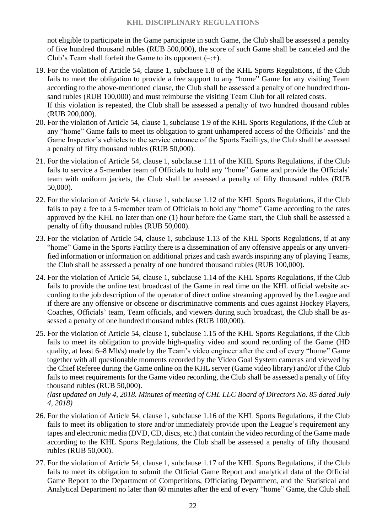not eligible to participate in the Game participate in such Game, the Club shall be assessed a penalty of five hundred thousand rubles (RUB 500,000), the score of such Game shall be canceled and the Club's Team shall forfeit the Game to its opponent  $(-;+)$ .

- 19. For the violation of Article 54, clause 1, subclause 1.8 of the KHL Sports Regulations, if the Club fails to meet the obligation to provide a free support to any "home" Game for any visiting Team according to the above-mentioned clause, the Club shall be assessed a penalty of one hundred thousand rubles (RUB 100,000) and must reimburse the visiting Team Club for all related costs. If this violation is repeated, the Club shall be assessed a penalty of two hundred thousand rubles (RUB 200,000).
- 20. For the violation of Article 54, clause 1, subclause 1.9 of the KHL Sports Regulations, if the Club at any "home" Game fails to meet its obligation to grant unhampered access of the Officials' and the Game Inspector's vehicles to the service entrance of the Sports Facilitys, the Club shall be assessed a penalty of fifty thousand rubles (RUB 50,000).
- 21. For the violation of Article 54, clause 1, subclause 1.11 of the KHL Sports Regulations, if the Club fails to service a 5-member team of Officials to hold any "home" Game and provide the Officials' team with uniform jackets, the Club shall be assessed a penalty of fifty thousand rubles (RUB 50,000).
- 22. For the violation of Article 54, clause 1, subclause 1.12 of the KHL Sports Regulations, if the Club fails to pay a fee to a 5-member team of Officials to hold any "home" Game according to the rates approved by the KHL no later than one (1) hour before the Game start, the Club shall be assessed a penalty of fifty thousand rubles (RUB 50,000).
- 23. For the violation of Article 54, clause 1, subclause 1.13 of the KHL Sports Regulations, if at any "home" Game in the Sports Facility there is a dissemination of any offensive appeals or any unverified information or information on additional prizes and cash awards inspiring any of playing Teams, the Club shall be assessed a penalty of one hundred thousand rubles (RUB 100,000).
- 24. For the violation of Article 54, clause 1, subclause 1.14 of the KHL Sports Regulations, if the Club fails to provide the online text broadcast of the Game in real time on the KHL official website according to the job description of the operator of direct online streaming approved by the League and if there are any offensive or obscene or discriminative comments and cues against Hockey Players, Coaches, Officials' team, Team officials, and viewers during such broadcast, the Club shall be assessed a penalty of one hundred thousand rubles (RUB 100,000).
- 25. For the violation of Article 54, clause 1, subclause 1.15 of the KHL Sports Regulations, if the Club fails to meet its obligation to provide high-quality video and sound recording of the Game (HD quality, at least 6–8 Mb/s) made by the Team's video engineer after the end of every "home" Game together with all questionable moments recorded by the Video Goal System cameras and viewed by the Chief Referee during the Game online on the KHL server (Game video library) and/or if the Club fails to meet requirements for the Game video recording, the Club shall be assessed a penalty of fifty thousand rubles (RUB 50,000).

- 26. For the violation of Article 54, clause 1, subclause 1.16 of the KHL Sports Regulations, if the Club fails to meet its obligation to store and/or immediately provide upon the League's requirement any tapes and electronic media (DVD, CD, discs, etc.) that contain the video recording of the Game made according to the KHL Sports Regulations, the Club shall be assessed a penalty of fifty thousand rubles (RUB 50,000).
- 27. For the violation of Article 54, clause 1, subclause 1.17 of the KHL Sports Regulations, if the Club fails to meet its obligation to submit the Official Game Report and analytical data of the Official Game Report to the Department of Competitions, Officiating Department, and the Statistical and Analytical Department no later than 60 minutes after the end of every "home" Game, the Club shall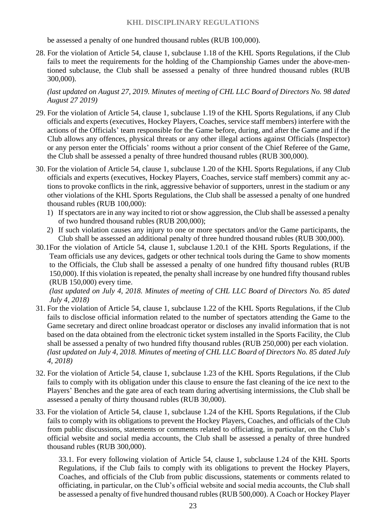be assessed a penalty of one hundred thousand rubles (RUB 100,000).

28. For the violation of Article 54, clause 1, subclause 1.18 of the KHL Sports Regulations, if the Club fails to meet the requirements for the holding of the Championship Games under the above-mentioned subclause, the Club shall be assessed a penalty of three hundred thousand rubles (RUB 300,000).

*(last updated on August 27, 2019. Minutes of meeting of CHL LLC Board of Directors No. 98 dated August 27 2019)*

- 29. For the violation of Article 54, clause 1, subclause 1.19 of the KHL Sports Regulations, if any Club officials and experts (executives, Hockey Players, Coaches, service staff members) interfere with the actions of the Officials' team responsible for the Game before, during, and after the Game and if the Club allows any offences, physical threats or any other illegal actions against Officials (Inspector) or any person enter the Officials' rooms without a prior consent of the Chief Referee of the Game, the Club shall be assessed a penalty of three hundred thousand rubles (RUB 300,000).
- 30. For the violation of Article 54, clause 1, subclause 1.20 of the KHL Sports Regulations, if any Club officials and experts (executives, Hockey Players, Coaches, service staff members) commit any actions to provoke conflicts in the rink, aggressive behavior of supporters, unrest in the stadium or any other violations of the KHL Sports Regulations, the Club shall be assessed a penalty of one hundred thousand rubles (RUB 100,000):
	- 1) If spectators are in any way incited to riot or show aggression, the Club shall be assessed a penalty of two hundred thousand rubles (RUB 200,000);
	- 2) If such violation causes any injury to one or more spectators and/or the Game participants, the Club shall be assessed an additional penalty of three hundred thousand rubles (RUB 300,000).
- 30.1For the violation of Article 54, clause 1, subclause 1.20.1 of the KHL Sports Regulations, if the Team officials use any devices, gadgets or other technical tools during the Game to show moments to the Officials, the Club shall be assessed a penalty of one hundred fifty thousand rubles (RUB 150,000). If this violation is repeated, the penalty shall increase by one hundred fifty thousand rubles (RUB 150,000) every time.

*(last updated on July 4, 2018. Minutes of meeting of CHL LLC Board of Directors No. 85 dated July 4, 2018)*

- 31. For the violation of Article 54, clause 1, subclause 1.22 of the KHL Sports Regulations, if the Club fails to disclose official information related to the number of spectators attending the Game to the Game secretary and direct online broadcast operator or discloses any invalid information that is not based on the data obtained from the electronic ticket system installed in the Sports Facility, the Club shall be assessed a penalty of two hundred fifty thousand rubles (RUB 250,000) per each violation. *(last updated on July 4, 2018. Minutes of meeting of CHL LLC Board of Directors No. 85 dated July 4, 2018)*
- 32. For the violation of Article 54, clause 1, subclause 1.23 of the KHL Sports Regulations, if the Club fails to comply with its obligation under this clause to ensure the fast cleaning of the ice next to the Players' Benches and the gate area of each team during advertising intermissions, the Club shall be assessed a penalty of thirty thousand rubles (RUB 30,000).
- 33. For the violation of Article 54, clause 1, subclause 1.24 of the KHL Sports Regulations, if the Club fails to comply with its obligations to prevent the Hockey Players, Coaches, and officials of the Club from public discussions, statements or comments related to officiating, in particular, on the Club's official website and social media accounts, the Club shall be assessed a penalty of three hundred thousand rubles (RUB 300,000).

33.1. For every following violation of Article 54, clause 1, subclause 1.24 of the KHL Sports Regulations, if the Club fails to comply with its obligations to prevent the Hockey Players, Coaches, and officials of the Club from public discussions, statements or comments related to officiating, in particular, on the Club's official website and social media accounts, the Club shall be assessed a penalty of five hundred thousand rubles (RUB 500,000). A Coach or Hockey Player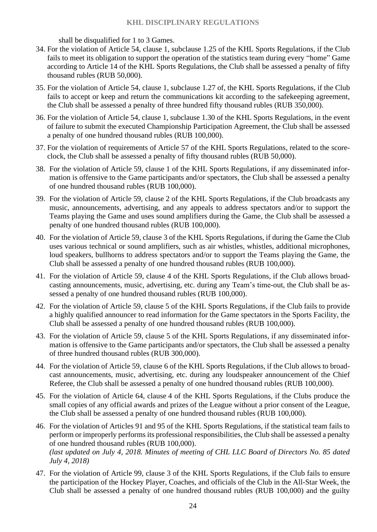shall be disqualified for 1 to 3 Games.

- 34. For the violation of Article 54, clause 1, subclause 1.25 of the KHL Sports Regulations, if the Club fails to meet its obligation to support the operation of the statistics team during every "home" Game according to Article 14 of the KHL Sports Regulations, the Club shall be assessed a penalty of fifty thousand rubles (RUB 50,000).
- 35. For the violation of Article 54, clause 1, subclause 1.27 of, the KHL Sports Regulations, if the Club fails to accept or keep and return the communications kit according to the safekeeping agreement, the Club shall be assessed a penalty of three hundred fifty thousand rubles (RUB 350,000).
- 36. For the violation of Article 54, clause 1, subclause 1.30 of the KHL Sports Regulations, in the event of failure to submit the executed Championship Participation Agreement, the Club shall be assessed a penalty of one hundred thousand rubles (RUB 100,000).
- 37. For the violation of requirements of Article 57 of the KHL Sports Regulations, related to the scoreclock, the Club shall be assessed a penalty of fifty thousand rubles (RUB 50,000).
- 38. For the violation of Article 59, clause 1 of the KHL Sports Regulations, if any disseminated information is offensive to the Game participants and/or spectators, the Club shall be assessed a penalty of one hundred thousand rubles (RUB 100,000).
- 39. For the violation of Article 59, clause 2 of the KHL Sports Regulations, if the Club broadcasts any music, announcements, advertising, and any appeals to address spectators and/or to support the Teams playing the Game and uses sound amplifiers during the Game, the Club shall be assessed a penalty of one hundred thousand rubles (RUB 100,000).
- 40. For the violation of Article 59, clause 3 of the KHL Sports Regulations, if during the Game the Club uses various technical or sound amplifiers, such as air whistles, whistles, additional microphones, loud speakers, bullhorns to address spectators and/or to support the Teams playing the Game, the Club shall be assessed a penalty of one hundred thousand rubles (RUB 100,000).
- 41. For the violation of Article 59, clause 4 of the KHL Sports Regulations, if the Club allows broadcasting announcements, music, advertising, etc. during any Team's time-out, the Club shall be assessed a penalty of one hundred thousand rubles (RUB 100,000).
- 42. For the violation of Article 59, clause 5 of the KHL Sports Regulations, if the Club fails to provide a highly qualified announcer to read information for the Game spectators in the Sports Facility, the Club shall be assessed a penalty of one hundred thousand rubles (RUB 100,000).
- 43. For the violation of Article 59, clause 5 of the KHL Sports Regulations, if any disseminated information is offensive to the Game participants and/or spectators, the Club shall be assessed a penalty of three hundred thousand rubles (RUB 300,000).
- 44. For the violation of Article 59, clause 6 of the KHL Sports Regulations, if the Club allows to broadcast announcements, music, advertising, etc. during any loudspeaker announcement of the Chief Referee, the Club shall be assessed a penalty of one hundred thousand rubles (RUB 100,000).
- 45. For the violation of Article 64, clause 4 of the KHL Sports Regulations, if the Clubs produce the small copies of any official awards and prizes of the League without a prior consent of the League, the Club shall be assessed a penalty of one hundred thousand rubles (RUB 100,000).
- 46. For the violation of Articles 91 and 95 of the KHL Sports Regulations, if the statistical team fails to perform or improperly performs its professional responsibilities, the Club shall be assessed a penalty of one hundred thousand rubles (RUB 100,000). *(last updated on July 4, 2018. Minutes of meeting of CHL LLC Board of Directors No. 85 dated July 4, 2018)*
- 47. For the violation of Article 99, clause 3 of the KHL Sports Regulations, if the Club fails to ensure the participation of the Hockey Player, Coaches, and officials of the Club in the All-Star Week, the Club shall be assessed a penalty of one hundred thousand rubles (RUB 100,000) and the guilty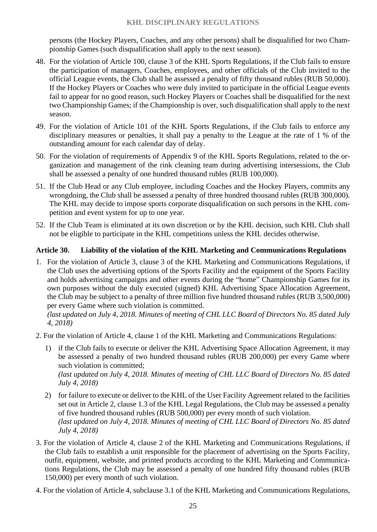persons (the Hockey Players, Coaches, and any other persons) shall be disqualified for two Championship Games (such disqualification shall apply to the next season).

- 48. For the violation of Article 100, clause 3 of the KHL Sports Regulations, if the Club fails to ensure the participation of managers, Coaches, employees, and other officials of the Club invited to the official League events, the Club shall be assessed a penalty of fifty thousand rubles (RUB 50,000). If the Hockey Players or Coaches who were duly invited to participate in the official League events fail to appear for no good reason, such Hockey Players or Coaches shall be disqualified for the next two Championship Games; if the Championship is over, such disqualification shall apply to the next season.
- 49. For the violation of Article 101 of the KHL Sports Regulations, if the Club fails to enforce any disciplinary measures or penalties, it shall pay a penalty to the League at the rate of 1 % of the outstanding amount for each calendar day of delay.
- 50. For the violation of requirements of Appendix 9 of the KHL Sports Regulations, related to the organization and management of the rink cleaning team during advertising intersessions, the Club shall be assessed a penalty of one hundred thousand rubles (RUB 100,000).
- 51. If the Club Head or any Club employee, including Coaches and the Hockey Players, commits any wrongdoing, the Club shall be assessed a penalty of three hundred thousand rubles (RUB 300,000). The KHL may decide to impose sports corporate disqualification on such persons in the KHL competition and event system for up to one year.
- 52. If the Club Team is eliminated at its own discretion or by the KHL decision, such KHL Club shall not be eligible to participate in the KHL competitions unless the KHL decides otherwise.

#### <span id="page-24-0"></span>**Article 30. Liability of the violation of the KHL Marketing and Communications Regulations**

1. For the violation of Article 3, clause 3 of the KHL Marketing and Communications Regulations, if the Club uses the advertising options of the Sports Facility and the equipment of the Sports Facility and holds advertising campaigns and other events during the "home" Championship Games for its own purposes without the duly executed (signed) KHL Advertising Space Allocation Agreement, the Club may be subject to a penalty of three million five hundred thousand rubles (RUB 3,500,000) per every Game where such violation is committed.

- 2. For the violation of Article 4, clause 1 of the KHL Marketing and Communications Regulations:
	- 1) if the Club fails to execute or deliver the KHL Advertising Space Allocation Agreement, it may be assessed a penalty of two hundred thousand rubles (RUB 200,000) per every Game where such violation is committed: *(last updated on July 4, 2018. Minutes of meeting of CHL LLC Board of Directors No. 85 dated July 4, 2018)*
	- 2) for failure to execute or deliver to the KHL of the User Facility Agreement related to the facilities set out in Article 2, clause 1.3 of the KHL Legal Regulations, the Club may be assessed a penalty of five hundred thousand rubles (RUB 500,000) per every month of such violation. *(last updated on July 4, 2018. Minutes of meeting of CHL LLC Board of Directors No. 85 dated July 4, 2018)*
- 3. For the violation of Article 4, clause 2 of the KHL Marketing and Communications Regulations, if the Club fails to establish a unit responsible for the placement of advertising on the Sports Facility, outfit, equipment, website, and printed products according to the KHL Marketing and Communications Regulations, the Club may be assessed a penalty of one hundred fifty thousand rubles (RUB 150,000) per every month of such violation.
- 4. For the violation of Article 4, subclause 3.1 of the KHL Marketing and Communications Regulations,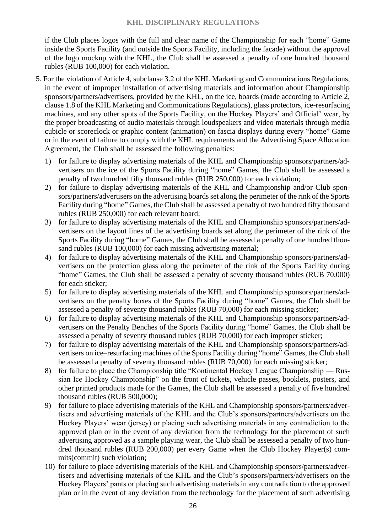if the Club places logos with the full and clear name of the Championship for each "home" Game inside the Sports Facility (and outside the Sports Facility, including the facade) without the approval of the logo mockup with the KHL, the Club shall be assessed a penalty of one hundred thousand rubles (RUB 100,000) for each violation.

- 5. For the violation of Article 4, subclause 3.2 of the KHL Marketing and Communications Regulations, in the event of improper installation of advertising materials and information about Championship sponsors/partners/advertisers, provided by the KHL, on the ice, boards (made according to Article 2, clause 1.8 of the KHL Marketing and Communications Regulations), glass protectors, ice-resurfacing machines, and any other spots of the Sports Facility, on the Hockey Players' and Official' wear, by the proper broadcasting of audio materials through loudspeakers and video materials through media cubicle or scoreclock or graphic content (animation) on fascia displays during every "home" Game or in the event of failure to comply with the KHL requirements and the Advertising Space Allocation Agreement, the Club shall be assessed the following penalties:
	- 1) for failure to display advertising materials of the KHL and Championship sponsors/partners/advertisers on the ice of the Sports Facility during "home" Games, the Club shall be assessed a penalty of two hundred fifty thousand rubles (RUB 250,000) for each violation;
	- 2) for failure to display advertising materials of the KHL and Championship and/or Club sponsors/partners/advertisers on the advertising boards set along the perimeter of the rink of the Sports Facility during "home" Games, the Club shall be assessed a penalty of two hundred fifty thousand rubles (RUB 250,000) for each relevant board;
	- 3) for failure to display advertising materials of the KHL and Championship sponsors/partners/advertisers on the layout lines of the advertising boards set along the perimeter of the rink of the Sports Facility during "home" Games, the Club shall be assessed a penalty of one hundred thousand rubles (RUB 100,000) for each missing advertising material;
	- 4) for failure to display advertising materials of the KHL and Championship sponsors/partners/advertisers on the protection glass along the perimeter of the rink of the Sports Facility during "home" Games, the Club shall be assessed a penalty of seventy thousand rubles (RUB 70,000) for each sticker;
	- 5) for failure to display advertising materials of the KHL and Championship sponsors/partners/advertisers on the penalty boxes of the Sports Facility during "home" Games, the Club shall be assessed a penalty of seventy thousand rubles (RUB 70,000) for each missing sticker;
	- 6) for failure to display advertising materials of the KHL and Championship sponsors/partners/advertisers on the Penalty Benches of the Sports Facility during "home" Games, the Club shall be assessed a penalty of seventy thousand rubles (RUB 70,000) for each improper sticker;
	- 7) for failure to display advertising materials of the KHL and Championship sponsors/partners/advertisers on ice–resurfacing machines of the Sports Facility during "home" Games, the Club shall be assessed a penalty of seventy thousand rubles (RUB 70,000) for each missing sticker;
	- 8) for failure to place the Championship title "Kontinental Hockey League Championship Russian Ice Hockey Championship" on the front of tickets, vehicle passes, booklets, posters, and other printed products made for the Games, the Club shall be assessed a penalty of five hundred thousand rubles (RUB 500,000);
	- 9) for failure to place advertising materials of the KHL and Championship sponsors/partners/advertisers and advertising materials of the KHL and the Club's sponsors/partners/advertisers on the Hockey Players' wear (jersey) or placing such advertising materials in any contradiction to the approved plan or in the event of any deviation from the technology for the placement of such advertising approved as a sample playing wear, the Club shall be assessed a penalty of two hundred thousand rubles (RUB 200,000) per every Game when the Club Hockey Player(s) commits(commit) such violation;
	- 10) for failure to place advertising materials of the KHL and Championship sponsors/partners/advertisers and advertising materials of the KHL and the Club's sponsors/partners/advertisers on the Hockey Players' pants or placing such advertising materials in any contradiction to the approved plan or in the event of any deviation from the technology for the placement of such advertising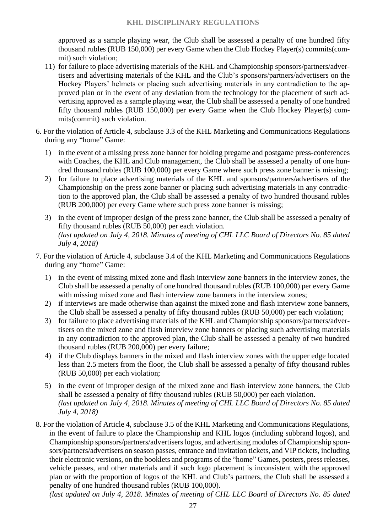approved as a sample playing wear, the Club shall be assessed a penalty of one hundred fifty thousand rubles (RUB 150,000) per every Game when the Club Hockey Player(s) commits(commit) such violation;

- 11) for failure to place advertising materials of the KHL and Championship sponsors/partners/advertisers and advertising materials of the KHL and the Club's sponsors/partners/advertisers on the Hockey Players' helmets or placing such advertising materials in any contradiction to the approved plan or in the event of any deviation from the technology for the placement of such advertising approved as a sample playing wear, the Club shall be assessed a penalty of one hundred fifty thousand rubles (RUB 150,000) per every Game when the Club Hockey Player(s) commits(commit) such violation.
- 6. For the violation of Article 4, subclause 3.3 of the KHL Marketing and Communications Regulations during any "home" Game:
	- 1) in the event of a missing press zone banner for holding pregame and postgame press-conferences with Coaches, the KHL and Club management, the Club shall be assessed a penalty of one hundred thousand rubles (RUB 100,000) per every Game where such press zone banner is missing;
	- 2) for failure to place advertising materials of the KHL and sponsors/partners/advertisers of the Championship on the press zone banner or placing such advertising materials in any contradiction to the approved plan, the Club shall be assessed a penalty of two hundred thousand rubles (RUB 200,000) per every Game where such press zone banner is missing;
	- 3) in the event of improper design of the press zone banner, the Club shall be assessed a penalty of fifty thousand rubles (RUB 50,000) per each violation. *(last updated on July 4, 2018. Minutes of meeting of CHL LLC Board of Directors No. 85 dated July 4, 2018)*
- 7. For the violation of Article 4, subclause 3.4 of the KHL Marketing and Communications Regulations during any "home" Game:
	- 1) in the event of missing mixed zone and flash interview zone banners in the interview zones, the Club shall be assessed a penalty of one hundred thousand rubles (RUB 100,000) per every Game with missing mixed zone and flash interview zone banners in the interview zones;
	- 2) if interviews are made otherwise than against the mixed zone and flash interview zone banners, the Club shall be assessed a penalty of fifty thousand rubles (RUB 50,000) per each violation;
	- 3) for failure to place advertising materials of the KHL and Championship sponsors/partners/advertisers on the mixed zone and flash interview zone banners or placing such advertising materials in any contradiction to the approved plan, the Club shall be assessed a penalty of two hundred thousand rubles (RUB 200,000) per every failure;
	- 4) if the Club displays banners in the mixed and flash interview zones with the upper edge located less than 2.5 meters from the floor, the Club shall be assessed a penalty of fifty thousand rubles (RUB 50,000) per each violation;
	- 5) in the event of improper design of the mixed zone and flash interview zone banners, the Club shall be assessed a penalty of fifty thousand rubles (RUB 50,000) per each violation. *(last updated on July 4, 2018. Minutes of meeting of CHL LLC Board of Directors No. 85 dated July 4, 2018)*
- 8. For the violation of Article 4, subclause 3.5 of the KHL Marketing and Communications Regulations, in the event of failure to place the Championship and KHL logos (including subbrand logos), and Championship sponsors/partners/advertisers logos, and advertising modules of Championship sponsors/partners/advertisers on season passes, entrance and invitation tickets, and VIP tickets, including their electronic versions, on the booklets and programs of the "home" Games, posters, press releases, vehicle passes, and other materials and if such logo placement is inconsistent with the approved plan or with the proportion of logos of the KHL and Club's partners, the Club shall be assessed a penalty of one hundred thousand rubles (RUB 100,000).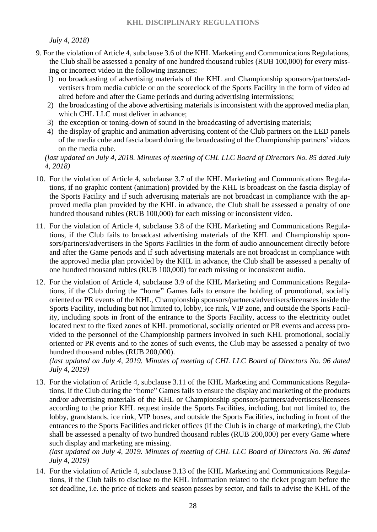#### *July 4, 2018)*

- 9. For the violation of Article 4, subclause 3.6 of the KHL Marketing and Communications Regulations, the Club shall be assessed a penalty of one hundred thousand rubles (RUB 100,000) for every missing or incorrect video in the following instances:
	- 1) no broadcasting of advertising materials of the KHL and Championship sponsors/partners/advertisers from media cubicle or on the scoreclock of the Sports Facility in the form of video ad aired before and after the Game periods and during advertising intermissions;
	- 2) the broadcasting of the above advertising materials is inconsistent with the approved media plan, which CHL LLC must deliver in advance;
	- 3) the exception or toning-down of sound in the broadcasting of advertising materials;
	- 4) the display of graphic and animation advertising content of the Club partners on the LED panels of the media cube and fascia board during the broadcasting of the Championship partners' videos on the media cube.

*(last updated on July 4, 2018. Minutes of meeting of CHL LLC Board of Directors No. 85 dated July 4, 2018)*

- 10. For the violation of Article 4, subclause 3.7 of the KHL Marketing and Communications Regulations, if no graphic content (animation) provided by the KHL is broadcast on the fascia display of the Sports Facility and if such advertising materials are not broadcast in compliance with the approved media plan provided by the KHL in advance, the Club shall be assessed a penalty of one hundred thousand rubles (RUB 100,000) for each missing or inconsistent video.
- 11. For the violation of Article 4, subclause 3.8 of the KHL Marketing and Communications Regulations, if the Club fails to broadcast advertising materials of the KHL and Championship sponsors/partners/advertisers in the Sports Facilities in the form of audio announcement directly before and after the Game periods and if such advertising materials are not broadcast in compliance with the approved media plan provided by the KHL in advance, the Club shall be assessed a penalty of one hundred thousand rubles (RUB 100,000) for each missing or inconsistent audio.
- 12. For the violation of Article 4, subclause 3.9 of the KHL Marketing and Communications Regulations, if the Club during the "home" Games fails to ensure the holding of promotional, socially oriented or PR events of the KHL, Championship sponsors/partners/advertisers/licensees inside the Sports Facility, including but not limited to, lobby, ice rink, VIP zone, and outside the Sports Facility, including spots in front of the entrance to the Sports Facility, access to the electricity outlet located next to the fixed zones of KHL promotional, socially oriented or PR events and access provided to the personnel of the Championship partners involved in such KHL promotional, socially oriented or PR events and to the zones of such events, the Club may be assessed a penalty of two hundred thousand rubles (RUB 200,000).

*(last updated on July 4, 2019. Minutes of meeting of CHL LLC Board of Directors No. 96 dated July 4, 2019)*

13. For the violation of Article 4, subclause 3.11 of the KHL Marketing and Communications Regulations, if the Club during the "home" Games fails to ensure the display and marketing of the products and/or advertising materials of the KHL or Championship sponsors/partners/advertisers/licensees according to the prior KHL request inside the Sports Facilities, including, but not limited to, the lobby, grandstands, ice rink, VIP boxes, and outside the Sports Facilities, including in front of the entrances to the Sports Facilities and ticket offices (if the Club is in charge of marketing), the Club shall be assessed a penalty of two hundred thousand rubles (RUB 200,000) per every Game where such display and marketing are missing.

*(last updated on July 4, 2019. Minutes of meeting of CHL LLC Board of Directors No. 96 dated July 4, 2019)*

14. For the violation of Article 4, subclause 3.13 of the KHL Marketing and Communications Regulations, if the Club fails to disclose to the KHL information related to the ticket program before the set deadline, i.e. the price of tickets and season passes by sector, and fails to advise the KHL of the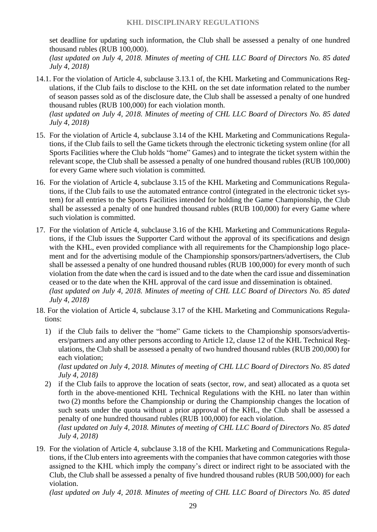set deadline for updating such information, the Club shall be assessed a penalty of one hundred thousand rubles (RUB 100,000).

*(last updated on July 4, 2018. Minutes of meeting of CHL LLC Board of Directors No. 85 dated July 4, 2018)*

14.1. For the violation of Article 4, subclause 3.13.1 of, the KHL Marketing and Communications Regulations, if the Club fails to disclose to the KHL on the set date information related to the number of season passes sold as of the disclosure date, the Club shall be assessed a penalty of one hundred thousand rubles (RUB 100,000) for each violation month. *(last updated on July 4, 2018. Minutes of meeting of CHL LLC Board of Directors No. 85 dated* 

*July 4, 2018)*

- 15. For the violation of Article 4, subclause 3.14 of the KHL Marketing and Communications Regulations, if the Club fails to sell the Game tickets through the electronic ticketing system online (for all Sports Facilities where the Club holds "home" Games) and to integrate the ticket system within the relevant scope, the Club shall be assessed a penalty of one hundred thousand rubles (RUB 100,000) for every Game where such violation is committed.
- 16. For the violation of Article 4, subclause 3.15 of the KHL Marketing and Communications Regulations, if the Club fails to use the automated entrance control (integrated in the electronic ticket system) for all entries to the Sports Facilities intended for holding the Game Championship, the Club shall be assessed a penalty of one hundred thousand rubles (RUB 100,000) for every Game where such violation is committed.
- 17. For the violation of Article 4, subclause 3.16 of the KHL Marketing and Communications Regulations, if the Club issues the Supporter Card without the approval of its specifications and design with the KHL, even provided compliance with all requirements for the Championship logo placement and for the advertising module of the Championship sponsors/partners/advertisers, the Club shall be assessed a penalty of one hundred thousand rubles (RUB 100,000) for every month of such violation from the date when the card is issued and to the date when the card issue and dissemination ceased or to the date when the KHL approval of the card issue and dissemination is obtained. *(last updated on July 4, 2018. Minutes of meeting of CHL LLC Board of Directors No. 85 dated July 4, 2018)*
- 18. For the violation of Article 4, subclause 3.17 of the KHL Marketing and Communications Regulations:
	- 1) if the Club fails to deliver the "home" Game tickets to the Championship sponsors/advertisers/partners and any other persons according to Article 12, clause 12 of the KHL Technical Regulations, the Club shall be assessed a penalty of two hundred thousand rubles (RUB 200,000) for each violation;

*(last updated on July 4, 2018. Minutes of meeting of CHL LLC Board of Directors No. 85 dated July 4, 2018)*

2) if the Club fails to approve the location of seats (sector, row, and seat) allocated as a quota set forth in the above-mentioned KHL Technical Regulations with the KHL no later than within two (2) months before the Championship or during the Championship changes the location of such seats under the quota without a prior approval of the KHL, the Club shall be assessed a penalty of one hundred thousand rubles (RUB 100,000) for each violation.

*(last updated on July 4, 2018. Minutes of meeting of CHL LLC Board of Directors No. 85 dated July 4, 2018)*

19. For the violation of Article 4, subclause 3.18 of the KHL Marketing and Communications Regulations, if the Club enters into agreements with the companies that have common categories with those assigned to the KHL which imply the company's direct or indirect right to be associated with the Club, the Club shall be assessed a penalty of five hundred thousand rubles (RUB 500,000) for each violation.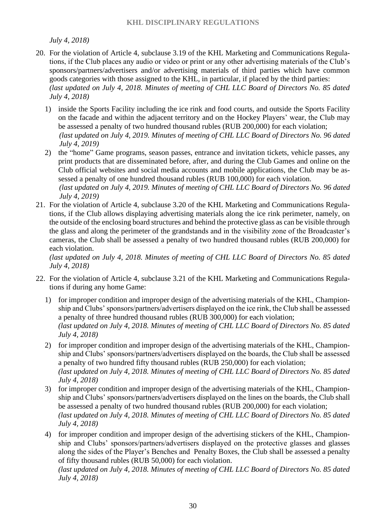*July 4, 2018)*

- 20. For the violation of Article 4, subclause 3.19 of the KHL Marketing and Communications Regulations, if the Club places any audio or video or print or any other advertising materials of the Club's sponsors/partners/advertisers and/or advertising materials of third parties which have common goods categories with those assigned to the KHL, in particular, if placed by the third parties: *(last updated on July 4, 2018. Minutes of meeting of CHL LLC Board of Directors No. 85 dated July 4, 2018)*
	- 1) inside the Sports Facility including the ice rink and food courts, and outside the Sports Facility on the facade and within the adjacent territory and on the Hockey Players' wear, the Club may be assessed a penalty of two hundred thousand rubles (RUB 200,000) for each violation; *(last updated on July 4, 2019. Minutes of meeting of CHL LLC Board of Directors No. 96 dated July 4, 2019)*
	- 2) the "home" Game programs, season passes, entrance and invitation tickets, vehicle passes, any print products that are disseminated before, after, and during the Club Games and online on the Club official websites and social media accounts and mobile applications, the Club may be assessed a penalty of one hundred thousand rubles (RUB 100,000) for each violation. *(last updated on July 4, 2019. Minutes of meeting of CHL LLC Board of Directors No. 96 dated*
- *July 4, 2019)* 21. For the violation of Article 4, subclause 3.20 of the KHL Marketing and Communications Regulations, if the Club allows displaying advertising materials along the ice rink perimeter, namely, on the outside of the enclosing board structures and behind the protective glass as can be visible through the glass and along the perimeter of the grandstands and in the visibility zone of the Broadcaster's cameras, the Club shall be assessed a penalty of two hundred thousand rubles (RUB 200,000) for each violation.

*(last updated on July 4, 2018. Minutes of meeting of CHL LLC Board of Directors No. 85 dated July 4, 2018)*

- 22. For the violation of Article 4, subclause 3.21 of the KHL Marketing and Communications Regulations if during any home Game:
	- 1) for improper condition and improper design of the advertising materials of the KHL, Championship and Clubs' sponsors/partners/advertisers displayed on the ice rink, the Club shall be assessed a penalty of three hundred thousand rubles (RUB 300,000) for each violation; *(last updated on July 4, 2018. Minutes of meeting of CHL LLC Board of Directors No. 85 dated July 4, 2018)*
	- 2) for improper condition and improper design of the advertising materials of the KHL, Championship and Clubs' sponsors/partners/advertisers displayed on the boards, the Club shall be assessed a penalty of two hundred fifty thousand rubles (RUB 250,000) for each violation; *(last updated on July 4, 2018. Minutes of meeting of CHL LLC Board of Directors No. 85 dated July 4, 2018)*
	- 3) for improper condition and improper design of the advertising materials of the KHL, Championship and Clubs' sponsors/partners/advertisers displayed on the lines on the boards, the Club shall be assessed a penalty of two hundred thousand rubles (RUB 200,000) for each violation; *(last updated on July 4, 2018. Minutes of meeting of CHL LLC Board of Directors No. 85 dated July 4, 2018)*
	- 4) for improper condition and improper design of the advertising stickers of the KHL, Championship and Clubs' sponsors/partners/advertisers displayed on the protective glasses and glasses along the sides of the Player's Benches and Penalty Boxes, the Club shall be assessed a penalty of fifty thousand rubles (RUB 50,000) for each violation.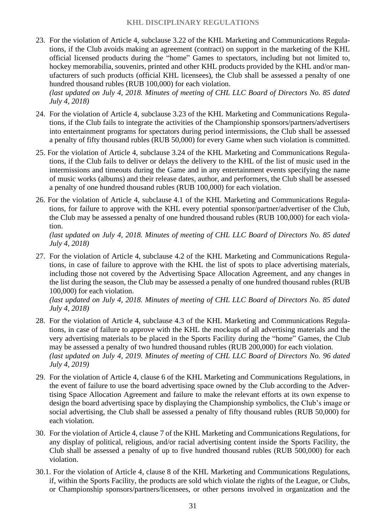23. For the violation of Article 4, subclause 3.22 of the KHL Marketing and Communications Regulations, if the Club avoids making an agreement (contract) on support in the marketing of the KHL official licensed products during the "home" Games to spectators, including but not limited to, hockey memorabilia, souvenirs, printed and other KHL products provided by the KHL and/or manufacturers of such products (official KHL licensees), the Club shall be assessed a penalty of one hundred thousand rubles (RUB 100,000) for each violation.

*(last updated on July 4, 2018. Minutes of meeting of CHL LLC Board of Directors No. 85 dated July 4, 2018)*

- 24. For the violation of Article 4, subclause 3.23 of the KHL Marketing and Communications Regulations, if the Club fails to integrate the activities of the Championship sponsors/partners/advertisers into entertainment programs for spectators during period intermissions, the Club shall be assessed a penalty of fifty thousand rubles (RUB 50,000) for every Game when such violation is committed.
- 25. For the violation of Article 4, subclause 3.24 of the KHL Marketing and Communications Regulations, if the Club fails to deliver or delays the delivery to the KHL of the list of music used in the intermissions and timeouts during the Game and in any entertainment events specifying the name of music works (albums) and their release dates, author, and performers, the Club shall be assessed a penalty of one hundred thousand rubles (RUB 100,000) for each violation.
- 26. For the violation of Article 4, subclause 4.1 of the KHL Marketing and Communications Regulations, for failure to approve with the KHL every potential sponsor/partner/advertiser of the Club, the Club may be assessed a penalty of one hundred thousand rubles (RUB 100,000) for each violation.

*(last updated on July 4, 2018. Minutes of meeting of CHL LLC Board of Directors No. 85 dated July 4, 2018)*

27. For the violation of Article 4, subclause 4.2 of the KHL Marketing and Communications Regulations, in case of failure to approve with the KHL the list of spots to place advertising materials, including those not covered by the Advertising Space Allocation Agreement, and any changes in the list during the season, the Club may be assessed a penalty of one hundred thousand rubles (RUB 100,000) for each violation.

- 28. For the violation of Article 4, subclause 4.3 of the KHL Marketing and Communications Regulations, in case of failure to approve with the KHL the mockups of all advertising materials and the very advertising materials to be placed in the Sports Facility during the "home" Games, the Club may be assessed a penalty of two hundred thousand rubles (RUB 200,000) for each violation. *(last updated on July 4, 2019. Minutes of meeting of CHL LLC Board of Directors No. 96 dated July 4, 2019)*
- 29. For the violation of Article 4, clause 6 of the KHL Marketing and Communications Regulations, in the event of failure to use the board advertising space owned by the Club according to the Advertising Space Allocation Agreement and failure to make the relevant efforts at its own expense to design the board advertising space by displaying the Championship symbolics, the Club's image or social advertising, the Club shall be assessed a penalty of fifty thousand rubles (RUB 50,000) for each violation.
- 30. For the violation of Article 4, clause 7 of the KHL Marketing and Communications Regulations, for any display of political, religious, and/or racial advertising content inside the Sports Facility, the Club shall be assessed a penalty of up to five hundred thousand rubles (RUB 500,000) for each violation.
- 30.1. For the violation of Article 4, clause 8 of the KHL Marketing and Communications Regulations, if, within the Sports Facility, the products are sold which violate the rights of the League, or Clubs, or Championship sponsors/partners/licensees, or other persons involved in organization and the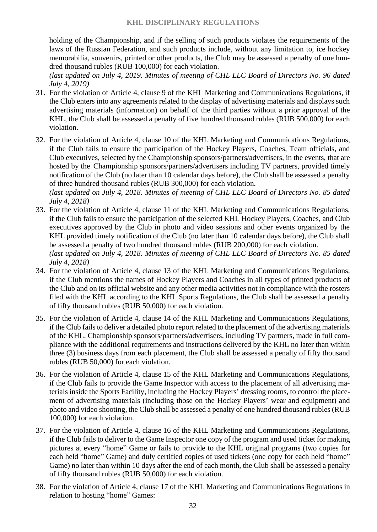holding of the Championship, and if the selling of such products violates the requirements of the laws of the Russian Federation, and such products include, without any limitation to, ice hockey memorabilia, souvenirs, printed or other products, the Club may be assessed a penalty of one hundred thousand rubles (RUB 100,000) for each violation.

*(last updated on July 4, 2019. Minutes of meeting of CHL LLC Board of Directors No. 96 dated July 4, 2019)*

- 31. For the violation of Article 4, clause 9 of the KHL Marketing and Communications Regulations, if the Club enters into any agreements related to the display of advertising materials and displays such advertising materials (information) on behalf of the third parties without a prior approval of the KHL, the Club shall be assessed a penalty of five hundred thousand rubles (RUB 500,000) for each violation.
- 32. For the violation of Article 4, clause 10 of the KHL Marketing and Communications Regulations, if the Club fails to ensure the participation of the Hockey Players, Coaches, Team officials, and Club executives, selected by the Championship sponsors/partners/advertisers, in the events, that are hosted by the Championship sponsors/partners/advertisers including TV partners, provided timely notification of the Club (no later than 10 calendar days before), the Club shall be assessed a penalty of three hundred thousand rubles (RUB 300,000) for each violation.

- 33. For the violation of Article 4, clause 11 of the KHL Marketing and Communications Regulations, if the Club fails to ensure the participation of the selected KHL Hockey Players, Coaches, and Club executives approved by the Club in photo and video sessions and other events organized by the KHL provided timely notification of the Club (no later than 10 calendar days before), the Club shall be assessed a penalty of two hundred thousand rubles (RUB 200,000) for each violation. *(last updated on July 4, 2018. Minutes of meeting of CHL LLC Board of Directors No. 85 dated July 4, 2018)*
- 34. For the violation of Article 4, clause 13 of the KHL Marketing and Communications Regulations, if the Club mentions the names of Hockey Players and Coaches in all types of printed products of the Club and on its official website and any other media activities not in compliance with the rosters filed with the KHL according to the KHL Sports Regulations, the Club shall be assessed a penalty of fifty thousand rubles (RUB 50,000) for each violation.
- 35. For the violation of Article 4, clause 14 of the KHL Marketing and Communications Regulations, if the Club fails to deliver a detailed photo report related to the placement of the advertising materials of the KHL, Championship sponsors/partners/advertisers, including TV partners, made in full compliance with the additional requirements and instructions delivered by the KHL no later than within three (3) business days from each placement, the Club shall be assessed a penalty of fifty thousand rubles (RUB 50,000) for each violation.
- 36. For the violation of Article 4, clause 15 of the KHL Marketing and Communications Regulations, if the Club fails to provide the Game Inspector with access to the placement of all advertising materials inside the Sports Facility, including the Hockey Players' dressing rooms, to control the placement of advertising materials (including those on the Hockey Players' wear and equipment) and photo and video shooting, the Club shall be assessed a penalty of one hundred thousand rubles (RUB 100,000) for each violation.
- 37. For the violation of Article 4, clause 16 of the KHL Marketing and Communications Regulations, if the Club fails to deliver to the Game Inspector one copy of the program and used ticket for making pictures at every "home" Game or fails to provide to the KHL original programs (two copies for each held "home" Game) and duly certified copies of used tickets (one copy for each held "home" Game) no later than within 10 days after the end of each month, the Club shall be assessed a penalty of fifty thousand rubles (RUB 50,000) for each violation.
- 38. For the violation of Article 4, clause 17 of the KHL Marketing and Communications Regulations in relation to hosting "home" Games: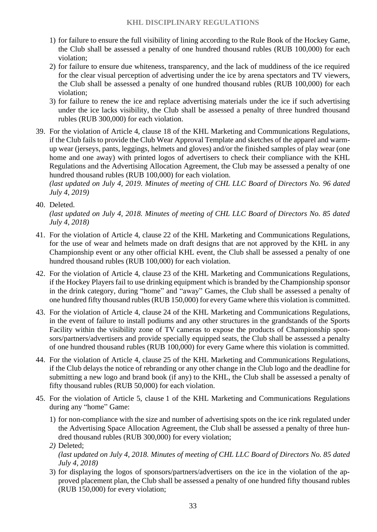- 1) for failure to ensure the full visibility of lining according to the Rule Book of the Hockey Game, the Club shall be assessed a penalty of one hundred thousand rubles (RUB 100,000) for each violation;
- 2) for failure to ensure due whiteness, transparency, and the lack of muddiness of the ice required for the clear visual perception of advertising under the ice by arena spectators and TV viewers, the Club shall be assessed a penalty of one hundred thousand rubles (RUB 100,000) for each violation;
- 3) for failure to renew the ice and replace advertising materials under the ice if such advertising under the ice lacks visibility, the Club shall be assessed a penalty of three hundred thousand rubles (RUB 300,000) for each violation.
- 39. For the violation of Article 4, clause 18 of the KHL Marketing and Communications Regulations, if the Club fails to provide the Club Wear Approval Template and sketches of the apparel and warmup wear (jerseys, pants, leggings, helmets and gloves) and/or the finished samples of play wear (one home and one away) with printed logos of advertisers to check their compliance with the KHL Regulations and the Advertising Allocation Agreement, the Club may be assessed a penalty of one hundred thousand rubles (RUB 100,000) for each violation.

*(last updated on July 4, 2019. Minutes of meeting of CHL LLC Board of Directors No. 96 dated July 4, 2019)*

40. Deleted.

- 41. For the violation of Article 4, clause 22 of the KHL Marketing and Communications Regulations, for the use of wear and helmets made on draft designs that are not approved by the KHL in any Championship event or any other official KHL event, the Club shall be assessed a penalty of one hundred thousand rubles (RUB 100,000) for each violation.
- 42. For the violation of Article 4, clause 23 of the KHL Marketing and Communications Regulations, if the Hockey Players fail to use drinking equipment which is branded by the Championship sponsor in the drink category, during "home" and "away" Games, the Club shall be assessed a penalty of one hundred fifty thousand rubles (RUB 150,000) for every Game where this violation is committed.
- 43. For the violation of Article 4, clause 24 of the KHL Marketing and Communications Regulations, in the event of failure to install podiums and any other structures in the grandstands of the Sports Facility within the visibility zone of TV cameras to expose the products of Championship sponsors/partners/advertisers and provide specially equipped seats, the Club shall be assessed a penalty of one hundred thousand rubles (RUB 100,000) for every Game where this violation is committed.
- 44. For the violation of Article 4, clause 25 of the KHL Marketing and Communications Regulations, if the Club delays the notice of rebranding or any other change in the Club logo and the deadline for submitting a new logo and brand book (if any) to the KHL, the Club shall be assessed a penalty of fifty thousand rubles (RUB 50,000) for each violation.
- 45. For the violation of Article 5, clause 1 of the KHL Marketing and Communications Regulations during any "home" Game:
	- 1) for non-compliance with the size and number of advertising spots on the ice rink regulated under the Advertising Space Allocation Agreement, the Club shall be assessed a penalty of three hundred thousand rubles (RUB 300,000) for every violation;
	- *2)* Deleted; *(last updated on July 4, 2018. Minutes of meeting of CHL LLC Board of Directors No. 85 dated July 4, 2018)*
	- 3) for displaying the logos of sponsors/partners/advertisers on the ice in the violation of the approved placement plan, the Club shall be assessed a penalty of one hundred fifty thousand rubles (RUB 150,000) for every violation;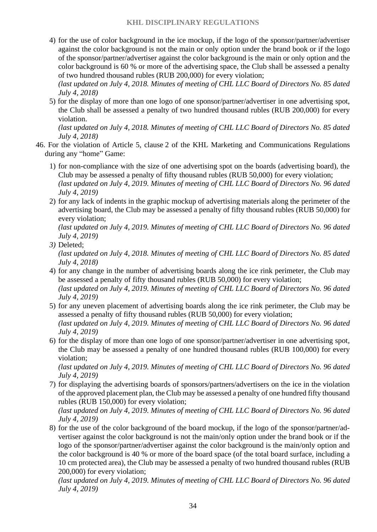4) for the use of color background in the ice mockup, if the logo of the sponsor/partner/advertiser against the color background is not the main or only option under the brand book or if the logo of the sponsor/partner/advertiser against the color background is the main or only option and the color background is 60 % or more of the advertising space, the Club shall be assessed a penalty of two hundred thousand rubles (RUB 200,000) for every violation;

*(last updated on July 4, 2018. Minutes of meeting of CHL LLC Board of Directors No. 85 dated July 4, 2018)*

5) for the display of more than one logo of one sponsor/partner/advertiser in one advertising spot, the Club shall be assessed a penalty of two hundred thousand rubles (RUB 200,000) for every violation.

*(last updated on July 4, 2018. Minutes of meeting of CHL LLC Board of Directors No. 85 dated July 4, 2018)*

- 46. For the violation of Article 5, clause 2 of the KHL Marketing and Communications Regulations during any "home" Game:
	- 1) for non-compliance with the size of one advertising spot on the boards (advertising board), the Club may be assessed a penalty of fifty thousand rubles (RUB 50,000) for every violation; *(last updated on July 4, 2019. Minutes of meeting of CHL LLC Board of Directors No. 96 dated July 4, 2019)*
	- 2) for any lack of indents in the graphic mockup of advertising materials along the perimeter of the advertising board, the Club may be assessed a penalty of fifty thousand rubles (RUB 50,000) for every violation;

*(last updated on July 4, 2019. Minutes of meeting of CHL LLC Board of Directors No. 96 dated July 4, 2019)*

*3)* Deleted;

*(last updated on July 4, 2018. Minutes of meeting of CHL LLC Board of Directors No. 85 dated July 4, 2018)*

- 4) for any change in the number of advertising boards along the ice rink perimeter, the Club may be assessed a penalty of fifty thousand rubles (RUB 50,000) for every violation; *(last updated on July 4, 2019. Minutes of meeting of CHL LLC Board of Directors No. 96 dated July 4, 2019)*
- 5) for any uneven placement of advertising boards along the ice rink perimeter, the Club may be assessed a penalty of fifty thousand rubles (RUB 50,000) for every violation; *(last updated on July 4, 2019. Minutes of meeting of CHL LLC Board of Directors No. 96 dated July 4, 2019)*
- 6) for the display of more than one logo of one sponsor/partner/advertiser in one advertising spot, the Club may be assessed a penalty of one hundred thousand rubles (RUB 100,000) for every violation;

*(last updated on July 4, 2019. Minutes of meeting of CHL LLC Board of Directors No. 96 dated July 4, 2019)*

7) for displaying the advertising boards of sponsors/partners/advertisers on the ice in the violation of the approved placement plan, the Club may be assessed a penalty of one hundred fifty thousand rubles (RUB 150,000) for every violation;

*(last updated on July 4, 2019. Minutes of meeting of CHL LLC Board of Directors No. 96 dated July 4, 2019)*

8) for the use of the color background of the board mockup, if the logo of the sponsor/partner/advertiser against the color background is not the main/only option under the brand book or if the logo of the sponsor/partner/advertiser against the color background is the main/only option and the color background is 40 % or more of the board space (of the total board surface, including a 10 cm protected area), the Club may be assessed a penalty of two hundred thousand rubles (RUB 200,000) for every violation;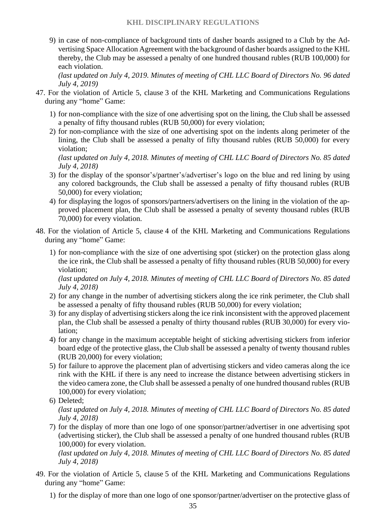9) in case of non-compliance of background tints of dasher boards assigned to a Club by the Advertising Space Allocation Agreement with the background of dasher boards assigned to the KHL thereby, the Club may be assessed a penalty of one hundred thousand rubles (RUB 100,000) for each violation.

*(last updated on July 4, 2019. Minutes of meeting of CHL LLC Board of Directors No. 96 dated July 4, 2019)*

- 47. For the violation of Article 5, clause 3 of the KHL Marketing and Communications Regulations during any "home" Game:
	- 1) for non-compliance with the size of one advertising spot on the lining, the Club shall be assessed a penalty of fifty thousand rubles (RUB 50,000) for every violation;
	- 2) for non-compliance with the size of one advertising spot on the indents along perimeter of the lining, the Club shall be assessed a penalty of fifty thousand rubles (RUB 50,000) for every violation;

*(last updated on July 4, 2018. Minutes of meeting of CHL LLC Board of Directors No. 85 dated July 4, 2018)*

- 3) for the display of the sponsor's/partner's/advertiser's logo on the blue and red lining by using any colored backgrounds, the Club shall be assessed a penalty of fifty thousand rubles (RUB 50,000) for every violation;
- 4) for displaying the logos of sponsors/partners/advertisers on the lining in the violation of the approved placement plan, the Club shall be assessed a penalty of seventy thousand rubles (RUB 70,000) for every violation.
- 48. For the violation of Article 5, clause 4 of the KHL Marketing and Communications Regulations during any "home" Game:
	- 1) for non-compliance with the size of one advertising spot (sticker) on the protection glass along the ice rink, the Club shall be assessed a penalty of fifty thousand rubles (RUB 50,000) for every violation;

*(last updated on July 4, 2018. Minutes of meeting of CHL LLC Board of Directors No. 85 dated July 4, 2018)*

- 2) for any change in the number of advertising stickers along the ice rink perimeter, the Club shall be assessed a penalty of fifty thousand rubles (RUB 50,000) for every violation;
- 3) for any display of advertising stickers along the ice rink inconsistent with the approved placement plan, the Club shall be assessed a penalty of thirty thousand rubles (RUB 30,000) for every violation;
- 4) for any change in the maximum acceptable height of sticking advertising stickers from inferior board edge of the protective glass, the Club shall be assessed a penalty of twenty thousand rubles (RUB 20,000) for every violation;
- 5) for failure to approve the placement plan of advertising stickers and video cameras along the ice rink with the KHL if there is any need to increase the distance between advertising stickers in the video camera zone, the Club shall be assessed a penalty of one hundred thousand rubles (RUB 100,000) for every violation;
- 6) Deleted;

*(last updated on July 4, 2018. Minutes of meeting of CHL LLC Board of Directors No. 85 dated July 4, 2018)*

7) for the display of more than one logo of one sponsor/partner/advertiser in one advertising spot (advertising sticker), the Club shall be assessed a penalty of one hundred thousand rubles (RUB 100,000) for every violation.

*(last updated on July 4, 2018. Minutes of meeting of CHL LLC Board of Directors No. 85 dated July 4, 2018)*

49. For the violation of Article 5, clause 5 of the KHL Marketing and Communications Regulations during any "home" Game:

1) for the display of more than one logo of one sponsor/partner/advertiser on the protective glass of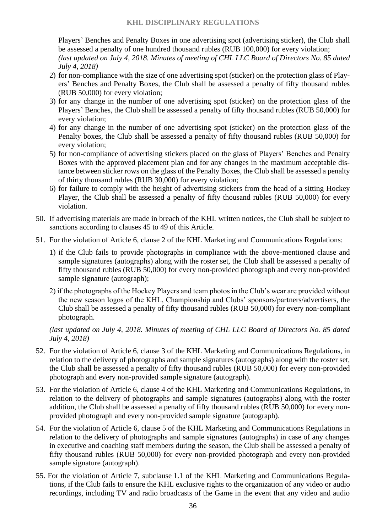Players' Benches and Penalty Boxes in one advertising spot (advertising sticker), the Club shall be assessed a penalty of one hundred thousand rubles (RUB 100,000) for every violation; *(last updated on July 4, 2018. Minutes of meeting of CHL LLC Board of Directors No. 85 dated July 4, 2018)*

- 2) for non-compliance with the size of one advertising spot (sticker) on the protection glass of Players' Benches and Penalty Boxes, the Club shall be assessed a penalty of fifty thousand rubles (RUB 50,000) for every violation;
- 3) for any change in the number of one advertising spot (sticker) on the protection glass of the Players' Benches, the Club shall be assessed a penalty of fifty thousand rubles (RUB 50,000) for every violation;
- 4) for any change in the number of one advertising spot (sticker) on the protection glass of the Penalty boxes, the Club shall be assessed a penalty of fifty thousand rubles (RUB 50,000) for every violation;
- 5) for non-compliance of advertising stickers placed on the glass of Players' Benches and Penalty Boxes with the approved placement plan and for any changes in the maximum acceptable distance between sticker rows on the glass of the Penalty Boxes, the Club shall be assessed a penalty of thirty thousand rubles (RUB 30,000) for every violation;
- 6) for failure to comply with the height of advertising stickers from the head of a sitting Hockey Player, the Club shall be assessed a penalty of fifty thousand rubles (RUB 50,000) for every violation.
- 50. If advertising materials are made in breach of the KHL written notices, the Club shall be subject to sanctions according to clauses 45 to 49 of this Article.
- 51. For the violation of Article 6, clause 2 of the KHL Marketing and Communications Regulations:
	- 1) if the Club fails to provide photographs in compliance with the above-mentioned clause and sample signatures (autographs) along with the roster set, the Club shall be assessed a penalty of fifty thousand rubles (RUB 50,000) for every non-provided photograph and every non-provided sample signature (autograph);
	- 2) if the photographs of the Hockey Players and team photos in the Club's wear are provided without the new season logos of the KHL, Championship and Clubs' sponsors/partners/advertisers, the Club shall be assessed a penalty of fifty thousand rubles (RUB 50,000) for every non-compliant photograph.

- 52. For the violation of Article 6, clause 3 of the KHL Marketing and Communications Regulations, in relation to the delivery of photographs and sample signatures (autographs) along with the roster set, the Club shall be assessed a penalty of fifty thousand rubles (RUB 50,000) for every non-provided photograph and every non-provided sample signature (autograph).
- 53. For the violation of Article 6, clause 4 of the KHL Marketing and Communications Regulations, in relation to the delivery of photographs and sample signatures (autographs) along with the roster addition, the Club shall be assessed a penalty of fifty thousand rubles (RUB 50,000) for every nonprovided photograph and every non-provided sample signature (autograph).
- 54. For the violation of Article 6, clause 5 of the KHL Marketing and Communications Regulations in relation to the delivery of photographs and sample signatures (autographs) in case of any changes in executive and coaching staff members during the season, the Club shall be assessed a penalty of fifty thousand rubles (RUB 50,000) for every non-provided photograph and every non-provided sample signature (autograph).
- 55. For the violation of Article 7, subclause 1.1 of the KHL Marketing and Communications Regulations, if the Club fails to ensure the KHL exclusive rights to the organization of any video or audio recordings, including TV and radio broadcasts of the Game in the event that any video and audio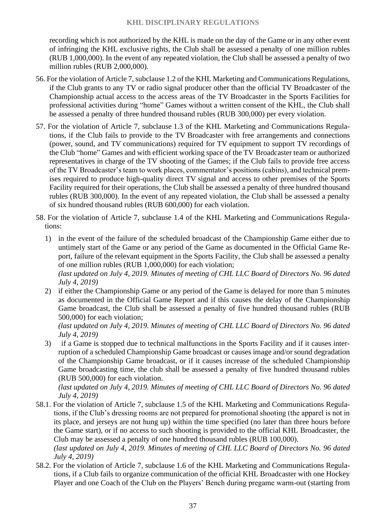#### **KHL DISCIPLINARY REGULATIONS**

recording which is not authorized by the KHL is made on the day of the Game or in any other event of infringing the KHL exclusive rights, the Club shall be assessed a penalty of one million rubles (RUB 1,000,000). In the event of any repeated violation, the Club shall be assessed a penalty of two million rubles (RUB 2,000,000).

- 56. For the violation of Article 7, subclause 1.2 of the KHL Marketing and Communications Regulations, if the Club grants to any TV or radio signal producer other than the official TV Broadcaster of the Championship actual access to the access areas of the TV Broadcaster in the Sports Facilities for professional activities during "home" Games without a written consent of the KHL, the Club shall be assessed a penalty of three hundred thousand rubles (RUB 300,000) per every violation.
- 57. For the violation of Article 7, subclause 1.3 of the KHL Marketing and Communications Regulations, if the Club fails to provide to the TV Broadcaster with free arrangements and connections (power, sound, and TV communications) required for TV equipment to support TV recordings of the Club "home" Games and with efficient working space of the TV Broadcaster team or authorized representatives in charge of the TV shooting of the Games; if the Club fails to provide free access of the TV Broadcaster's team to work places, commentator's positions (cabins), and technical premises required to produce high-quality direct TV signal and access to other premises of the Sports Facility required for their operations, the Club shall be assessed a penalty of three hundred thousand rubles (RUB 300,000). In the event of any repeated violation, the Club shall be assessed a penalty of six hundred thousand rubles (RUB 600,000) for each violation.
- 58. For the violation of Article 7, subclause 1.4 of the KHL Marketing and Communications Regulations:
	- 1) in the event of the failure of the scheduled broadcast of the Championship Game either due to untimely start of the Game or any period of the Game as documented in the Official Game Report, failure of the relevant equipment in the Sports Facility, the Club shall be assessed a penalty of one million rubles (RUB 1,000,000) for each violation; *(last updated on July 4, 2019. Minutes of meeting of CHL LLC Board of Directors No. 96 dated July 4, 2019)*
	- 2) if either the Championship Game or any period of the Game is delayed for more than 5 minutes as documented in the Official Game Report and if this causes the delay of the Championship Game broadcast, the Club shall be assessed a penalty of five hundred thousand rubles (RUB 500,000) for each violation;

*(last updated on July 4, 2019. Minutes of meeting of CHL LLC Board of Directors No. 96 dated July 4, 2019)*

3) if a Game is stopped due to technical malfunctions in the Sports Facility and if it causes interruption of a scheduled Championship Game broadcast or causes image and/or sound degradation of the Championship Game broadcast, or if it causes increase of the scheduled Championship Game broadcasting time, the club shall be assessed a penalty of five hundred thousand rubles (RUB 500,000) for each violation.

*(last updated on July 4, 2019. Minutes of meeting of CHL LLC Board of Directors No. 96 dated July 4, 2019)*

- 58.1. For the violation of Article 7, subclause 1.5 of the KHL Marketing and Communications Regulations, if the Club's dressing rooms are not prepared for promotional shooting (the apparel is not in its place, and jerseys are not hung up) within the time specified (no later than three hours before the Game start), or if no access to such shooting is provided to the official KHL Broadcaster, the Club may be assessed a penalty of one hundred thousand rubles (RUB 100,000). *(last updated on July 4, 2019. Minutes of meeting of CHL LLC Board of Directors No. 96 dated*
- *July 4, 2019)* 58.2. For the violation of Article 7, subclause 1.6 of the KHL Marketing and Communications Regulations, if a Club fails to organize communication of the official KHL Broadcaster with one Hockey Player and one Coach of the Club on the Players' Bench during pregame warm-out (starting from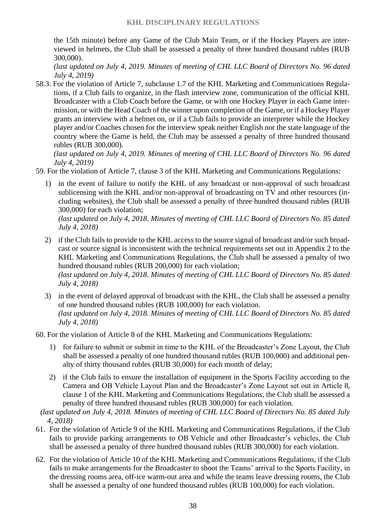the 15th minute) before any Game of the Club Main Team, or if the Hockey Players are interviewed in helmets, the Club shall be assessed a penalty of three hundred thousand rubles (RUB 300,000).

*(last updated on July 4, 2019. Minutes of meeting of CHL LLC Board of Directors No. 96 dated July 4, 2019)*

58.3. For the violation of Article 7, subclause 1.7 of the KHL Marketing and Communications Regulations, if a Club fails to organize, in the flash interview zone, communication of the official KHL Broadcaster with a Club Coach before the Game, or with one Hockey Player in each Game intermission, or with the Head Coach of the winner upon completion of the Game, or if a Hockey Player grants an interview with a helmet on, or if a Club fails to provide an interpreter while the Hockey player and/or Coaches chosen for the interview speak neither English nor the state language of the country where the Game is held, the Club may be assessed a penalty of three hundred thousand rubles (RUB 300,000).

*(last updated on July 4, 2019. Minutes of meeting of CHL LLC Board of Directors No. 96 dated July 4, 2019)*

59. For the violation of Article 7, clause 3 of the KHL Marketing and Communications Regulations:

1) in the event of failure to notify the KHL of any broadcast or non-approval of such broadcast sublicensing with the KHL and/or non-approval of broadcasting on TV and other resources (including websites), the Club shall be assessed a penalty of three hundred thousand rubles (RUB 300,000) for each violation;

*(last updated on July 4, 2018. Minutes of meeting of CHL LLC Board of Directors No. 85 dated July 4, 2018)*

- 2) if the Club fails to provide to the KHL access to the source signal of broadcast and/or such broadcast or source signal is inconsistent with the technical requirements set out in Appendix 2 to the KHL Marketing and Communications Regulations, the Club shall be assessed a penalty of two hundred thousand rubles (RUB 200,000) for each violation; *(last updated on July 4, 2018. Minutes of meeting of CHL LLC Board of Directors No. 85 dated July 4, 2018)*
- 3) in the event of delayed approval of broadcast with the KHL, the Club shall be assessed a penalty of one hundred thousand rubles (RUB 100,000) for each violation. *(last updated on July 4, 2018. Minutes of meeting of CHL LLC Board of Directors No. 85 dated July 4, 2018)*

60. For the violation of Article 8 of the KHL Marketing and Communications Regulations:

- 1) for failure to submit or submit in time to the KHL of the Broadcaster's Zone Layout, the Club shall be assessed a penalty of one hundred thousand rubles (RUB 100,000) and additional penalty of thirty thousand rubles (RUB 30,000) for each month of delay;
- 2) if the Club fails to ensure the installation of equipment in the Sports Facility according to the Camera and OB Vehicle Layout Plan and the Broadcaster's Zone Layout set out in Article 8, clause 1 of the KHL Marketing and Communications Regulations, the Club shall be assessed a penalty of three hundred thousand rubles (RUB 300,000) for each violation.

*(last updated on July 4, 2018. Minutes of meeting of CHL LLC Board of Directors No. 85 dated July 4, 2018)*

- 61. For the violation of Article 9 of the KHL Marketing and Communications Regulations, if the Club fails to provide parking arrangements to OB Vehicle and other Broadcaster's vehicles, the Club shall be assessed a penalty of three hundred thousand rubles (RUB 300,000) for each violation.
- 62. For the violation of Article 10 of the KHL Marketing and Communications Regulations, if the Club fails to make arrangements for the Broadcaster to shoot the Teams' arrival to the Sports Facility, in the dressing rooms area, off-ice warm-out area and while the teams leave dressing rooms, the Club shall be assessed a penalty of one hundred thousand rubles (RUB 100,000) for each violation.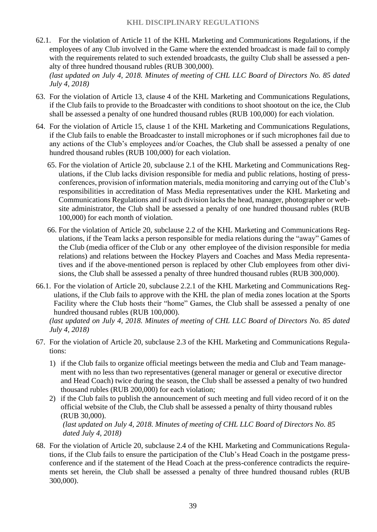62.1. For the violation of Article 11 of the KHL Marketing and Communications Regulations, if the employees of any Club involved in the Game where the extended broadcast is made fail to comply with the requirements related to such extended broadcasts, the guilty Club shall be assessed a penalty of three hundred thousand rubles (RUB 300,000). *(last updated on July 4, 2018. Minutes of meeting of CHL LLC Board of Directors No. 85 dated* 

*July 4, 2018)*

- 63. For the violation of Article 13, clause 4 of the KHL Marketing and Communications Regulations, if the Club fails to provide to the Broadcaster with conditions to shoot shootout on the ice, the Club shall be assessed a penalty of one hundred thousand rubles (RUB 100,000) for each violation.
- 64. For the violation of Article 15, clause 1 of the KHL Marketing and Communications Regulations, if the Club fails to enable the Broadcaster to install microphones or if such microphones fail due to any actions of the Club's employees and/or Coaches, the Club shall be assessed a penalty of one hundred thousand rubles (RUB 100,000) for each violation.
	- 65. For the violation of Article 20, subclause 2.1 of the KHL Marketing and Communications Regulations, if the Club lacks division responsible for media and public relations, hosting of pressconferences, provision of information materials, media monitoring and carrying out of the Club's responsibilities in accreditation of Mass Media representatives under the KHL Marketing and Communications Regulations and if such division lacks the head, manager, photographer or website administrator, the Club shall be assessed a penalty of one hundred thousand rubles (RUB 100,000) for each month of violation.
	- 66. For the violation of Article 20, subclause 2.2 of the KHL Marketing and Communications Regulations, if the Team lacks a person responsible for media relations during the "away" Games of the Club (media officer of the Club or any other employee of the division responsible for media relations) and relations between the Hockey Players and Coaches and Mass Media representatives and if the above-mentioned person is replaced by other Club employees from other divisions, the Club shall be assessed a penalty of three hundred thousand rubles (RUB 300,000).
- 66.1. For the violation of Article 20, subclause 2.2.1 of the KHL Marketing and Communications Regulations, if the Club fails to approve with the KHL the plan of media zones location at the Sports Facility where the Club hosts their "home" Games, the Club shall be assessed a penalty of one hundred thousand rubles (RUB 100,000).

*(last updated on July 4, 2018. Minutes of meeting of CHL LLC Board of Directors No. 85 dated July 4, 2018)*

- 67. For the violation of Article 20, subclause 2.3 of the KHL Marketing and Communications Regulations:
	- 1) if the Club fails to organize official meetings between the media and Club and Team management with no less than two representatives (general manager or general or executive director and Head Coach) twice during the season, the Club shall be assessed a penalty of two hundred thousand rubles (RUB 200,000) for each violation;
	- 2) if the Club fails to publish the announcement of such meeting and full video record of it on the official website of the Club, the Club shall be assessed a penalty of thirty thousand rubles (RUB 30,000).

*(last updated on July 4, 2018. Minutes of meeting of CHL LLC Board of Directors No. 85 dated July 4, 2018)*

68. For the violation of Article 20, subclause 2.4 of the KHL Marketing and Communications Regulations, if the Club fails to ensure the participation of the Club's Head Coach in the postgame pressconference and if the statement of the Head Coach at the press-conference contradicts the requirements set herein, the Club shall be assessed a penalty of three hundred thousand rubles (RUB 300,000).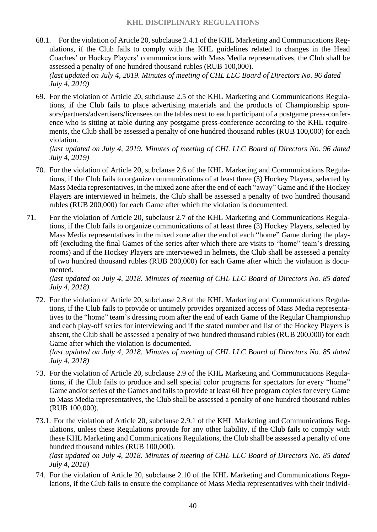- 68.1. For the violation of Article 20, subclause 2.4.1 of the KHL Marketing and Communications Regulations, if the Club fails to comply with the KHL guidelines related to changes in the Head Coaches' or Hockey Players' communications with Mass Media representatives, the Club shall be assessed a penalty of one hundred thousand rubles (RUB 100,000). *(last updated on July 4, 2019. Minutes of meeting of CHL LLC Board of Directors No. 96 dated July 4, 2019)*
- 69. For the violation of Article 20, subclause 2.5 of the KHL Marketing and Communications Regulations, if the Club fails to place advertising materials and the products of Championship sponsors/partners/advertisers/licensees on the tables next to each participant of a postgame press-conference who is sitting at table during any postgame press-conference according to the KHL requirements, the Club shall be assessed a penalty of one hundred thousand rubles (RUB 100,000) for each violation.

*(last updated on July 4, 2019. Minutes of meeting of CHL LLC Board of Directors No. 96 dated July 4, 2019)*

- 70. For the violation of Article 20, subclause 2.6 of the KHL Marketing and Communications Regulations, if the Club fails to organize communications of at least three (3) Hockey Players, selected by Mass Media representatives, in the mixed zone after the end of each "away" Game and if the Hockey Players are interviewed in helmets, the Club shall be assessed a penalty of two hundred thousand rubles (RUB 200,000) for each Game after which the violation is documented.
- 71. For the violation of Article 20, subclausr 2.7 of the KHL Marketing and Communications Regulations, if the Club fails to organize communications of at least three (3) Hockey Players, selected by Mass Media representatives in the mixed zone after the end of each "home" Game during the playoff (excluding the final Games of the series after which there are visits to "home" team's dressing rooms) and if the Hockey Players are interviewed in helmets, the Club shall be assessed a penalty of two hundred thousand rubles (RUB 200,000) for each Game after which the violation is documented.

*(last updated on July 4, 2018. Minutes of meeting of CHL LLC Board of Directors No. 85 dated July 4, 2018)*

72. For the violation of Article 20, subclause 2.8 of the KHL Marketing and Communications Regulations, if the Club fails to provide or untimely provides organized access of Mass Media representatives to the "home" team's dressing room after the end of each Game of the Regular Championship and each play-off series for interviewing and if the stated number and list of the Hockey Players is absent, the Club shall be assessed a penalty of two hundred thousand rubles (RUB 200,000) for each Game after which the violation is documented.

*(last updated on July 4, 2018. Minutes of meeting of CHL LLC Board of Directors No. 85 dated July 4, 2018)*

- 73. For the violation of Article 20, subclause 2.9 of the KHL Marketing and Communications Regulations, if the Club fails to produce and sell special color programs for spectators for every "home" Game and/or series of the Games and fails to provide at least 60 free program copies for every Game to Mass Media representatives, the Club shall be assessed a penalty of one hundred thousand rubles (RUB 100,000).
- 73.1. For the violation of Article 20, subclause 2.9.1 of the KHL Marketing and Communications Regulations, unless these Regulations provide for any other liability, if the Club fails to comply with these KHL Marketing and Communications Regulations, the Club shall be assessed a penalty of one hundred thousand rubles (RUB 100,000).

*(last updated on July 4, 2018. Minutes of meeting of CHL LLC Board of Directors No. 85 dated July 4, 2018)*

74. For the violation of Article 20, subclause 2.10 of the KHL Marketing and Communications Regulations, if the Club fails to ensure the compliance of Mass Media representatives with their individ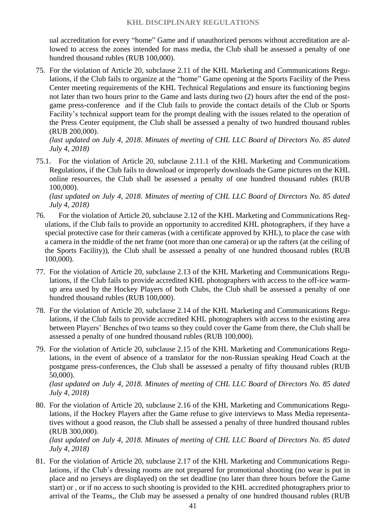ual accreditation for every "home" Game and if unauthorized persons without accreditation are allowed to access the zones intended for mass media, the Club shall be assessed a penalty of one hundred thousand rubles (RUB 100,000).

75. For the violation of Article 20, subclause 2.11 of the KHL Marketing and Communications Regulations, if the Club fails to organize at the "home" Game opening at the Sports Facility of the Press Center meeting requirements of the KHL Technical Regulations and ensure its functioning begins not later than two hours prior to the Game and lasts during two (2) hours after the end of the postgame press-conference and if the Club fails to provide the contact details of the Club or Sports Facility's technical support team for the prompt dealing with the issues related to the operation of the Press Center equipment, the Club shall be assessed a penalty of two hundred thousand rubles (RUB 200,000).

*(last updated on July 4, 2018. Minutes of meeting of CHL LLC Board of Directors No. 85 dated July 4, 2018)*

75.1. For the violation of Article 20, subclause 2.11.1 of the KHL Marketing and Communications Regulations, if the Club fails to download or improperly downloads the Game pictures on the KHL online resources, the Club shall be assessed a penalty of one hundred thousand rubles (RUB 100,000).

*(last updated on July 4, 2018. Minutes of meeting of CHL LLC Board of Directors No. 85 dated July 4, 2018)*

- 76. For the violation of Article 20, subclause 2.12 of the KHL Marketing and Communications Regulations, if the Club fails to provide an opportunity to accredited KHL photographers, if they have a special protective case for their cameras (with a certificate approved by KHL), to place the case with a camera in the middle of the net frame (not more than one camera) or up the rafters (at the ceiling of the Sports Facility)), the Club shall be assessed a penalty of one hundred thousand rubles (RUB 100,000).
- 77. For the violation of Article 20, subclause 2.13 of the KHL Marketing and Communications Regulations, if the Club fails to provide accredited KHL photographers with access to the off-ice warmup area used by the Hockey Players of both Clubs, the Club shall be assessed a penalty of one hundred thousand rubles (RUB 100,000).
- 78. For the violation of Article 20, subclause 2.14 of the KHL Marketing and Communications Regulations, if the Club fails to provide accredited KHL photographers with access to the existing area between Players' Benches of two teams so they could cover the Game from there, the Club shall be assessed a penalty of one hundred thousand rubles (RUB 100,000).
- 79. For the violation of Article 20, subclause 2.15 of the KHL Marketing and Communications Regulations, in the event of absence of a translator for the non-Russian speaking Head Coach at the postgame press-conferences, the Club shall be assessed a penalty of fifty thousand rubles (RUB 50,000).

*(last updated on July 4, 2018. Minutes of meeting of CHL LLC Board of Directors No. 85 dated July 4, 2018)*

80. For the violation of Article 20, subclause 2.16 of the KHL Marketing and Communications Regulations, if the Hockey Players after the Game refuse to give interviews to Mass Media representatives without a good reason, the Club shall be assessed a penalty of three hundred thousand rubles (RUB 300,000).

*(last updated on July 4, 2018. Minutes of meeting of CHL LLC Board of Directors No. 85 dated July 4, 2018)*

81. For the violation of Article 20, subclause 2.17 of the KHL Marketing and Communications Regulations, if the Club's dressing rooms are not prepared for promotional shooting (no wear is put in place and no jerseys are displayed) on the set deadline (no later than three hours before the Game start) or , or if no access to such shooting is provided to the KHL accredited photographers prior to arrival of the Teams,, the Club may be assessed a penalty of one hundred thousand rubles (RUB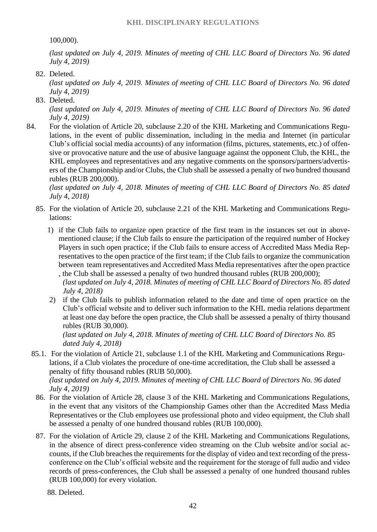100,000).

*(last updated on July 4, 2019. Minutes of meeting of CHL LLC Board of Directors No. 96 dated July 4, 2019)*

82. Deleted.

*(last updated on July 4, 2019. Minutes of meeting of CHL LLC Board of Directors No. 96 dated July 4, 2019)*

83. Deleted.

*(last updated on July 4, 2019. Minutes of meeting of CHL LLC Board of Directors No. 96 dated July 4, 2019)*

84. For the violation of Article 20, subclause 2.20 of the KHL Marketing and Communications Regulations, in the event of public dissemination, including in the media and Internet (in particular Club's official social media accounts) of any information (films, pictures, statements, etc.) of offensive or provocative nature and the use of abusive language against the opponent Club, the KHL, the KHL employees and representatives and any negative comments on the sponsors/partners/advertisers of the Championship and/or Clubs, the Club shall be assessed a penalty of two hundred thousand rubles (RUB 200,000).

*(last updated on July 4, 2018. Minutes of meeting of CHL LLC Board of Directors No. 85 dated July 4, 2018)*

- 85. For the violation of Article 20, subclause 2.21 of the KHL Marketing and Communications Regulations:
	- 1) if the Club fails to organize open practice of the first team in the instances set out in abovementioned clause; if the Club fails to ensure the participation of the required number of Hockey Players in such open practice; if the Club fails to ensure access of Accredited Mass Media Representatives to the open practice of the first team; if the Club fails to organize the communication between team representatives and Accredited Mass Media representatives after the open practice , the Club shall be assessed a penalty of two hundred thousand rubles (RUB 200,000);
		- *(last updated on July 4, 2018. Minutes of meeting of CHL LLC Board of Directors No. 85 dated July 4, 2018)*
	- 2) if the Club fails to publish information related to the date and time of open practice on the Club's official website and to deliver such information to the KHL media relations department at least one day before the open practice, the Club shall be assessed a penalty of thirty thousand rubles (RUB 30,000).

*(last updated on July 4, 2018. Minutes of meeting of CHL LLC Board of Directors No. 85 dated July 4, 2018)*

- 85.1. For the violation of Article 21, subclause 1.1 of the KHL Marketing and Communications Regulations, if a Club violates the procedure of one-time accreditation, the Club shall be assessed a penalty of fifty thousand rubles (RUB 50,000). *(last updated on July 4, 2019. Minutes of meeting of CHL LLC Board of Directors No. 96 dated July 4, 2019)*
- 86. For the violation of Article 28, clause 3 of the KHL Marketing and Communications Regulations, in the event that any visitors of the Championship Games other than the Accredited Mass Media Representatives or the Club employees use professional photo and video equipment, the Club shall be assessed a penalty of one hundred thousand rubles (RUB 100,000).
- 87. For the violation of Article 29, clause 2 of the KHL Marketing and Communications Regulations, in the absence of direct press-conference video streaming on the Club website and/or social accounts, if the Club breaches the requirements for the display of video and text recording of the pressconference on the Club's official website and the requirement for the storage of full audio and video records of press-conferences, the Club shall be assessed a penalty of one hundred thousand rubles (RUB 100,000) for every violation.

88. Deleted.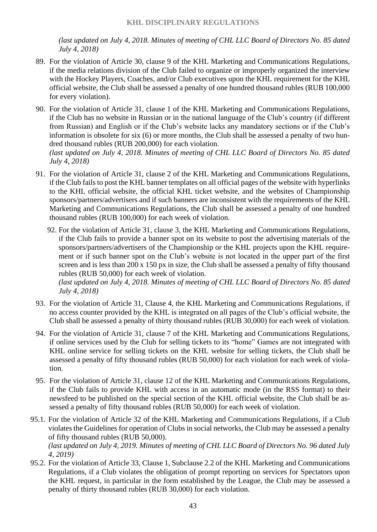*(last updated on July 4, 2018. Minutes of meeting of CHL LLC Board of Directors No. 85 dated July 4, 2018)*

- 89. For the violation of Article 30, clause 9 of the KHL Marketing and Communications Regulations, if the media relations division of the Club failed to organize or improperly organized the interview with the Hockey Players, Coaches, and/or Club executives upon the KHL requirement for the KHL official website, the Club shall be assessed a penalty of one hundred thousand rubles (RUB 100,000 for every violation).
- 90. For the violation of Article 31, clause 1 of the KHL Marketing and Communications Regulations, if the Club has no website in Russian or in the national language of the Club's country (if different from Russian) and English or if the Club's website lacks any mandatory sections or if the Club's information is obsolete for six (6) or more months, the Club shall be assessed a penalty of two hundred thousand rubles (RUB 200,000) for each violation. *(last updated on July 4, 2018. Minutes of meeting of CHL LLC Board of Directors No. 85 dated*

*July 4, 2018)*

- 91. For the violation of Article 31, clause 2 of the KHL Marketing and Communications Regulations, if the Club fails to post the KHL banner templates on all official pages of the website with hyperlinks to the KHL official website, the official KHL ticket website, and the websites of Championship sponsors/partners/advertisers and if such banners are inconsistent with the requirements of the KHL Marketing and Communications Regulations, the Club shall be assessed a penalty of one hundred thousand rubles (RUB 100,000) for each week of violation.
	- 92. For the violation of Article 31, clause 3, the KHL Marketing and Communications Regulations, if the Club fails to provide a banner spot on its website to post the advertising materials of the sponsors/partners/advertisers of the Championship or the KHL projects upon the KHL requirement or if such banner spot on the Club's website is not located in the upper part of the first screen and is less than 200 x 150 px in size, the Club shall be assessed a penalty of fifty thousand rubles (RUB 50,000) for each week of violation.

*(last updated on July 4, 2018. Minutes of meeting of CHL LLC Board of Directors No. 85 dated July 4, 2018)*

- 93. For the violation of Article 31, Clause 4, the KHL Marketing and Communications Regulations, if no access counter provided by the KHL is integrated on all pages of the Club's official website, the Club shall be assessed a penalty of thirty thousand rubles (RUB 30,000) for each week of violation.
- 94. For the violation of Article 31, clause 7 of the KHL Marketing and Communications Regulations, if online services used by the Club for selling tickets to its "home" Games are not integrated with KHL online service for selling tickets on the KHL website for selling tickets, the Club shall be assessed a penalty of fifty thousand rubles (RUB 50,000) for each violation for each week of violation.
- 95. For the violation of Article 31, clause 12 of the KHL Marketing and Communications Regulations, if the Club fails to provide KHL with access in an automatic mode (in the RSS format) to their newsfeed to be published on the special section of the KHL official website, the Club shall be assessed a penalty of fifty thousand rubles (RUB 50,000) for each week of violation.
- 95.1. For the violation of Article 32 of the KHL Marketing and Communications Regulations, if a Club violates the Guidelines for operation of Clubs in social networks, the Club may be assessed a penalty of fifty thousand rubles (RUB 50,000). *(last updated on July 4, 2019. Minutes of meeting of CHL LLC Board of Directors No. 96 dated July 4, 2019)*
- 95.2. For the violation of Article 33, Clause 1, Subclause 2.2 of the KHL Marketing and Communications Regulations, if a Club violates the obligation of prompt reporting on services for Spectators upon the KHL request, in particular in the form established by the League, the Club may be assessed a penalty of thirty thousand rubles (RUB 30,000) for each violation.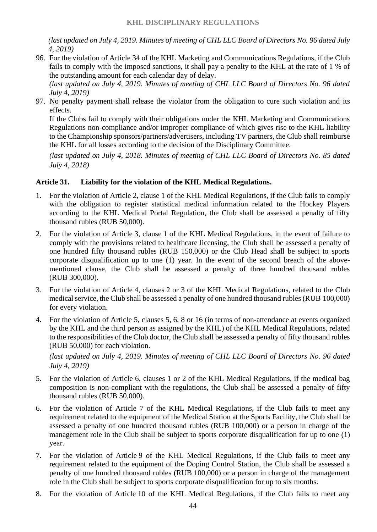*(last updated on July 4, 2019. Minutes of meeting of CHL LLC Board of Directors No. 96 dated July 4, 2019)*

96. For the violation of Article 34 of the KHL Marketing and Communications Regulations, if the Club fails to comply with the imposed sanctions, it shall pay a penalty to the KHL at the rate of 1 % of the outstanding amount for each calendar day of delay.

*(last updated on July 4, 2019. Minutes of meeting of CHL LLC Board of Directors No. 96 dated July 4, 2019)*

97. No penalty payment shall release the violator from the obligation to cure such violation and its effects.

If the Clubs fail to comply with their obligations under the KHL Marketing and Communications Regulations non-compliance and/or improper compliance of which gives rise to the KHL liability to the Championship sponsors/partners/advertisers, including TV partners, the Club shall reimburse the KHL for all losses according to the decision of the Disciplinary Committee.

*(last updated on July 4, 2018. Minutes of meeting of CHL LLC Board of Directors No. 85 dated July 4, 2018)*

#### **Article 31. Liability for the violation of the KHL Medical Regulations.**

- 1. For the violation of Article 2, clause 1 of the KHL Medical Regulations, if the Club fails to comply with the obligation to register statistical medical information related to the Hockey Players according to the KHL Medical Portal Regulation, the Club shall be assessed a penalty of fifty thousand rubles (RUB 50,000).
- 2. For the violation of Article 3, clause 1 of the KHL Medical Regulations, in the event of failure to comply with the provisions related to healthcare licensing, the Club shall be assessed a penalty of one hundred fifty thousand rubles (RUB 150,000) or the Club Head shall be subject to sports corporate disqualification up to one (1) year. In the event of the second breach of the abovementioned clause, the Club shall be assessed a penalty of three hundred thousand rubles (RUB 300,000).
- 3. For the violation of Article 4, clauses 2 or 3 of the KHL Medical Regulations, related to the Club medical service, the Club shall be assessed a penalty of one hundred thousand rubles (RUB 100,000) for every violation.
- 4. For the violation of Article 5, clauses 5, 6, 8 or 16 (in terms of non-attendance at events organized by the KHL and the third person as assigned by the KHL) of the KHL Medical Regulations, related to the responsibilities of the Club doctor, the Club shall be assessed a penalty of fifty thousand rubles (RUB 50,000) for each violation.

*(last updated on July 4, 2019. Minutes of meeting of CHL LLC Board of Directors No. 96 dated July 4, 2019)*

- 5. For the violation of Article 6, clauses 1 or 2 of the KHL Medical Regulations, if the medical bag composition is non-compliant with the regulations, the Club shall be assessed a penalty of fifty thousand rubles (RUB 50,000).
- 6. For the violation of Article 7 of the KHL Medical Regulations, if the Club fails to meet any requirement related to the equipment of the Medical Station at the Sports Facility, the Club shall be assessed a penalty of one hundred thousand rubles (RUB 100,000) or a person in charge of the management role in the Club shall be subject to sports corporate disqualification for up to one (1) year.
- 7. For the violation of Article 9 of the KHL Medical Regulations, if the Club fails to meet any requirement related to the equipment of the Doping Control Station, the Club shall be assessed a penalty of one hundred thousand rubles (RUB 100,000) or a person in charge of the management role in the Club shall be subject to sports corporate disqualification for up to six months.
- 8. For the violation of Article 10 of the KHL Medical Regulations, if the Club fails to meet any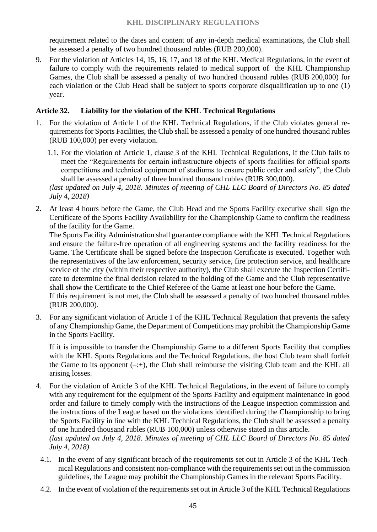#### **KHL DISCIPLINARY REGULATIONS**

requirement related to the dates and content of any in-depth medical examinations, the Club shall be assessed a penalty of two hundred thousand rubles (RUB 200,000).

9. For the violation of Articles 14, 15, 16, 17, and 18 of the KHL Medical Regulations, in the event of failure to comply with the requirements related to medical support of the KHL Championship Games, the Club shall be assessed a penalty of two hundred thousand rubles (RUB 200,000) for each violation or the Club Head shall be subject to sports corporate disqualification up to one (1) year.

## **Article 32. Liability for the violation of the KHL Technical Regulations**

- 1. For the violation of Article 1 of the KHL Technical Regulations, if the Club violates general requirements for Sports Facilities, the Club shall be assessed a penalty of one hundred thousand rubles (RUB 100,000) per every violation.
	- 1.1. For the violation of Article 1, clause 3 of the KHL Technical Regulations, if the Club fails to meet the "Requirements for certain infrastructure objects of sports facilities for official sports competitions and technical equipment of stadiums to ensure public order and safety", the Club shall be assessed a penalty of three hundred thousand rubles (RUB 300,000).

*(last updated on July 4, 2018. Minutes of meeting of CHL LLC Board of Directors No. 85 dated July 4, 2018)*

2. At least 4 hours before the Game, the Club Head and the Sports Facility executive shall sign the Certificate of the Sports Facility Availability for the Championship Game to confirm the readiness of the facility for the Game.

The Sports Facility Administration shall guarantee compliance with the KHL Technical Regulations and ensure the failure-free operation of all engineering systems and the facility readiness for the Game. The Certificate shall be signed before the Inspection Certificate is executed. Together with the representatives of the law enforcement, security service, fire protection service, and healthcare service of the city (within their respective authority), the Club shall execute the Inspection Certificate to determine the final decision related to the holding of the Game and the Club representative shall show the Certificate to the Chief Referee of the Game at least one hour before the Game. If this requirement is not met, the Club shall be assessed a penalty of two hundred thousand rubles (RUB 200,000).

3. For any significant violation of Article 1 of the KHL Technical Regulation that prevents the safety of any Championship Game, the Department of Competitions may prohibit the Championship Game in the Sports Facility.

If it is impossible to transfer the Championship Game to a different Sports Facility that complies with the KHL Sports Regulations and the Technical Regulations, the host Club team shall forfeit the Game to its opponent  $(-;+)$ , the Club shall reimburse the visiting Club team and the KHL all arising losses.

- 4. For the violation of Article 3 of the KHL Technical Regulations, in the event of failure to comply with any requirement for the equipment of the Sports Facility and equipment maintenance in good order and failure to timely comply with the instructions of the League inspection commission and the instructions of the League based on the violations identified during the Championship to bring the Sports Facility in line with the KHL Technical Regulations, the Club shall be assessed a penalty of one hundred thousand rubles (RUB 100,000) unless otherwise stated in this article. *(last updated on July 4, 2018. Minutes of meeting of CHL LLC Board of Directors No. 85 dated July 4, 2018)*
	- 4.1. In the event of any significant breach of the requirements set out in Article 3 of the KHL Technical Regulations and consistent non-compliance with the requirements set out in the commission guidelines, the League may prohibit the Championship Games in the relevant Sports Facility.
	- 4.2. In the event of violation of the requirements set out in Article 3 of the KHL Technical Regulations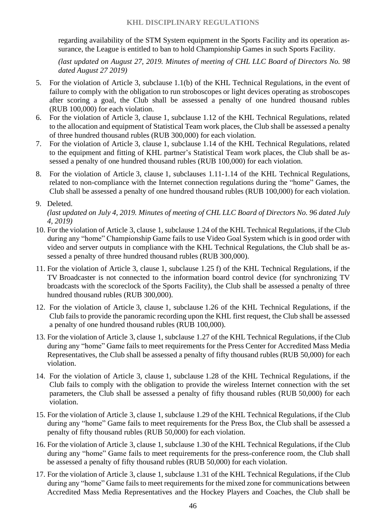regarding availability of the STM System equipment in the Sports Facility and its operation assurance, the League is entitled to ban to hold Championship Games in such Sports Facility.

*(last updated on August 27, 2019. Minutes of meeting of CHL LLC Board of Directors No. 98 dated August 27 2019)*

- 5. For the violation of Article 3, subclause 1.1(b) of the KHL Technical Regulations, in the event of failure to comply with the obligation to run stroboscopes or light devices operating as stroboscopes after scoring a goal, the Club shall be assessed a penalty of one hundred thousand rubles (RUB 100,000) for each violation.
- 6. For the violation of Article 3, clause 1, subclause 1.12 of the KHL Technical Regulations, related to the allocation and equipment of Statistical Team work places, the Club shall be assessed a penalty of three hundred thousand rubles (RUB 300,000) for each violation.
- 7. For the violation of Article 3, clause 1, subclause 1.14 of the KHL Technical Regulations, related to the equipment and fitting of KHL partner's Statistical Team work places, the Club shall be assessed a penalty of one hundred thousand rubles (RUB 100,000) for each violation.
- 8. For the violation of Article 3, clause 1, subclauses 1.11-1.14 of the KHL Technical Regulations, related to non-compliance with the Internet connection regulations during the "home" Games, the Club shall be assessed a penalty of one hundred thousand rubles (RUB 100,000) for each violation.

*(last updated on July 4, 2019. Minutes of meeting of CHL LLC Board of Directors No. 96 dated July 4, 2019)*

- 10. For the violation of Article 3, clause 1, subclause 1.24 of the KHL Technical Regulations, if the Club during any "home" Championship Game fails to use Video Goal System which is in good order with video and server outputs in compliance with the KHL Technical Regulations, the Club shall be assessed a penalty of three hundred thousand rubles (RUB 300,000).
- 11. For the violation of Article 3, clause 1, subclause 1.25 f) of the KHL Technical Regulations, if the TV Broadcaster is not connected to the information board control device (for synchronizing TV broadcasts with the scoreclock of the Sports Facility), the Club shall be assessed a penalty of three hundred thousand rubles (RUB 300,000).
- 12. For the violation of Article 3, clause 1, subclause 1.26 of the KHL Technical Regulations, if the Club fails to provide the panoramic recording upon the KHL first request, the Club shall be assessed a penalty of one hundred thousand rubles (RUB 100,000).
- 13. For the violation of Article 3, clause 1, subclause 1.27 of the KHL Technical Regulations, if the Club during any "home" Game fails to meet requirements for the Press Center for Accredited Mass Media Representatives, the Club shall be assessed a penalty of fifty thousand rubles (RUB 50,000) for each violation.
- 14. For the violation of Article 3, clause 1, subclause 1.28 of the KHL Technical Regulations, if the Club fails to comply with the obligation to provide the wireless Internet connection with the set parameters, the Club shall be assessed a penalty of fifty thousand rubles (RUB 50,000) for each violation.
- 15. For the violation of Article 3, clause 1, subclause 1.29 of the KHL Technical Regulations, if the Club during any "home" Game fails to meet requirements for the Press Box, the Club shall be assessed a penalty of fifty thousand rubles (RUB 50,000) for each violation.
- 16. For the violation of Article 3, clause 1, subclause 1.30 of the KHL Technical Regulations, if the Club during any "home" Game fails to meet requirements for the press-conference room, the Club shall be assessed a penalty of fifty thousand rubles (RUB 50,000) for each violation.
- 17. For the violation of Article 3, clause 1, subclause 1.31 of the KHL Technical Regulations, if the Club during any "home" Game fails to meet requirements for the mixed zone for communications between Accredited Mass Media Representatives and the Hockey Players and Coaches, the Club shall be

<sup>9.</sup> Deleted.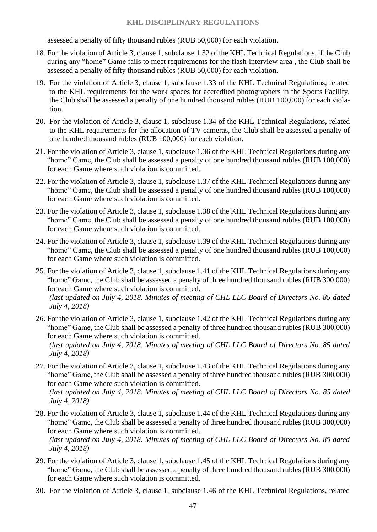#### **KHL DISCIPLINARY REGULATIONS**

assessed a penalty of fifty thousand rubles (RUB 50,000) for each violation.

- 18. For the violation of Article 3, clause 1, subclause 1.32 of the KHL Technical Regulations, if the Club during any "home" Game fails to meet requirements for the flash-interview area , the Club shall be assessed a penalty of fifty thousand rubles (RUB 50,000) for each violation.
- 19. For the violation of Article 3, clause 1, subclause 1.33 of the KHL Technical Regulations, related to the KHL requirements for the work spaces for accredited photographers in the Sports Facility, the Club shall be assessed a penalty of one hundred thousand rubles (RUB 100,000) for each violation.
- 20. For the violation of Article 3, clause 1, subclause 1.34 of the KHL Technical Regulations, related to the KHL requirements for the allocation of TV cameras, the Club shall be assessed a penalty of one hundred thousand rubles (RUB 100,000) for each violation.
- 21. For the violation of Article 3, clause 1, subclause 1.36 of the KHL Technical Regulations during any "home" Game, the Club shall be assessed a penalty of one hundred thousand rubles (RUB 100,000) for each Game where such violation is committed.
- 22. For the violation of Article 3, clause 1, subclause 1.37 of the KHL Technical Regulations during any "home" Game, the Club shall be assessed a penalty of one hundred thousand rubles (RUB 100,000) for each Game where such violation is committed.
- 23. For the violation of Article 3, clause 1, subclause 1.38 of the KHL Technical Regulations during any "home" Game, the Club shall be assessed a penalty of one hundred thousand rubles (RUB 100,000) for each Game where such violation is committed.
- 24. For the violation of Article 3, clause 1, subclause 1.39 of the KHL Technical Regulations during any "home" Game, the Club shall be assessed a penalty of one hundred thousand rubles (RUB 100,000) for each Game where such violation is committed.
- 25. For the violation of Article 3, clause 1, subclause 1.41 of the KHL Technical Regulations during any "home" Game, the Club shall be assessed a penalty of three hundred thousand rubles (RUB 300,000) for each Game where such violation is committed. *(last updated on July 4, 2018. Minutes of meeting of CHL LLC Board of Directors No. 85 dated July 4, 2018)*
- 26. For the violation of Article 3, clause 1, subclause 1.42 of the KHL Technical Regulations during any "home" Game, the Club shall be assessed a penalty of three hundred thousand rubles (RUB 300,000) for each Game where such violation is committed.

*(last updated on July 4, 2018. Minutes of meeting of CHL LLC Board of Directors No. 85 dated July 4, 2018)*

- 27. For the violation of Article 3, clause 1, subclause 1.43 of the KHL Technical Regulations during any "home" Game, the Club shall be assessed a penalty of three hundred thousand rubles (RUB 300,000) for each Game where such violation is committed. *(last updated on July 4, 2018. Minutes of meeting of CHL LLC Board of Directors No. 85 dated July 4, 2018)*
- 28. For the violation of Article 3, clause 1, subclause 1.44 of the KHL Technical Regulations during any "home" Game, the Club shall be assessed a penalty of three hundred thousand rubles (RUB 300,000) for each Game where such violation is committed. *(last updated on July 4, 2018. Minutes of meeting of CHL LLC Board of Directors No. 85 dated July 4, 2018)*
- 29. For the violation of Article 3, clause 1, subclause 1.45 of the KHL Technical Regulations during any "home" Game, the Club shall be assessed a penalty of three hundred thousand rubles (RUB 300,000) for each Game where such violation is committed.
- 30. For the violation of Article 3, clause 1, subclause 1.46 of the KHL Technical Regulations, related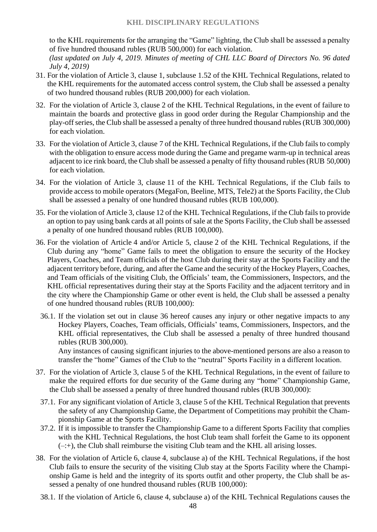to the KHL requirements for the arranging the "Game" lighting, the Club shall be assessed a penalty of five hundred thousand rubles (RUB 500,000) for each violation.

*(last updated on July 4, 2019. Minutes of meeting of CHL LLC Board of Directors No. 96 dated July 4, 2019)*

- 31. For the violation of Article 3, clause 1, subclause 1.52 of the KHL Technical Regulations, related to the KHL requirements for the automated access control system, the Club shall be assessed a penalty of two hundred thousand rubles (RUB 200,000) for each violation.
- 32. For the violation of Article 3, clause 2 of the KHL Technical Regulations, in the event of failure to maintain the boards and protective glass in good order during the Regular Championship and the play-off series, the Club shall be assessed a penalty of three hundred thousand rubles (RUB 300,000) for each violation.
- 33. For the violation of Article 3, clause 7 of the KHL Technical Regulations, if the Club fails to comply with the obligation to ensure access mode during the Game and pregame warm-up in technical areas adjacent to ice rink board, the Club shall be assessed a penalty of fifty thousand rubles (RUB 50,000) for each violation.
- 34. For the violation of Article 3, clause 11 of the KHL Technical Regulations, if the Club fails to provide access to mobile operators (MegaFon, Beeline, MTS, Tele2) at the Sports Facility, the Club shall be assessed a penalty of one hundred thousand rubles (RUB 100,000).
- 35. For the violation of Article 3, clause 12 of the KHL Technical Regulations, if the Club fails to provide an option to pay using bank cards at all points of sale at the Sports Facility, the Club shall be assessed a penalty of one hundred thousand rubles (RUB 100,000).
- 36. For the violation of Article 4 and/or Article 5, clause 2 of the KHL Technical Regulations, if the Club during any "home" Game fails to meet the obligation to ensure the security of the Hockey Players, Coaches, and Team officials of the host Club during their stay at the Sports Facility and the adjacent territory before, during, and after the Game and the security of the Hockey Players, Coaches, and Team officials of the visiting Club, the Officials' team, the Commissioners, Inspectors, and the KHL official representatives during their stay at the Sports Facility and the adjacent territory and in the city where the Championship Game or other event is held, the Club shall be assessed a penalty of one hundred thousand rubles (RUB 100,000):
	- 36.1. If the violation set out in clause 36 hereof causes any injury or other negative impacts to any Hockey Players, Coaches, Team officials, Officials' teams, Commissioners, Inspectors, and the KHL official representatives, the Club shall be assessed a penalty of three hundred thousand rubles (RUB 300,000).

Any instances of causing significant injuries to the above-mentioned persons are also a reason to transfer the "home" Games of the Club to the "neutral" Sports Facility in a different location.

- 37. For the violation of Article 3, clause 5 of the KHL Technical Regulations, in the event of failure to make the required efforts for due security of the Game during any "home" Championship Game, the Club shall be assessed a penalty of three hundred thousand rubles (RUB 300,000):
- 37.1. For any significant violation of Article 3, clause 5 of the KHL Technical Regulation that prevents the safety of any Championship Game, the Department of Competitions may prohibit the Championship Game at the Sports Facility.
- 37.2. If it is impossible to transfer the Championship Game to a different Sports Facility that complies with the KHL Technical Regulations, the host Club team shall forfeit the Game to its opponent  $(-;+)$ , the Club shall reimburse the visiting Club team and the KHL all arising losses.
- 38. For the violation of Article 6, clause 4, subclause a) of the KHL Technical Regulations, if the host Club fails to ensure the security of the visiting Club stay at the Sports Facility where the Championship Game is held and the integrity of its sports outfit and other property, the Club shall be assessed a penalty of one hundred thousand rubles (RUB 100,000):
	- 38.1. If the violation of Article 6, clause 4, subclause a) of the KHL Technical Regulations causes the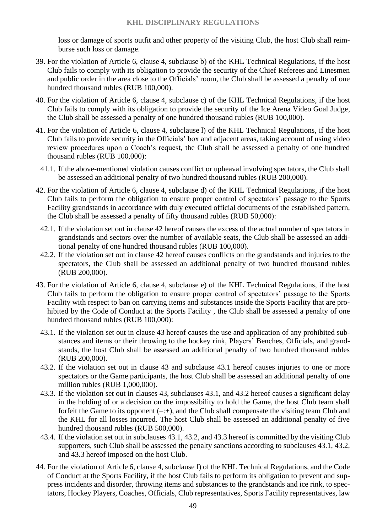loss or damage of sports outfit and other property of the visiting Club, the host Club shall reimburse such loss or damage.

- 39. For the violation of Article 6, clause 4, subclause b) of the KHL Technical Regulations, if the host Club fails to comply with its obligation to provide the security of the Chief Referees and Linesmen and public order in the area close to the Officials' room, the Club shall be assessed a penalty of one hundred thousand rubles (RUB 100,000).
- 40. For the violation of Article 6, clause 4, subclause c) of the KHL Technical Regulations, if the host Club fails to comply with its obligation to provide the security of the Ice Arena Video Goal Judge, the Club shall be assessed a penalty of one hundred thousand rubles (RUB 100,000).
- 41. For the violation of Article 6, clause 4, subclause l) of the KHL Technical Regulations, if the host Club fails to provide security in the Officials' box and adjacent areas, taking account of using video review procedures upon a Coach's request, the Club shall be assessed a penalty of one hundred thousand rubles (RUB 100,000):
	- 41.1. If the above-mentioned violation causes conflict or upheaval involving spectators, the Club shall be assessed an additional penalty of two hundred thousand rubles (RUB 200,000).
- 42. For the violation of Article 6, clause 4, subclause d) of the KHL Technical Regulations, if the host Club fails to perform the obligation to ensure proper control of spectators' passage to the Sports Facility grandstands in accordance with duly executed official documents of the established pattern, the Club shall be assessed a penalty of fifty thousand rubles (RUB 50,000):
	- 42.1. If the violation set out in clause 42 hereof causes the excess of the actual number of spectators in grandstands and sectors over the number of available seats, the Club shall be assessed an additional penalty of one hundred thousand rubles (RUB 100,000).
	- 42.2. If the violation set out in clause 42 hereof causes conflicts on the grandstands and injuries to the spectators, the Club shall be assessed an additional penalty of two hundred thousand rubles (RUB 200,000).
- 43. For the violation of Article 6, clause 4, subclause e) of the KHL Technical Regulations, if the host Club fails to perform the obligation to ensure proper control of spectators' passage to the Sports Facility with respect to ban on carrying items and substances inside the Sports Facility that are prohibited by the Code of Conduct at the Sports Facility , the Club shall be assessed a penalty of one hundred thousand rubles (RUB 100,000):
	- 43.1. If the violation set out in clause 43 hereof causes the use and application of any prohibited substances and items or their throwing to the hockey rink, Players' Benches, Officials, and grandstands, the host Club shall be assessed an additional penalty of two hundred thousand rubles (RUB 200,000).
	- 43.2. If the violation set out in clause 43 and subclause 43.1 hereof causes injuries to one or more spectators or the Game participants, the host Club shall be assessed an additional penalty of one million rubles (RUB 1,000,000).
	- 43.3. If the violation set out in clauses 43, subclauses 43.1, and 43.2 hereof causes a significant delay in the holding of or a decision on the impossibility to hold the Game, the host Club team shall forfeit the Game to its opponent  $(-;+)$ , and the Club shall compensate the visiting team Club and the KHL for all losses incurred. The host Club shall be assessed an additional penalty of five hundred thousand rubles (RUB 500,000).
	- 43.4. If the violation set out in subclauses 43.1, 43.2, and 43.3 hereof is committed by the visiting Club supporters, such Club shall be assessed the penalty sanctions according to subclauses 43.1, 43.2, and 43.3 hereof imposed on the host Club.
- 44. For the violation of Article 6, clause 4, subclause f) of the KHL Technical Regulations, and the Code of Conduct at the Sports Facility, if the host Club fails to perform its obligation to prevent and suppress incidents and disorder, throwing items and substances to the grandstands and ice rink, to spectators, Hockey Players, Coaches, Officials, Club representatives, Sports Facility representatives, law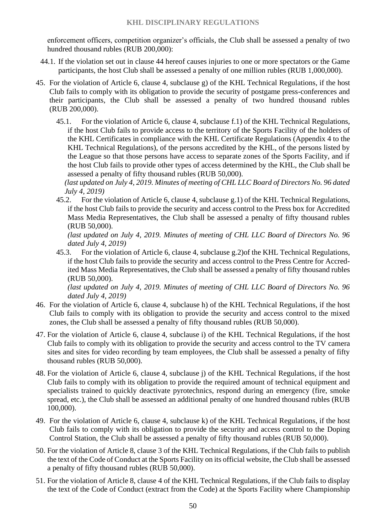enforcement officers, competition organizer's officials, the Club shall be assessed a penalty of two hundred thousand rubles (RUB 200,000):

- 44.1. If the violation set out in clause 44 hereof causes injuries to one or more spectators or the Game participants, the host Club shall be assessed a penalty of one million rubles (RUB 1,000,000).
- 45. For the violation of Article 6, clause 4, subclause g) of the KHL Technical Regulations, if the host Club fails to comply with its obligation to provide the security of postgame press-conferences and their participants, the Club shall be assessed a penalty of two hundred thousand rubles (RUB 200,000).
	- 45.1. For the violation of Article 6, clause 4, subclause f.1) of the KHL Technical Regulations, if the host Club fails to provide access to the territory of the Sports Facility of the holders of the KHL Certificates in compliance with the KHL Certificate Regulations (Appendix 4 to the KHL Technical Regulations), of the persons accredited by the KHL, of the persons listed by the League so that those persons have access to separate zones of the Sports Facility, and if the host Club fails to provide other types of access determined by the KHL, the Club shall be assessed a penalty of fifty thousand rubles (RUB 50,000).

*(last updated on July 4, 2019. Minutes of meeting of CHL LLC Board of Directors No. 96 dated July 4, 2019)*

45.2. For the violation of Article 6, clause 4, subclause g.1) of the KHL Technical Regulations, if the host Club fails to provide the security and access control to the Press box for Accredited Mass Media Representatives, the Club shall be assessed a penalty of fifty thousand rubles (RUB 50,000).

*(last updated on July 4, 2019. Minutes of meeting of CHL LLC Board of Directors No. 96 dated July 4, 2019)*

45.3. For the violation of Article 6, clause 4, subclause g.2)of the KHL Technical Regulations, if the host Club fails to provide the security and access control to the Press Centre for Accredited Mass Media Representatives, the Club shall be assessed a penalty of fifty thousand rubles (RUB 50,000).

*(last updated on July 4, 2019. Minutes of meeting of CHL LLC Board of Directors No. 96 dated July 4, 2019)*

- 46. For the violation of Article 6, clause 4, subclause h) of the KHL Technical Regulations, if the host Club fails to comply with its obligation to provide the security and access control to the mixed zones, the Club shall be assessed a penalty of fifty thousand rubles (RUB 50,000).
- 47. For the violation of Article 6, clause 4, subclause i) of the KHL Technical Regulations, if the host Club fails to comply with its obligation to provide the security and access control to the TV camera sites and sites for video recording by team employees, the Club shall be assessed a penalty of fifty thousand rubles (RUB 50,000).
- 48. For the violation of Article 6, clause 4, subclause j) of the KHL Technical Regulations, if the host Club fails to comply with its obligation to provide the required amount of technical equipment and specialists trained to quickly deactivate pyrotechnics, respond during an emergency (fire, smoke spread, etc.), the Club shall be assessed an additional penalty of one hundred thousand rubles (RUB 100,000).
- 49. For the violation of Article 6, clause 4, subclause k) of the KHL Technical Regulations, if the host Club fails to comply with its obligation to provide the security and access control to the Doping Control Station, the Club shall be assessed a penalty of fifty thousand rubles (RUB 50,000).
- 50. For the violation of Article 8, clause 3 of the KHL Technical Regulations, if the Club fails to publish the text of the Code of Conduct at the Sports Facility on its official website, the Club shall be assessed a penalty of fifty thousand rubles (RUB 50,000).
- 51. For the violation of Article 8, clause 4 of the KHL Technical Regulations, if the Club fails to display the text of the Code of Conduct (extract from the Code) at the Sports Facility where Championship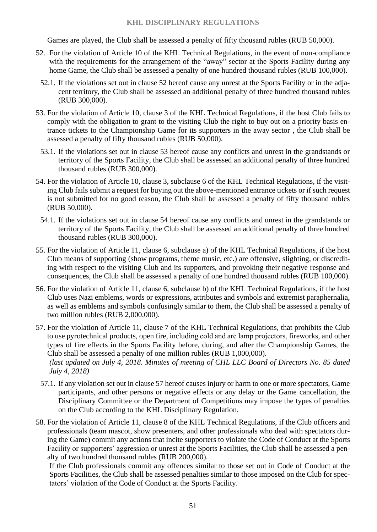#### **KHL DISCIPLINARY REGULATIONS**

Games are played, the Club shall be assessed a penalty of fifty thousand rubles (RUB 50,000).

- 52. For the violation of Article 10 of the KHL Technical Regulations, in the event of non-compliance with the requirements for the arrangement of the "away" sector at the Sports Facility during any home Game, the Club shall be assessed a penalty of one hundred thousand rubles (RUB 100,000).
	- 52.1. If the violations set out in clause 52 hereof cause any unrest at the Sports Facility or in the adjacent territory, the Club shall be assessed an additional penalty of three hundred thousand rubles (RUB 300,000).
- 53. For the violation of Article 10, clause 3 of the KHL Technical Regulations, if the host Club fails to comply with the obligation to grant to the visiting Club the right to buy out on a priority basis entrance tickets to the Championship Game for its supporters in the away sector , the Club shall be assessed a penalty of fifty thousand rubles (RUB 50,000).
	- 53.1. If the violations set out in clause 53 hereof cause any conflicts and unrest in the grandstands or territory of the Sports Facility, the Club shall be assessed an additional penalty of three hundred thousand rubles (RUB 300,000).
- 54. For the violation of Article 10, clause 3, subclause 6 of the KHL Technical Regulations, if the visiting Club fails submit a request for buying out the above-mentioned entrance tickets or if such request is not submitted for no good reason, the Club shall be assessed a penalty of fifty thousand rubles (RUB 50,000).
	- 54.1. If the violations set out in clause 54 hereof cause any conflicts and unrest in the grandstands or territory of the Sports Facility, the Club shall be assessed an additional penalty of three hundred thousand rubles (RUB 300,000).
- 55. For the violation of Article 11, clause 6, subclause a) of the KHL Technical Regulations, if the host Club means of supporting (show programs, theme music, etc.) are offensive, slighting, or discrediting with respect to the visiting Club and its supporters, and provoking their negative response and consequences, the Club shall be assessed a penalty of one hundred thousand rubles (RUB 100,000).
- 56. For the violation of Article 11, clause 6, subclause b) of the KHL Technical Regulations, if the host Club uses Nazi emblems, words or expressions, attributes and symbols and extremist paraphernalia, as well as emblems and symbols confusingly similar to them, the Club shall be assessed a penalty of two million rubles (RUB 2,000,000).
- 57. For the violation of Article 11, clause 7 of the KHL Technical Regulations, that prohibits the Club to use pyrotechnical products, open fire, including сold and arc lamp projectors, fireworks, and other types of fire effects in the Sports Facility before, during, and after the Championship Games, the Club shall be assessed a penalty of one million rubles (RUB 1,000,000). *(last updated on July 4, 2018. Minutes of meeting of CHL LLC Board of Directors No. 85 dated July 4, 2018)*
	- 57.1. If any violation set out in clause 57 hereof causes injury or harm to one or more spectators, Game participants, and other persons or negative effects or any delay or the Game cancellation, the Disciplinary Committee or the Department of Competitions may impose the types of penalties on the Club according to the KHL Disciplinary Regulation.
- 58. For the violation of Article 11, clause 8 of the KHL Technical Regulations, if the Club officers and professionals (team mascot, show presenters, and other professionals who deal with spectators during the Game) commit any actions that incite supporters to violate the Code of Conduct at the Sports Facility or supporters' aggression or unrest at the Sports Facilities, the Club shall be assessed a penalty of two hundred thousand rubles (RUB 200,000).

If the Club professionals commit any offences similar to those set out in Code of Conduct at the Sports Facilities, the Club shall be assessed penalties similar to those imposed on the Club for spectators' violation of the Code of Conduct at the Sports Facility.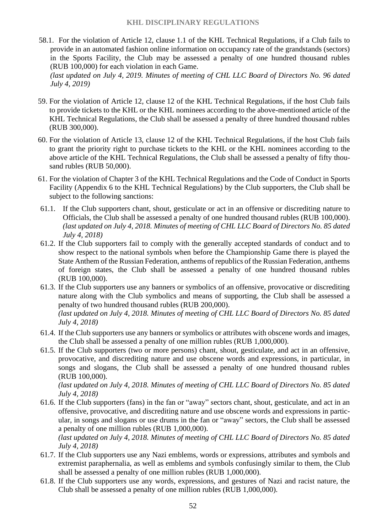- 58.1. For the violation of Article 12, clause 1.1 of the KHL Technical Regulations, if a Club fails to provide in an automated fashion online information on occupancy rate of the grandstands (sectors) in the Sports Facility, the Club may be assessed a penalty of one hundred thousand rubles (RUB 100,000) for each violation in each Game. *(last updated on July 4, 2019. Minutes of meeting of CHL LLC Board of Directors No. 96 dated July 4, 2019)*
- 59. For the violation of Article 12, clause 12 of the KHL Technical Regulations, if the host Club fails to provide tickets to the KHL or the KHL nominees according to the above-mentioned article of the KHL Technical Regulations, the Club shall be assessed a penalty of three hundred thousand rubles (RUB 300,000).
- 60. For the violation of Article 13, clause 12 of the KHL Technical Regulations, if the host Club fails to grant the priority right to purchase tickets to the KHL or the KHL nominees according to the above article of the KHL Technical Regulations, the Club shall be assessed a penalty of fifty thousand rubles (RUB 50,000).
- 61. For the violation of Chapter 3 of the KHL Technical Regulations and the Code of Conduct in Sports Facility (Appendix 6 to the KHL Technical Regulations) by the Club supporters, the Club shall be subject to the following sanctions:
- 61.1. If the Club supporters chant, shout, gesticulate or act in an offensive or discrediting nature to Officials, the Club shall be assessed a penalty of one hundred thousand rubles (RUB 100,000). *(last updated on July 4, 2018. Minutes of meeting of CHL LLC Board of Directors No. 85 dated July 4, 2018)*
- 61.2. If the Club supporters fail to comply with the generally accepted standards of conduct and to show respect to the national symbols when before the Championship Game there is played the State Anthem of the Russian Federation, anthems of republics of the Russian Federation, anthems of foreign states, the Club shall be assessed a penalty of one hundred thousand rubles (RUB 100,000).
- 61.3. If the Club supporters use any banners or symbolics of an offensive, provocative or discrediting nature along with the Club symbolics and means of supporting, the Club shall be assessed a penalty of two hundred thousand rubles (RUB 200,000). *(last updated on July 4, 2018. Minutes of meeting of CHL LLC Board of Directors No. 85 dated July 4, 2018)*
- 61.4. If the Club supporters use any banners or symbolics or attributes with obscene words and images, the Club shall be assessed a penalty of one million rubles (RUB 1,000,000).
- 61.5. If the Club supporters (two or more persons) chant, shout, gesticulate, and act in an offensive, provocative, and discrediting nature and use obscene words and expressions, in particular, in songs and slogans, the Club shall be assessed a penalty of one hundred thousand rubles (RUB 100,000).

*(last updated on July 4, 2018. Minutes of meeting of CHL LLC Board of Directors No. 85 dated July 4, 2018)*

61.6. If the Club supporters (fans) in the fan or "away" sectors chant, shout, gesticulate, and act in an offensive, provocative, and discrediting nature and use obscene words and expressions in particular, in songs and slogans or use drums in the fan or "away" sectors, the Club shall be assessed a penalty of one million rubles (RUB 1,000,000).

*(last updated on July 4, 2018. Minutes of meeting of CHL LLC Board of Directors No. 85 dated July 4, 2018)*

- 61.7. If the Club supporters use any Nazi emblems, words or expressions, attributes and symbols and extremist paraphernalia, as well as emblems and symbols confusingly similar to them, the Club shall be assessed a penalty of one million rubles (RUB 1,000,000).
- 61.8. If the Club supporters use any words, expressions, and gestures of Nazi and racist nature, the Club shall be assessed a penalty of one million rubles (RUB 1,000,000).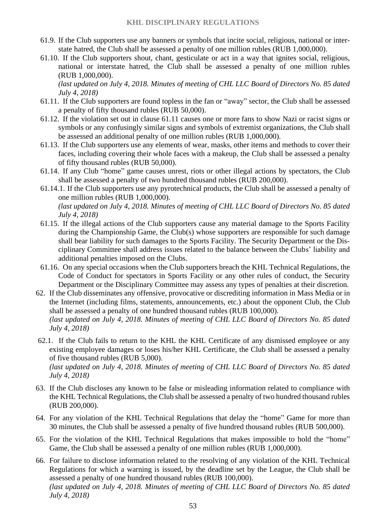- 61.9. If the Club supporters use any banners or symbols that incite social, religious, national or interstate hatred, the Club shall be assessed a penalty of one million rubles (RUB 1,000,000).
- 61.10. If the Club supporters shout, chant, gesticulate or act in a way that ignites social, religious, national or interstate hatred, the Club shall be assessed a penalty of one million rubles (RUB 1,000,000).

*(last updated on July 4, 2018. Minutes of meeting of CHL LLC Board of Directors No. 85 dated July 4, 2018)*

- 61.11. If the Club supporters are found topless in the fan or "away" sector, the Club shall be assessed a penalty of fifty thousand rubles (RUB 50,000).
- 61.12. If the violation set out in clause 61.11 causes one or more fans to show Nazi or racist signs or symbols or any confusingly similar signs and symbols of extremist organizations, the Club shall be assessed an additional penalty of one million rubles (RUB 1,000,000).
- 61.13. If the Club supporters use any elements of wear, masks, other items and methods to cover their faces, including covering their whole faces with a makeup, the Club shall be assessed a penalty of fifty thousand rubles (RUB 50,000).
- 61.14. If any Club "home" game causes unrest, riots or other illegal actions by spectators, the Club shall be assessed a penalty of two hundred thousand rubles (RUB 200,000).
- 61.14.1. If the Club supporters use any pyrotechnical products, the Club shall be assessed a penalty of one million rubles (RUB 1,000,000). *(last updated on July 4, 2018. Minutes of meeting of CHL LLC Board of Directors No. 85 dated July 4, 2018)*
- 61.15. If the illegal actions of the Club supporters cause any material damage to the Sports Facility during the Championship Game, the Club(s) whose supporters are responsible for such damage shall bear liability for such damages to the Sports Facility. The Security Department or the Disciplinary Committee shall address issues related to the balance between the Clubs' liability and additional penalties imposed on the Clubs.
- 61.16. On any special occasions when the Club supporters breach the KHL Technical Regulations, the Code of Conduct for spectators in Sports Facility or any other rules of conduct, the Security Department or the Disciplinary Committee may assess any types of penalties at their discretion.
- 62. If the Club disseminates any offensive, provocative or discrediting information in Mass Media or in the Internet (including films, statements, announcements, etc.) about the opponent Club, the Club shall be assessed a penalty of one hundred thousand rubles (RUB 100,000). *(last updated on July 4, 2018. Minutes of meeting of CHL LLC Board of Directors No. 85 dated*

*July 4, 2018)*

62.1. If the Club fails to return to the KHL the KHL Certificate of any dismissed employee or any existing employee damages or loses his/her KHL Certificate, the Club shall be assessed a penalty of five thousand rubles (RUB 5,000).

*(last updated on July 4, 2018. Minutes of meeting of CHL LLC Board of Directors No. 85 dated July 4, 2018)*

- 63. If the Club discloses any known to be false or misleading information related to compliance with the KHL Technical Regulations, the Club shall be assessed a penalty of two hundred thousand rubles (RUB 200,000).
- 64. For any violation of the KHL Technical Regulations that delay the "home" Game for more than 30 minutes, the Club shall be assessed a penalty of five hundred thousand rubles (RUB 500,000).
- 65. For the violation of the KHL Technical Regulations that makes impossible to hold the "home" Game, the Club shall be assessed a penalty of one million rubles (RUB 1,000,000).
- 66. For failure to disclose information related to the resolving of any violation of the KHL Technical Regulations for which a warning is issued, by the deadline set by the League, the Club shall be assessed a penalty of one hundred thousand rubles (RUB 100,000). *(last updated on July 4, 2018. Minutes of meeting of CHL LLC Board of Directors No. 85 dated July 4, 2018)*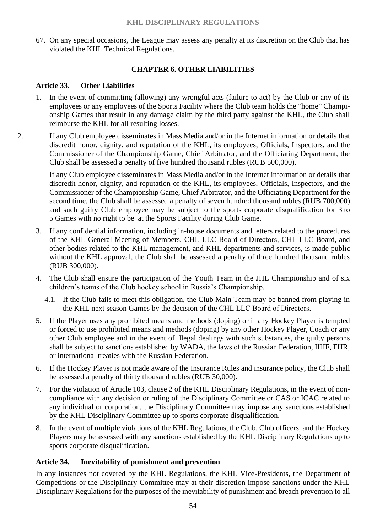#### **KHL DISCIPLINARY REGULATIONS**

67. On any special occasions, the League may assess any penalty at its discretion on the Club that has violated the KHL Technical Regulations.

#### **CHAPTER 6. OTHER LIABILITIES**

#### **Article 33. Other Liabilities**

- 1. In the event of committing (allowing) any wrongful acts (failure to act) by the Club or any of its employees or any employees of the Sports Facility where the Club team holds the "home" Championship Games that result in any damage claim by the third party against the KHL, the Club shall reimburse the KHL for all resulting losses.
- 2. If any Club employee disseminates in Mass Media and/or in the Internet information or details that discredit honor, dignity, and reputation of the KHL, its employees, Officials, Inspectors, and the Commissioner of the Championship Game, Chief Arbitrator, and the Officiating Department, the Club shall be assessed a penalty of five hundred thousand rubles (RUB 500,000).

If any Club employee disseminates in Mass Media and/or in the Internet information or details that discredit honor, dignity, and reputation of the KHL, its employees, Officials, Inspectors, and the Commissioner of the Championship Game, Chief Arbitrator, and the Officiating Department for the second time, the Club shall be assessed a penalty of seven hundred thousand rubles (RUB 700,000) and such guilty Club employee may be subject to the sports corporate disqualification for 3 to 5 Games with no right to be at the Sports Facility during Club Game.

- 3. If any confidential information, including in-house documents and letters related to the procedures of the KHL General Meeting of Members, СHL LLC Board of Directors, СHL LLC Board, and other bodies related to the KHL management, and KHL departments and services, is made public without the KHL approval, the Club shall be assessed a penalty of three hundred thousand rubles (RUB 300,000).
- 4. The Club shall ensure the participation of the Youth Team in the JHL Championship and of six children's teams of the Club hockey school in Russia's Championship.
	- 4.1. If the Club fails to meet this obligation, the Club Main Team may be banned from playing in the KHL next season Games by the decision of the СHL LLC Board of Directors.
- 5. If the Player uses any prohibited means and methods (doping) or if any Hockey Player is tempted or forced to use prohibited means and methods (doping) by any other Hockey Player, Coach or any other Club employee and in the event of illegal dealings with such substances, the guilty persons shall be subject to sanctions established by WADA, the laws of the Russian Federation, IIHF, FHR, or international treaties with the Russian Federation.
- 6. If the Hockey Player is not made aware of the Insurance Rules and insurance policy, the Club shall be assessed a penalty of thirty thousand rubles (RUB 30,000).
- 7. For the violation of Article 103, clause 2 of the KHL Disciplinary Regulations, in the event of noncompliance with any decision or ruling of the Disciplinary Committee or CAS or ICAC related to any individual or corporation, the Disciplinary Committee may impose any sanctions established by the KHL Disciplinary Committee up to sports corporate disqualification.
- 8. In the event of multiple violations of the KHL Regulations, the Club, Club officers, and the Hockey Players may be assessed with any sanctions established by the KHL Disciplinary Regulations up to sports corporate disqualification.

#### **Article 34. Inevitability of punishment and prevention**

In any instances not covered by the KHL Regulations, the KHL Vice-Presidents, the Department of Competitions or the Disciplinary Committee may at their discretion impose sanctions under the KHL Disciplinary Regulations for the purposes of the inevitability of punishment and breach prevention to all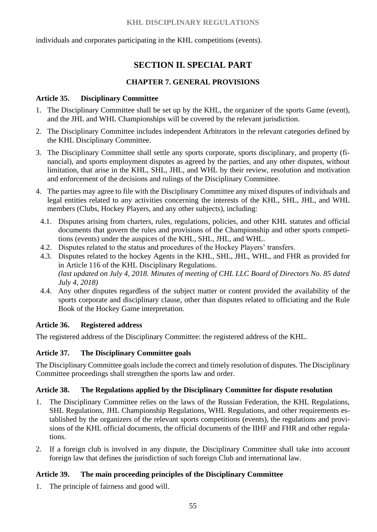#### **KHL DISCIPLINARY REGULATIONS**

individuals and corporates participating in the KHL competitions (events).

# **SECTION II. SPECIAL PART**

## **CHAPTER 7. GENERAL PROVISIONS**

#### **Article 35. Disciplinary Committee**

- 1. The Disciplinary Committee shall be set up by the KHL, the organizer of the sports Game (event), and the JHL and WHL Championships will be covered by the relevant jurisdiction.
- 2. The Disciplinary Committee includes independent Arbitrators in the relevant categories defined by the KHL Disciplinary Committee.
- 3. The Disciplinary Committee shall settle any sports corporate, sports disciplinary, and property (financial), and sports employment disputes as agreed by the parties, and any other disputes, without limitation, that arise in the KHL, SHL, JHL, and WHL by their review, resolution and motivation and enforcement of the decisions and rulings of the Disciplinary Committee.
- 4. The parties may agree to file with the Disciplinary Committee any mixed disputes of individuals and legal entities related to any activities concerning the interests of the KHL, SHL, JHL, and WHL members (Clubs, Hockey Players, and any other subjects), including:
	- 4.1. Disputes arising from charters, rules, regulations, policies, and other KHL statutes and official documents that govern the rules and provisions of the Championship and other sports competitions (events) under the auspices of the KHL, SHL, JHL, and WHL.
	- 4.2. Disputes related to the status and procedures of the Hockey Players' transfers.
	- 4.3. Disputes related to the hockey Agents in the KHL, SHL, JHL, WHL, and FHR as provided for in Article 116 of the KHL Disciplinary Regulations. *(last updated on July 4, 2018. Minutes of meeting of CHL LLC Board of Directors No. 85 dated July 4, 2018)*
	- 4.4. Any other disputes regardless of the subject matter or content provided the availability of the sports corporate and disciplinary clause, other than disputes related to officiating and the Rule Book of the Hockey Game interpretation.

#### **Article 36. Registered address**

The registered address of the Disciplinary Committee: the registered address of the KHL.

#### **Article 37. The Disciplinary Committee goals**

The Disciplinary Committee goals include the correct and timely resolution of disputes. The Disciplinary Committee proceedings shall strengthen the sports law and order.

#### **Article 38. The Regulations applied by the Disciplinary Committee for dispute resolution**

- 1. The Disciplinary Committee relies on the laws of the Russian Federation, the KHL Regulations, SHL Regulations, JHL Championship Regulations, WHL Regulations, and other requirements established by the organizers of the relevant sports competitions (events), the regulations and provisions of the KHL official documents, the official documents of the IIHF and FHR and other regulations.
- 2. If a foreign club is involved in any dispute, the Disciplinary Committee shall take into account foreign law that defines the jurisdiction of such foreign Club and international law.

#### **Article 39. The main proceeding principles of the Disciplinary Committee**

1. The principle of fairness and good will.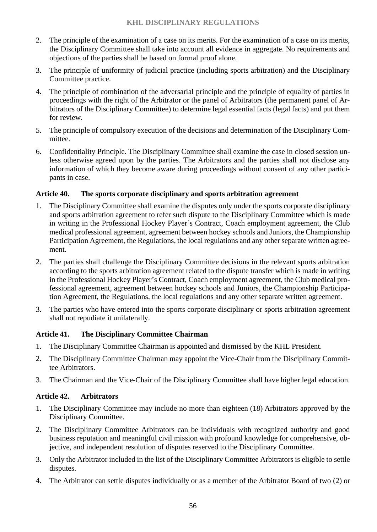- 2. The principle of the examination of a case on its merits. For the examination of a case on its merits, the Disciplinary Committee shall take into account all evidence in aggregate. No requirements and objections of the parties shall be based on formal proof alone.
- 3. The principle of uniformity of judicial practice (including sports arbitration) and the Disciplinary Committee practice.
- 4. The principle of combination of the adversarial principle and the principle of equality of parties in proceedings with the right of the Arbitrator or the panel of Arbitrators (the permanent panel of Arbitrators of the Disciplinary Committee) to determine legal essential facts (legal facts) and put them for review.
- 5. The principle of compulsory execution of the decisions and determination of the Disciplinary Committee.
- 6. Confidentiality Principle. The Disciplinary Committee shall examine the case in closed session unless otherwise agreed upon by the parties. The Arbitrators and the parties shall not disclose any information of which they become aware during proceedings without consent of any other participants in case.

## **Article 40. The sports corporate disciplinary and sports arbitration agreement**

- 1. The Disciplinary Committee shall examine the disputes only under the sports corporate disciplinary and sports arbitration agreement to refer such dispute to the Disciplinary Committee which is made in writing in the Professional Hockey Player's Contract, Coach employment agreement, the Club medical professional agreement, agreement between hockey schools and Juniors, the Championship Participation Agreement, the Regulations, the local regulations and any other separate written agreement.
- 2. The parties shall challenge the Disciplinary Committee decisions in the relevant sports arbitration according to the sports arbitration agreement related to the dispute transfer which is made in writing in the Professional Hockey Player's Contract, Coach employment agreement, the Club medical professional agreement, agreement between hockey schools and Juniors, the Championship Participation Agreement, the Regulations, the local regulations and any other separate written agreement.
- 3. The parties who have entered into the sports corporate disciplinary or sports arbitration agreement shall not repudiate it unilaterally.

# **Article 41. The Disciplinary Committee Chairman**

- 1. The Disciplinary Committee Chairman is appointed and dismissed by the KHL President.
- 2. The Disciplinary Committee Chairman may appoint the Vice-Chair from the Disciplinary Committee Arbitrators.
- 3. The Chairman and the Vice-Chair of the Disciplinary Committee shall have higher legal education.

# **Article 42. Arbitrators**

- 1. The Disciplinary Committee may include no more than eighteen (18) Arbitrators approved by the Disciplinary Committee.
- 2. The Disciplinary Committee Arbitrators can be individuals with recognized authority and good business reputation and meaningful civil mission with profound knowledge for comprehensive, objective, and independent resolution of disputes reserved to the Disciplinary Committee.
- 3. Only the Arbitrator included in the list of the Disciplinary Committee Arbitrators is eligible to settle disputes.
- 4. The Arbitrator can settle disputes individually or as a member of the Arbitrator Board of two (2) or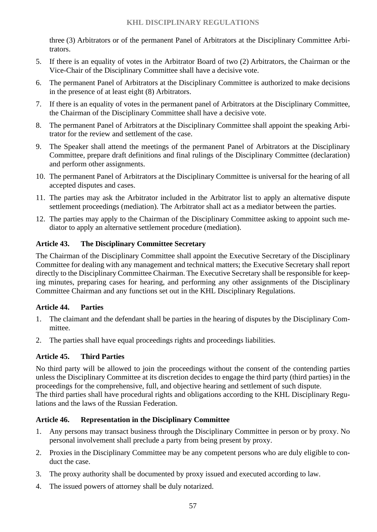three (3) Arbitrators or of the permanent Panel of Arbitrators at the Disciplinary Committee Arbitrators.

- 5. If there is an equality of votes in the Arbitrator Board of two (2) Arbitrators, the Chairman or the Vice-Chair of the Disciplinary Committee shall have a decisive vote.
- 6. The permanent Panel of Arbitrators at the Disciplinary Committee is authorized to make decisions in the presence of at least eight (8) Arbitrators.
- 7. If there is an equality of votes in the permanent panel of Arbitrators at the Disciplinary Committee, the Chairman of the Disciplinary Committee shall have a decisive vote.
- 8. The permanent Panel of Arbitrators at the Disciplinary Committee shall appoint the speaking Arbitrator for the review and settlement of the case.
- 9. The Speaker shall attend the meetings of the permanent Panel of Arbitrators at the Disciplinary Committee, prepare draft definitions and final rulings of the Disciplinary Committee (declaration) and perform other assignments.
- 10. The permanent Panel of Arbitrators at the Disciplinary Committee is universal for the hearing of all accepted disputes and cases.
- 11. The parties may ask the Arbitrator included in the Arbitrator list to apply an alternative dispute settlement proceedings (mediation). The Arbitrator shall act as a mediator between the parties.
- 12. The parties may apply to the Chairman of the Disciplinary Committee asking to appoint such mediator to apply an alternative settlement procedure (mediation).

## **Article 43. The Disciplinary Committee Secretary**

The Chairman of the Disciplinary Committee shall appoint the Executive Secretary of the Disciplinary Committee for dealing with any management and technical matters; the Executive Secretary shall report directly to the Disciplinary Committee Chairman. The Executive Secretary shall be responsible for keeping minutes, preparing cases for hearing, and performing any other assignments of the Disciplinary Committee Chairman and any functions set out in the KHL Disciplinary Regulations.

#### **Article 44. Parties**

- 1. The claimant and the defendant shall be parties in the hearing of disputes by the Disciplinary Committee.
- 2. The parties shall have equal proceedings rights and proceedings liabilities.

#### **Article 45. Third Parties**

No third party will be allowed to join the proceedings without the consent of the contending parties unless the Disciplinary Committee at its discretion decides to engage the third party (third parties) in the proceedings for the comprehensive, full, and objective hearing and settlement of such dispute. The third parties shall have procedural rights and obligations according to the KHL Disciplinary Regulations and the laws of the Russian Federation.

#### **Article 46. Representation in the Disciplinary Committee**

- 1. Any persons may transact business through the Disciplinary Committee in person or by proxy. No personal involvement shall preclude a party from being present by proxy.
- 2. Proxies in the Disciplinary Committee may be any competent persons who are duly eligible to conduct the case.
- 3. The proxy authority shall be documented by proxy issued and executed according to law.
- 4. The issued powers of attorney shall be duly notarized.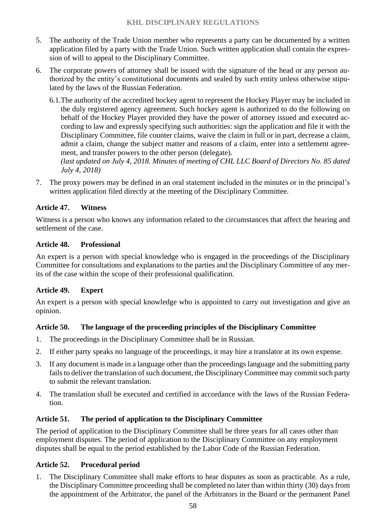- 5. The authority of the Trade Union member who represents a party can be documented by a written application filed by a party with the Trade Union. Such written application shall contain the expression of will to appeal to the Disciplinary Committee.
- 6. The corporate powers of attorney shall be issued with the signature of the head or any person authorized by the entity's constitutional documents and sealed by such entity unless otherwise stipulated by the laws of the Russian Federation.
	- 6.1.The authority of the accredited hockey agent to represent the Hockey Player may be included in the duly registered agency agreement. Such hockey agent is authorized to do the following on behalf of the Hockey Player provided they have the power of attorney issued and executed according to law and expressly specifying such authorities: sign the application and file it with the Disciplinary Committee, file counter claims, waive the claim in full or in part, decrease a claim, admit a claim, change the subject matter and reasons of a claim, enter into a settlement agreement, and transfer powers to the other person (delegate).

*(last updated on July 4, 2018. Minutes of meeting of CHL LLC Board of Directors No. 85 dated July 4, 2018)*

7. The proxy powers may be defined in an oral statement included in the minutes or in the principal's written application filed directly at the meeting of the Disciplinary Committee.

# **Article 47. Witness**

Witness is a person who knows any information related to the circumstances that affect the hearing and settlement of the case.

## **Article 48. Professional**

An expert is a person with special knowledge who is engaged in the proceedings of the Disciplinary Committee for consultations and explanations to the parties and the Disciplinary Committee of any merits of the case within the scope of their professional qualification.

# **Article 49. Expert**

An expert is a person with special knowledge who is appointed to carry out investigation and give an opinion.

# **Article 50. The language of the proceeding principles of the Disciplinary Committee**

- 1. The proceedings in the Disciplinary Committee shall be in Russian.
- 2. If either party speaks no language of the proceedings, it may hire a translator at its own expense.
- 3. If any document is made in a language other than the proceedings language and the submitting party fails to deliver the translation of such document, the Disciplinary Committee may commit such party to submit the relevant translation.
- 4. The translation shall be executed and certified in accordance with the laws of the Russian Federation.

# **Article 51. The period of application to the Disciplinary Committee**

The period of application to the Disciplinary Committee shall be three years for all cases other than employment disputes. The period of application to the Disciplinary Committee on any employment disputes shall be equal to the period established by the Labor Code of the Russian Federation.

#### **Article 52. Procedural period**

1. The Disciplinary Committee shall make efforts to hear disputes as soon as practicable. As a rule, the Disciplinary Committee proceeding shall be completed no later than within thirty (30) days from the appointment of the Arbitrator, the panel of the Arbitrators in the Board or the permanent Panel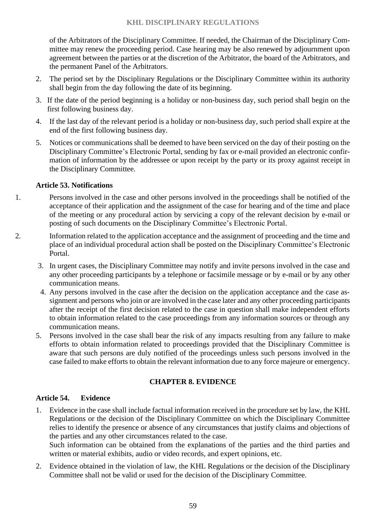of the Arbitrators of the Disciplinary Committee. If needed, the Chairman of the Disciplinary Committee may renew the proceeding period. Case hearing may be also renewed by adjournment upon agreement between the parties or at the discretion of the Arbitrator, the board of the Arbitrators, and the permanent Panel of the Arbitrators.

- 2. The period set by the Disciplinary Regulations or the Disciplinary Committee within its authority shall begin from the day following the date of its beginning.
- 3. If the date of the period beginning is a holiday or non-business day, such period shall begin on the first following business day.
- 4. If the last day of the relevant period is a holiday or non-business day, such period shall expire at the end of the first following business day.
- 5. Notices or communications shall be deemed to have been serviced on the day of their posting on the Disciplinary Committee's Electronic Portal, sending by fax or e-mail provided an electronic confirmation of information by the addressee or upon receipt by the party or its proxy against receipt in the Disciplinary Committee.

## **Article 53. Notifications**

- 1. Persons involved in the case and other persons involved in the proceedings shall be notified of the acceptance of their application and the assignment of the case for hearing and of the time and place of the meeting or any procedural action by servicing a copy of the relevant decision by e-mail or posting of such documents on the Disciplinary Committee's Electronic Portal.
- 2. Information related to the application acceptance and the assignment of proceeding and the time and place of an individual procedural action shall be posted on the Disciplinary Committee's Electronic Portal.
	- 3. In urgent cases, the Disciplinary Committee may notify and invite persons involved in the case and any other proceeding participants by a telephone or facsimile message or by e-mail or by any other communication means.
	- 4. Any persons involved in the case after the decision on the application acceptance and the case assignment and persons who join or are involved in the case later and any other proceeding participants after the receipt of the first decision related to the case in question shall make independent efforts to obtain information related to the case proceedings from any information sources or through any communication means.
	- 5. Persons involved in the case shall bear the risk of any impacts resulting from any failure to make efforts to obtain information related to proceedings provided that the Disciplinary Committee is aware that such persons are duly notified of the proceedings unless such persons involved in the case failed to make efforts to obtain the relevant information due to any force majeure or emergency.

# **CHAPTER 8. EVIDENCE**

#### **Article 54. Evidence**

1. Evidence in the case shall include factual information received in the procedure set by law, the KHL Regulations or the decision of the Disciplinary Committee on which the Disciplinary Committee relies to identify the presence or absence of any circumstances that justify claims and objections of the parties and any other circumstances related to the case.

Such information can be obtained from the explanations of the parties and the third parties and written or material exhibits, audio or video records, and expert opinions, etc.

2. Evidence obtained in the violation of law, the KHL Regulations or the decision of the Disciplinary Committee shall not be valid or used for the decision of the Disciplinary Committee.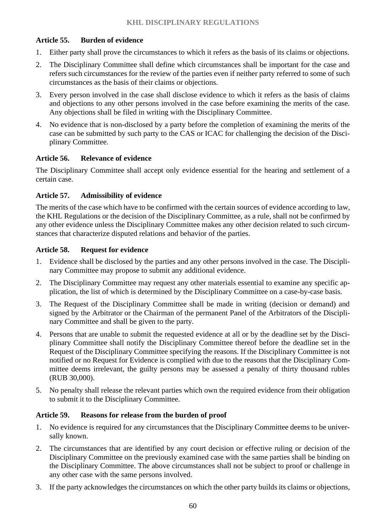# **Article 55. Burden of evidence**

- 1. Either party shall prove the circumstances to which it refers as the basis of its claims or objections.
- 2. The Disciplinary Committee shall define which circumstances shall be important for the case and refers such circumstances for the review of the parties even if neither party referred to some of such circumstances as the basis of their claims or objections.
- 3. Every person involved in the case shall disclose evidence to which it refers as the basis of claims and objections to any other persons involved in the case before examining the merits of the case. Any objections shall be filed in writing with the Disciplinary Committee.
- 4. No evidence that is non-disclosed by a party before the completion of examining the merits of the case can be submitted by such party to the CAS or ICAC for challenging the decision of the Disciplinary Committee.

# **Article 56. Relevance of evidence**

The Disciplinary Committee shall accept only evidence essential for the hearing and settlement of a certain case.

# **Article 57. Admissibility of evidence**

The merits of the case which have to be confirmed with the certain sources of evidence according to law, the KHL Regulations or the decision of the Disciplinary Committee, as a rule, shall not be confirmed by any other evidence unless the Disciplinary Committee makes any other decision related to such circumstances that characterize disputed relations and behavior of the parties.

# **Article 58. Request for evidence**

- 1. Evidence shall be disclosed by the parties and any other persons involved in the case. The Disciplinary Committee may propose to submit any additional evidence.
- 2. The Disciplinary Committee may request any other materials essential to examine any specific application, the list of which is determined by the Disciplinary Committee on a case-by-case basis.
- 3. The Request of the Disciplinary Committee shall be made in writing (decision or demand) and signed by the Arbitrator or the Chairman of the permanent Panel of the Arbitrators of the Disciplinary Committee and shall be given to the party.
- 4. Persons that are unable to submit the requested evidence at all or by the deadline set by the Disciplinary Committee shall notify the Disciplinary Committee thereof before the deadline set in the Request of the Disciplinary Committee specifying the reasons. If the Disciplinary Committee is not notified or no Request for Evidence is complied with due to the reasons that the Disciplinary Committee deems irrelevant, the guilty persons may be assessed a penalty of thirty thousand rubles (RUB 30,000).
- 5. No penalty shall release the relevant parties which own the required evidence from their obligation to submit it to the Disciplinary Committee.

# **Article 59. Reasons for release from the burden of proof**

- 1. No evidence is required for any circumstances that the Disciplinary Committee deems to be universally known.
- 2. The circumstances that are identified by any court decision or effective ruling or decision of the Disciplinary Committee on the previously examined case with the same parties shall be binding on the Disciplinary Committee. The above circumstances shall not be subject to proof or challenge in any other case with the same persons involved.
- 3. If the party acknowledges the circumstances on which the other party builds its claims or objections,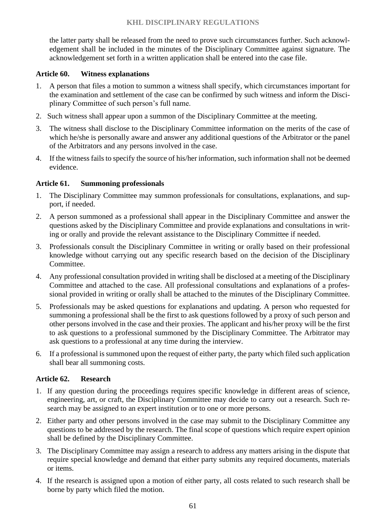the latter party shall be released from the need to prove such circumstances further. Such acknowledgement shall be included in the minutes of the Disciplinary Committee against signature. The acknowledgement set forth in a written application shall be entered into the case file.

#### **Article 60. Witness explanations**

- 1. A person that files a motion to summon a witness shall specify, which circumstances important for the examination and settlement of the case can be confirmed by such witness and inform the Disciplinary Committee of such person's full name.
- 2. Such witness [shall](file://///office.khl.ru/data/depts/Legal/Регламенты/etsurkan/AppData/Local/Microsoft/Windows/Temporary%20Internet%20Files/got/consultantplus:/offline/ref=7E420360E2734EAFB24F22ED7CCED99258D75328A879E1563553D4ABACDEC3748E7551DE369293AAo7L5K) appear upon a summon of the Disciplinary Committee at the meeting.
- 3. The witness shall disclose to the Disciplinary Committee information on the merits of the case of which he/she is personally aware and answer any additional questions of the Arbitrator or the panel of the Arbitrators and any persons involved in the case.
- 4. If the witness fails to specify the source of his/her information, such information shall not be deemed evidence.

## **Article 61. Summoning professionals**

- 1. The Disciplinary Committee may summon professionals for consultations, explanations, and support, if needed.
- 2. A person summoned as a professional shall appear in the Disciplinary Committee and answer the questions asked by the Disciplinary Committee and provide explanations and consultations in writing or orally and provide the relevant assistance to the Disciplinary Committee if needed.
- 3. Professionals consult the Disciplinary Committee in writing or orally based on their professional knowledge without carrying out any specific research based on the decision of the Disciplinary Committee.
- 4. Any professional consultation provided in writing shall be disclosed at a meeting of the Disciplinary Committee and attached to the case. All professional consultations and explanations of a professional provided in writing or orally shall be attached to the minutes of the Disciplinary Committee.
- 5. Professionals may be asked questions for explanations and updating. A person who requested for summoning a professional shall be the first to ask questions followed by a proxy of such person and other persons involved in the case and their proxies. The applicant and his/her proxy will be the first to ask questions to a professional summoned by the Disciplinary Committee. The Arbitrator may ask questions to a professional at any time during the interview.
- 6. If a professional is summoned upon the request of either party, the party which filed such application shall bear all summoning costs.

#### **Article 62. Research**

- 1. If any question during the proceedings requires specific knowledge in different areas of science, engineering, art, or craft, the Disciplinary Committee may decide to carry out a research. Such research may be assigned to an expert institution or to one or more persons.
- 2. Either party and other persons involved in the case may submit to the Disciplinary Committee any questions to be addressed by the research. The final scope of questions which require expert opinion shall be defined by the Disciplinary Committee.
- 3. The Disciplinary Committee may assign a research to address any matters arising in the dispute that require special knowledge and demand that either party submits any required documents, materials or items.
- 4. If the research is assigned upon a motion of either party, all costs related to such research shall be borne by party which filed the motion.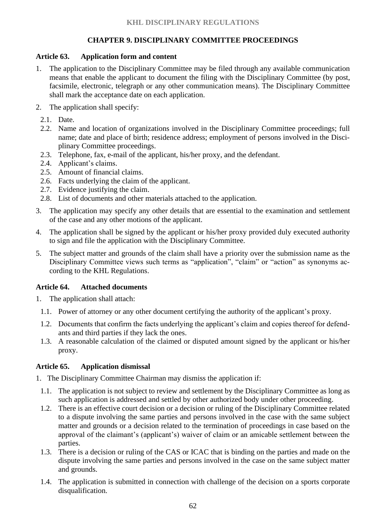# **CHAPTER 9. DISCIPLINARY COMMITTEE PROCEEDINGS**

# **Article 63. Application form and content**

- 1. The application to the Disciplinary Committee may be filed through any available communication means that enable the applicant to document the filing with the Disciplinary Committee (by post, facsimile, electronic, telegraph or any other communication means). The Disciplinary Committee shall mark the acceptance date on each application.
- 2. The application shall specify:
	- 2.1. Date.
	- 2.2. Name and location of organizations involved in the Disciplinary Committee proceedings; full name; date and place of birth; residence address; employment of persons involved in the Disciplinary Committee proceedings.
	- 2.3. Telephone, fax, e-mail of the applicant, his/her proxy, and the defendant.
	- 2.4. Applicant's claims.
	- 2.5. Amount of financial claims.
	- 2.6. Facts underlying the claim of the applicant.
	- 2.7. Evidence justifying the claim.
	- 2.8. List of documents and other materials attached to the application.
- 3. The application may specify any other details that are essential to the examination and settlement of the case and any other motions of the applicant.
- 4. The application shall be signed by the applicant or his/her proxy provided duly executed authority to sign and file the application with the Disciplinary Committee.
- 5. The subject matter and grounds of the claim shall have a priority over the submission name as the Disciplinary Committee views such terms as "application", "claim" or "action" as synonyms according to the KHL Regulations.

# **Article 64. Attached documents**

- 1. The application shall attach:
	- 1.1. Power of attorney or any other document certifying the authority of the applicant's proxy.
	- 1.2. Documents that confirm the facts underlying the applicant's claim and copies thereof for defendants and third parties if they lack the ones.
	- 1.3. A reasonable calculation of the claimed or disputed amount signed by the applicant or his/her proxy.

# **Article 65. Application dismissal**

- 1. The Disciplinary Committee Chairman may dismiss the application if:
- 1.1. The application is not subject to review and settlement by the Disciplinary Committee as long as such application is addressed and settled by other authorized body under other proceeding.
- 1.2. There is an effective court decision or a decision or ruling of the Disciplinary Committee related to a dispute involving the same parties and persons involved in the case with the same subject matter and grounds or a decision related to the termination of proceedings in case based on the approval of the claimant's (applicant's) waiver of claim or an amicable settlement between the parties.
- 1.3. There is a decision or ruling of the CAS or ICAC that is binding on the parties and made on the dispute involving the same parties and persons involved in the case on the same subject matter and grounds.
- 1.4. The application is submitted in connection with challenge of the decision on a sports corporate disqualification.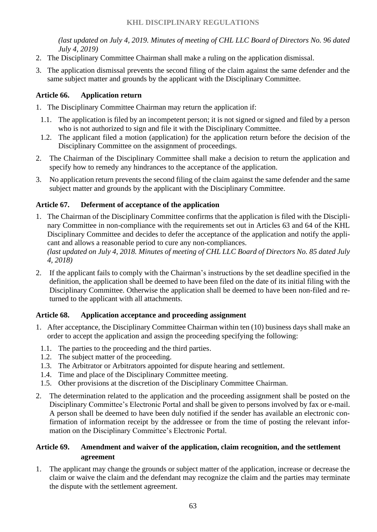*(last updated on July 4, 2019. Minutes of meeting of CHL LLC Board of Directors No. 96 dated July 4, 2019)*

- 2. The Disciplinary Committee Chairman shall make a ruling on the application dismissal.
- 3. The application dismissal prevents the second filing of the claim against the same defender and the same subject matter and grounds by the applicant with the Disciplinary Committee.

## **Article 66. Application return**

- 1. The Disciplinary Committee Chairman may return the application if:
- 1.1. The application is filed by an incompetent person; it is not signed or signed and filed by a person who is not authorized to sign and file it with the Disciplinary Committee.
- 1.2. The applicant filed a motion (application) for the application return before the decision of the Disciplinary Committee on the assignment of proceedings.
- 2. The Chairman of the Disciplinary Committee shall make a decision to return the application and specify how to remedy any hindrances to the acceptance of the application.
- 3. No application return prevents the second filing of the claim against the same defender and the same subject matter and grounds by the applicant with the Disciplinary Committee.

# **Article 67. Deferment of acceptance of the application**

- 1. The Chairman of the Disciplinary Committee confirms that the application is filed with the Disciplinary Committee in non-compliance with the requirements set out in Articles 63 and 64 of the KHL Disciplinary Committee and decides to defer the acceptance of the application and notify the applicant and allows a reasonable period to cure any non-compliances. *(last updated on July 4, 2018. Minutes of meeting of CHL LLC Board of Directors No. 85 dated July 4, 2018)*
- 2. If the applicant fails to comply with the Chairman's instructions by the set deadline specified in the definition, the application shall be deemed to have been filed on the date of its initial filing with the Disciplinary Committee. Otherwise the application shall be deemed to have been non-filed and returned to the applicant with all attachments.

#### **Article 68. Application acceptance and proceeding assignment**

- 1. After acceptance, the Disciplinary Committee Chairman within ten (10) business days shall make an order to accept the application and assign the proceeding specifying the following:
- 1.1. The parties to the proceeding and the third parties.
- 1.2. The subject matter of the proceeding.
- 1.3. The Arbitrator or Arbitrators appointed for dispute hearing and settlement.
- 1.4. Time and place of the Disciplinary Committee meeting.
- 1.5. Other provisions at the discretion of the Disciplinary Committee Chairman.
- 2. The determination related to the application and the proceeding assignment shall be posted on the Disciplinary Committee's Electronic Portal and shall be given to persons involved by fax or e-mail. A person shall be deemed to have been duly notified if the sender has available an electronic confirmation of information receipt by the addressee or from the time of posting the relevant information on the Disciplinary Committee's Electronic Portal.

## **Article 69. Amendment and waiver of the application, claim recognition, and the settlement agreement**

1. The applicant may change the grounds or subject matter of the application, increase or decrease the claim or waive the claim and the defendant may recognize the claim and the parties may terminate the dispute with the settlement agreement.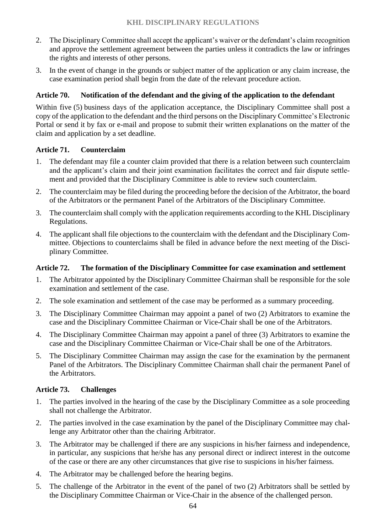- 2. The Disciplinary Committee shall accept the applicant's waiver or the defendant's claim recognition and approve the settlement agreement between the parties unless it contradicts the law or infringes the rights and interests of other persons.
- 3. In the event of change in the grounds or subject matter of the application or any claim increase, the case examination period shall begin from the date of the relevant procedure action.

## **Article 70. Notification of the defendant and the giving of the application to the defendant**

Within five (5) business days of the application acceptance, the Disciplinary Committee shall post a copy of the application to the defendant and the third persons on the Disciplinary Committee's Electronic Portal or send it by fax or e-mail and propose to submit their written explanations on the matter of the claim and application by a set deadline.

#### **Article 71. Counterclaim**

- 1. The defendant may file a counter claim provided that there is a relation between such counterclaim and the applicant's claim and their joint examination facilitates the correct and fair dispute settlement and provided that the Disciplinary Committee is able to review such counterclaim.
- 2. The counterclaim may be filed during the proceeding before the decision of the Arbitrator, the board of the Arbitrators or the permanent Panel of the Arbitrators of the Disciplinary Committee.
- 3. The counterclaim shall comply with the application requirements according to the KHL Disciplinary Regulations.
- 4. The applicant shall file objections to the counterclaim with the defendant and the Disciplinary Committee. Objections to counterclaims shall be filed in advance before the next meeting of the Disciplinary Committee.

#### **Article 72. The formation of the Disciplinary Committee for case examination and settlement**

- 1. The Arbitrator appointed by the Disciplinary Committee Chairman shall be responsible for the sole examination and settlement of the case.
- 2. The sole examination and settlement of the case may be performed as a summary proceeding.
- 3. The Disciplinary Committee Chairman may appoint a panel of two (2) Arbitrators to examine the case and the Disciplinary Committee Chairman or Vice-Chair shall be one of the Arbitrators.
- 4. The Disciplinary Committee Chairman may appoint a panel of three (3) Arbitrators to examine the case and the Disciplinary Committee Chairman or Vice-Chair shall be one of the Arbitrators.
- 5. The Disciplinary Committee Chairman may assign the case for the examination by the permanent Panel of the Arbitrators. The Disciplinary Committee Chairman shall chair the permanent Panel of the Arbitrators.

#### **Article 73. Challenges**

- 1. The parties involved in the hearing of the case by the Disciplinary Committee as a sole proceeding shall not challenge the Arbitrator.
- 2. The parties involved in the case examination by the panel of the Disciplinary Committee may challenge any Arbitrator other than the chairing Arbitrator.
- 3. The Arbitrator may be challenged if there are any suspicions in his/her fairness and independence, in particular, any suspicions that he/she has any personal direct or indirect interest in the outcome of the case or there are any other circumstances that give rise to suspicions in his/her fairness.
- 4. The Arbitrator may be challenged before the hearing begins.
- 5. The challenge of the Arbitrator in the event of the panel of two (2) Arbitrators shall be settled by the Disciplinary Committee Chairman or Vice-Chair in the absence of the challenged person.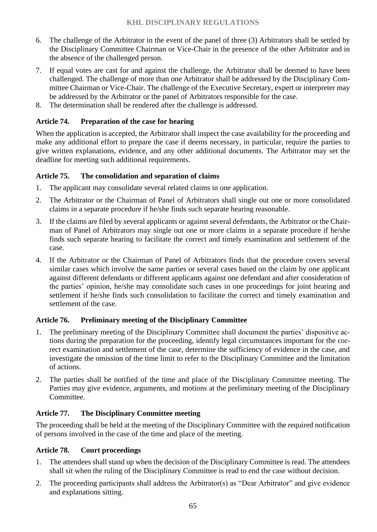- 6. The challenge of the Arbitrator in the event of the panel of three (3) Arbitrators shall be settled by the Disciplinary Committee Chairman or Vice-Chair in the presence of the other Arbitrator and in the absence of the challenged person.
- 7. If equal votes are cast for and against the challenge, the Arbitrator shall be deemed to have been challenged. The challenge of more than one Arbitrator shall be addressed by the Disciplinary Committee Chairman or Vice-Chair. The challenge of the Executive Secretary, expert or interpreter may be addressed by the Arbitrator or the panel of Arbitrators responsible for the case.
- 8. The determination shall be rendered after the challenge is addressed.

## **Article 74. Preparation of the case for hearing**

When the application is accepted, the Arbitrator shall inspect the case availability for the proceeding and make any additional effort to prepare the case if deems necessary, in particular, require the parties to give written explanations, evidence, and any other additional documents. The Arbitrator may set the deadline for meeting such additional requirements.

## **Article 75. The consolidation and separation of claims**

- 1. The applicant may consolidate several related claims in one application.
- 2. The Arbitrator or the Chairman of Panel of Arbitrators shall single out one or more consolidated claims in a separate procedure if he/she finds such separate hearing reasonable.
- 3. If the claims are filed by several applicants or against several defendants, the Arbitrator or the Chairman of Panel of Arbitrators may single out one or more claims in a separate procedure if he/she finds such separate hearing to facilitate the correct and timely examination and settlement of the case.
- 4. If the Arbitrator or the Chairman of Panel of Arbitrators finds that the procedure covers several similar cases which involve the same parties or several cases based on the claim by one applicant against different defendants or different applicants against one defendant and after consideration of the parties' opinion, he/she may consolidate such cases in one proceedings for joint hearing and settlement if he/she finds such consolidation to facilitate the correct and timely examination and settlement of the case.

# **Article 76. Preliminary meeting of the Disciplinary Committee**

- 1. The preliminary meeting of the Disciplinary Committee shall document the parties' dispositive actions during the preparation for the proceeding, identify legal circumstances important for the correct examination and settlement of the case, determine the sufficiency of evidence in the case, and investigate the omission of the time limit to refer to the Disciplinary Committee and the limitation of actions.
- 2. The parties shall be notified of the time and place of the Disciplinary Committee meeting. The Parties may give evidence, arguments, and motions at the preliminary meeting of the Disciplinary Committee.

# **Article 77. The Disciplinary Committee meeting**

The proceeding shall be held at the meeting of the Disciplinary Committee with the required notification of persons involved in the case of the time and place of the meeting.

#### **Article 78. Court proceedings**

- 1. The attendees shall stand up when the decision of the Disciplinary Committee is read. The attendees shall sit when the ruling of the Disciplinary Committee is read to end the case without decision.
- 2. The proceeding participants shall address the Arbitrator(s) as "Dear Arbitrator" and give evidence and explanations sitting.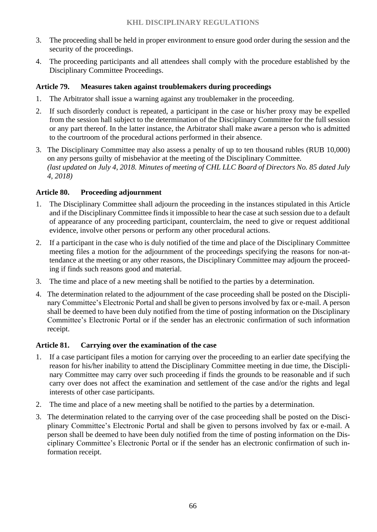- 3. The proceeding shall be held in proper environment to ensure good order during the session and the security of the proceedings.
- 4. The proceeding participants and all attendees shall comply with the procedure established by the Disciplinary Committee Proceedings.

## **Article 79. Measures taken against troublemakers during proceedings**

- 1. The Arbitrator shall issue a warning against any troublemaker in the proceeding.
- 2. If such disorderly conduct is repeated, a participant in the case or his/her proxy may be expelled from the session hall subject to the determination of the Disciplinary Committee for the full session or any part thereof. In the latter instance, the Arbitrator shall make aware a person who is admitted to the courtroom of the procedural actions performed in their absence.
- 3. The Disciplinary Committee may also assess a penalty of up to ten thousand rubles (RUB 10,000) on any persons guilty of misbehavior at the meeting of the Disciplinary Committee. *(last updated on July 4, 2018. Minutes of meeting of CHL LLC Board of Directors No. 85 dated July 4, 2018)*

## **Article 80. Proceeding adjournment**

- 1. The Disciplinary Committee shall adjourn the proceeding in the instances stipulated in this Article and if the Disciplinary Committee finds it impossible to hear the case at such session due to a default of appearance of any proceeding participant, counterclaim, the need to give or request additional evidence, involve other persons or perform any other procedural actions.
- 2. If a participant in the case who is duly notified of the time and place of the Disciplinary Committee meeting files a motion for the adjournment of the proceedings specifying the reasons for non-attendance at the meeting or any other reasons, the Disciplinary Committee may adjourn the proceeding if finds such reasons good and material.
- 3. The time and place of a new meeting shall be notified to the parties by a determination.
- 4. The determination related to the adjournment of the case proceeding shall be posted on the Disciplinary Committee's Electronic Portal and shall be given to persons involved by fax or e-mail. A person shall be deemed to have been duly notified from the time of posting information on the Disciplinary Committee's Electronic Portal or if the sender has an electronic confirmation of such information receipt.

#### **Article 81. Carrying over the examination of the case**

- 1. If a case participant files a motion for carrying over the proceeding to an earlier date specifying the reason for his/her inability to attend the Disciplinary Committee meeting in due time, the Disciplinary Committee may carry over such proceeding if finds the grounds to be reasonable and if such carry over does not affect the examination and settlement of the case and/or the rights and legal interests of other case participants.
- 2. The time and place of a new meeting shall be notified to the parties by a determination.
- 3. The determination related to the carrying over of the case proceeding shall be posted on the Disciplinary Committee's Electronic Portal and shall be given to persons involved by fax or e-mail. A person shall be deemed to have been duly notified from the time of posting information on the Disciplinary Committee's Electronic Portal or if the sender has an electronic confirmation of such information receipt.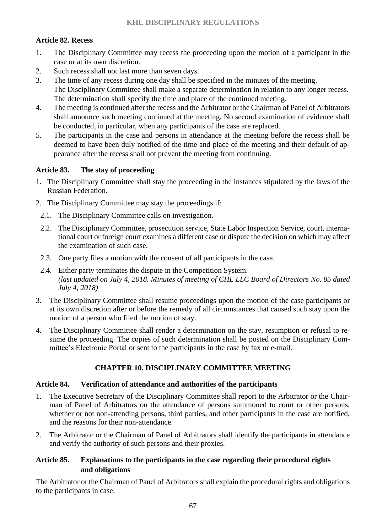# **Article 82. Recess**

- 1. The Disciplinary Committee may recess the proceeding upon the motion of a participant in the case or at its own discretion.
- 2. Such recess shall not last more than seven days.
- 3. The time of any recess during one day shall be specified in the minutes of the meeting. The Disciplinary Committee shall make a separate determination in relation to any longer recess. The determination shall specify the time and place of the continued meeting.
- 4. The meeting is continued after the recess and the Arbitrator or the Chairman of Panel of Arbitrators shall announce such meeting continued at the meeting. No second examination of evidence shall be conducted, in particular, when any participants of the case are replaced.
- 5. The participants in the case and persons in attendance at the meeting before the recess shall be deemed to have been duly notified of the time and place of the meeting and their default of appearance after the recess shall not prevent the meeting from continuing.

# **Article 83. The stay of proceeding**

- 1. The Disciplinary Committee shall stay the proceeding in the instances stipulated by the laws of the Russian Federation.
- 2. The Disciplinary Committee may stay the proceedings if:
	- 2.1. The Disciplinary Committee calls on investigation.
	- 2.2. The Disciplinary Committee, prosecution service, State Labor Inspection Service, court, international court or foreign court examines a different case or dispute the decision on which may affect the examination of such case.
	- 2.3. One party files a motion with the consent of all participants in the case.
	- 2.4. Either party terminates the dispute in the Competition System. *(last updated on July 4, 2018. Minutes of meeting of CHL LLC Board of Directors No. 85 dated July 4, 2018)*
- 3. The Disciplinary Committee shall resume proceedings upon the motion of the case participants or at its own discretion after or before the remedy of all circumstances that caused such stay upon the motion of a person who filed the motion of stay.
- 4. The Disciplinary Committee shall render a determination on the stay, resumption or refusal to resume the proceeding. The copies of such determination shall be posted on the Disciplinary Committee's Electronic Portal or sent to the participants in the case by fax or e-mail.

# **CHAPTER 10. DISCIPLINARY COMMITTEE MEETING**

# **Article 84. Verification of attendance and authorities of the participants**

- 1. The Executive Secretary of the Disciplinary Committee shall report to the Arbitrator or the Chairman of Panel of Arbitrators on the attendance of persons summoned to court or other persons, whether or not non-attending persons, third parties, and other participants in the case are notified, and the reasons for their non-attendance.
- 2. The Arbitrator or the Chairman of Panel of Arbitrators shall identify the participants in attendance and verify the authority of such persons and their proxies.

# **Article 85. Explanations to the participants in the case regarding their procedural rights and obligations**

The Arbitrator or the Chairman of Panel of Arbitrators shall explain the procedural rights and obligations to the participants in case.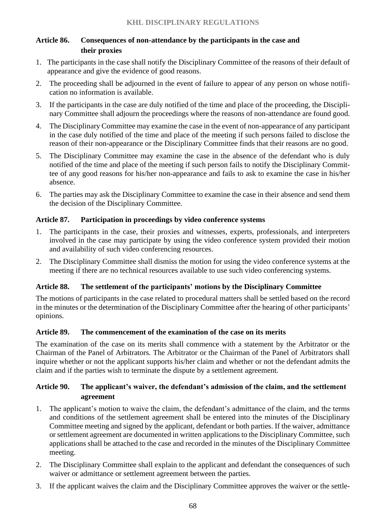# **Article 86. Consequences of non-attendance by the participants in the case and their proxies**

- 1. The participants in the case shall notify the Disciplinary Committee of the reasons of their default of appearance and give the evidence of good reasons.
- 2. The proceeding shall be adjourned in the event of failure to appear of any person on whose notification no information is available.
- 3. If the participants in the case are duly notified of the time and place of the proceeding, the Disciplinary Committee shall adjourn the proceedings where the reasons of non-attendance are found good.
- 4. The Disciplinary Committee may examine the case in the event of non-appearance of any participant in the case duly notified of the time and place of the meeting if such persons failed to disclose the reason of their non-appearance or the Disciplinary Committee finds that their reasons are no good.
- 5. The Disciplinary Committee may examine the case in the absence of the defendant who is duly notified of the time and place of the meeting if such person fails to notify the Disciplinary Committee of any good reasons for his/her non-appearance and fails to ask to examine the case in his/her absence.
- 6. The parties may ask the Disciplinary Committee to examine the case in their absence and send them the decision of the Disciplinary Committee.

## **Article 87. Participation in proceedings by video conference systems**

- 1. The participants in the case, their proxies and witnesses, experts, professionals, and interpreters involved in the case may participate by using the video conference [system](file://///office.khl.ru/data/depts/Legal/Регламенты/etsurkan/AppData/Local/Microsoft/Windows/Temporary%20Internet%20Files/got/consultantplus:/offline/ref=F6E0818AD70AAA66E18CCE35262A6D227E78831DD2CCC0A683C7354C12E5080D9AACFE3E12E1462C62nBM) provided their motion and availability of such video conferencing resources.
- 2. The Disciplinary Committee shall dismiss the motion for using the video conference systems at the meeting if there are no technical resources available to use such video conferencing systems.

#### **Article 88. The settlement of the participants' motions by the Disciplinary Committee**

The motions of participants in the case related to procedural matters shall be settled based on the record in the minutes or the determination of the Disciplinary Committee after the hearing of other participants' opinions.

#### **Article 89. The commencement of the examination of the case on its merits**

The examination of the case on its merits shall commence with a statement by the Arbitrator or the Chairman of the Panel of Arbitrators. The Arbitrator or the Chairman of the Panel of Arbitrators shall inquire whether or not the applicant supports his/her claim and whether or not the defendant admits the claim and if the parties wish to terminate the dispute by a settlement agreement.

# **Article 90. The applicant's waiver, the defendant's admission of the claim, and the settlement agreement**

- 1. The applicant's motion to waive the claim, the defendant's admittance of the claim, and the terms and conditions of the settlement agreement shall be entered into the minutes of the Disciplinary Committee meeting and signed by the applicant, defendant or both parties. If the waiver, admittance or settlement agreement are documented in written applications to the Disciplinary Committee, such applications shall be attached to the case and recorded in the minutes of the Disciplinary Committee meeting.
- 2. The Disciplinary Committee shall explain to the applicant and defendant the consequences of such waiver or admittance or settlement agreement between the parties.
- 3. If the applicant waives the claim and the Disciplinary Committee approves the waiver or the settle-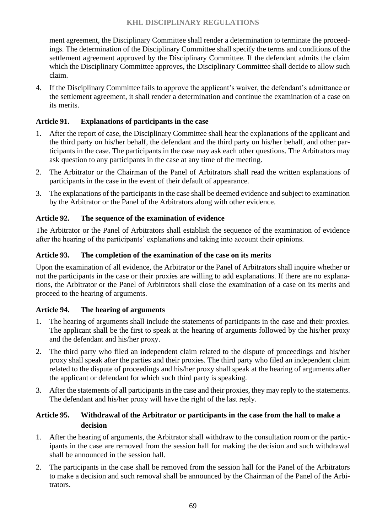ment agreement, the Disciplinary Committee shall render a determination to terminate the proceedings. The determination of the Disciplinary Committee shall specify the terms and conditions of the settlement agreement approved by the Disciplinary Committee. If the defendant admits the claim which the Disciplinary Committee approves, the Disciplinary Committee shall decide to allow such claim.

4. If the Disciplinary Committee fails to approve the applicant's waiver, the defendant's admittance or the settlement agreement, it shall render a determination and continue the examination of a case on its merits.

## **Article 91. Explanations of participants in the case**

- 1. After the report of case, the Disciplinary Committee shall hear the explanations of the applicant and the third party on his/her behalf, the defendant and the third party on his/her behalf, and other participants in the case. The participants in the case may ask each other questions. The Arbitrators may ask question to any participants in the case at any time of the meeting.
- 2. The Arbitrator or the Chairman of the Panel of Arbitrators shall read the written explanations of participants in the case in the event of their default of appearance.
- 3. The explanations of the participants in the case shall be deemed evidence and subject to examination by the Arbitrator or the Panel of the Arbitrators along with other evidence.

# **Article 92. The sequence of the examination of evidence**

The Arbitrator or the Panel of Arbitrators shall establish the sequence of the examination of evidence after the hearing of the participants' explanations and taking into account their opinions.

## **Article 93. The completion of the examination of the case on its merits**

Upon the examination of all evidence, the Arbitrator or the Panel of Arbitrators shall inquire whether or not the participants in the case or their proxies are willing to add explanations. If there are no explanations, the Arbitrator or the Panel of Arbitrators shall close the examination of a case on its merits and proceed to the hearing of arguments.

#### **Article 94. The hearing of arguments**

- 1. The hearing of arguments shall include the statements of participants in the case and their proxies. The applicant shall be the first to speak at the hearing of arguments followed by the his/her proxy and the defendant and his/her proxy.
- 2. The third party who filed an independent claim related to the dispute of proceedings and his/her proxy shall speak after the parties and their proxies. The third party who filed an independent claim related to the dispute of proceedings and his/her proxy shall speak at the hearing of arguments after the applicant or defendant for which such third party is speaking.
- 3. After the statements of all participants in the case and their proxies, they may reply to the statements. The defendant and his/her proxy will have the right of the last reply.

## **Article 95. Withdrawal of the Arbitrator or participants in the case from the hall to make a decision**

- 1. After the hearing of arguments, the Arbitrator shall withdraw to the consultation room or the participants in the case are removed from the session hall for making the decision and such withdrawal shall be announced in the session hall.
- 2. The participants in the case shall be removed from the session hall for the Panel of the Arbitrators to make a decision and such removal shall be announced by the Chairman of the Panel of the Arbitrators.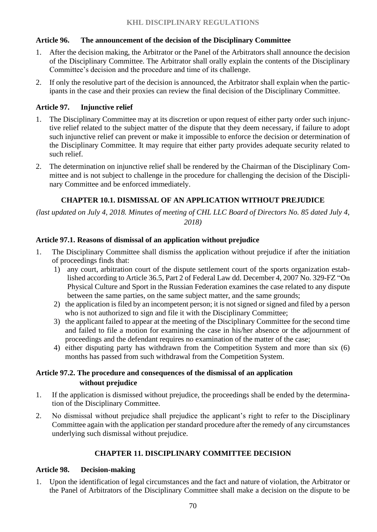# **Article 96. The announcement of the decision of the Disciplinary Committee**

- 1. After the decision making, the Arbitrator or the Panel of the Arbitrators shall announce the decision of the Disciplinary Committee. The Arbitrator shall orally explain the contents of the Disciplinary Committee's decision and the procedure and time of its challenge.
- 2. If only the resolutive part of the decision is announced, the Arbitrator shall explain when the participants in the case and their proxies can review the final decision of the Disciplinary Committee.

# **Article 97. Injunctive relief**

- 1. The Disciplinary Committee may at its discretion or upon request of either party order such injunctive relief related to the subject matter of the dispute that they deem necessary, if failure to adopt such injunctive relief can prevent or make it impossible to enforce the decision or determination of the Disciplinary Committee. It may require that either party provides adequate security related to such relief.
- 2. The determination on injunctive relief shall be rendered by the Chairman of the Disciplinary Committee and is not subject to challenge in the procedure for challenging the decision of the Disciplinary Committee and be enforced immediately.

# **CHAPTER 10.1. DISMISSAL OF AN APPLICATION WITHOUT PREJUDICE**

*(last updated on July 4, 2018. Minutes of meeting of CHL LLC Board of Directors No. 85 dated July 4, 2018)*

# **Article 97.1. Reasons of dismissal of an application without prejudice**

- 1. The Disciplinary Committee shall dismiss the application without prejudice if after the initiation of proceedings finds that:
	- 1) any court, arbitration court of the dispute settlement court of the sports organization established according to Article 36.5, Part 2 of Federal Law dd. December 4, 2007 No. 329-FZ "On Physical Culture and Sport in the Russian Federation examines the case related to any dispute between the same parties, on the same subject matter, and the same grounds;
	- 2) the application is filed by an incompetent person; it is not signed or signed and filed by a person who is not authorized to sign and file it with the Disciplinary Committee;
	- 3) the applicant failed to appear at the meeting of the Disciplinary Committee for the second time and failed to file a motion for examining the case in his/her absence or the adjournment of proceedings and the defendant requires no examination of the matter of the case;
	- 4) either disputing party has withdrawn from the Competition System and more than six (6) months has passed from such withdrawal from the Competition System.

# **Article 97.2. The procedure and consequences of the dismissal of an application without prejudice**

- 1. If the application is dismissed without prejudice, the proceedings shall be ended by the determination of the Disciplinary Committee.
- 2. No dismissal without prejudice shall prejudice the applicant's right to refer to the Disciplinary Committee again with the application per standard procedure after the remedy of any circumstances underlying such dismissal without prejudice.

# **CHAPTER 11. DISCIPLINARY COMMITTEE DECISION**

# **Article 98. Decision-making**

1. Upon the identification of legal circumstances and the fact and nature of violation, the Arbitrator or the Panel of Arbitrators of the Disciplinary Committee shall make a decision on the dispute to be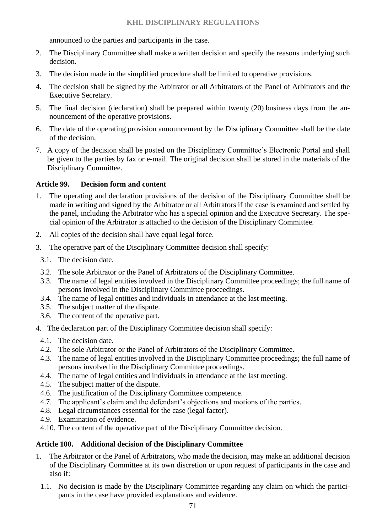announced to the parties and participants in the case.

- 2. The Disciplinary Committee shall make a written decision and specify the reasons underlying such decision.
- 3. The decision made in the simplified procedure shall be limited to operative provisions.
- 4. The decision shall be signed by the Arbitrator or all Arbitrators of the Panel of Arbitrators and the Executive Secretary.
- 5. The final decision (declaration) shall be prepared within twenty (20) business days from the announcement of the operative provisions.
- 6. The date of the operating provision announcement by the Disciplinary Committee shall be the date of the decision.
- 7. A copy of the decision shall be posted on the Disciplinary Committee's Electronic Portal and shall be given to the parties by fax or e-mail. The original decision shall be stored in the materials of the Disciplinary Committee.

#### **Article 99. Decision form and content**

- 1. The operating and declaration provisions of the decision of the Disciplinary Committee shall be made in writing and signed by the Arbitrator or all Arbitrators if the case is examined and settled by the panel, including the Arbitrator who has a special opinion and the Executive Secretary. The special opinion of the Arbitrator is attached to the decision of the Disciplinary Committee.
- 2. All copies of the decision shall have equal legal force.
- 3. The operative part of the Disciplinary Committee decision shall specify:
	- 3.1. The decision date.
	- 3.2. The sole Arbitrator or the Panel of Arbitrators of the Disciplinary Committee.
	- 3.3. The name of legal entities involved in the Disciplinary Committee proceedings; the full name of persons involved in the Disciplinary Committee proceedings.
	- 3.4. The name of legal entities and individuals in attendance at the last meeting.
	- 3.5. The subject matter of the dispute.
	- 3.6. The content of the operative part.
- 4. The declaration part of the Disciplinary Committee decision shall specify:
- 4.1. The decision date.
- 4.2. The sole Arbitrator or the Panel of Arbitrators of the Disciplinary Committee.
- 4.3. The name of legal entities involved in the Disciplinary Committee proceedings; the full name of persons involved in the Disciplinary Committee proceedings.
- 4.4. The name of legal entities and individuals in attendance at the last meeting.
- 4.5. The subject matter of the dispute.
- 4.6. The justification of the Disciplinary Committee competence.
- 4.7. The applicant's claim and the defendant's objections and motions of the parties.
- 4.8. Legal circumstances essential for the case (legal factor).
- 4.9. Examination of evidence.
- 4.10. The content of the operative part of the Disciplinary Committee decision.

#### **Article 100. Additional decision of the Disciplinary Committee**

- 1. The Arbitrator or the Panel of Arbitrators, who made the decision, may make an additional decision of the Disciplinary Committee at its own discretion or upon request of participants in the case and also if:
- 1.1. No decision is made by the Disciplinary Committee regarding any claim on which the participants in the case have provided explanations and evidence.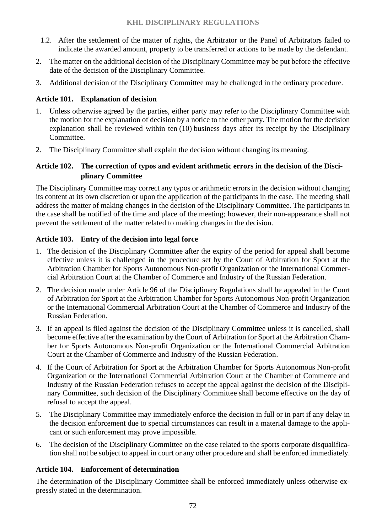- 1.2. After the settlement of the matter of rights, the Arbitrator or the Panel of Arbitrators failed to indicate the awarded amount, property to be transferred or actions to be made by the defendant.
- 2. The matter on the additional decision of the Disciplinary Committee may be put before the effective date of the decision of the Disciplinary Committee.
- 3. Additional decision of the Disciplinary Committee may be challenged in the ordinary procedure.

## **Article 101. Explanation of decision**

- 1. Unless otherwise agreed by the parties, either party may refer to the Disciplinary Committee with the motion for the explanation of decision by a notice to the other party. The motion for the decision explanation shall be reviewed within ten (10) business days after its receipt by the Disciplinary Committee.
- 2. The Disciplinary Committee shall explain the decision without changing its meaning.

# **Article 102. The correction of typos and evident arithmetic errors in the decision of the Disciplinary Committee**

The Disciplinary Committee may correct any typos or arithmetic errors in the decision without changing its content at its own discretion or upon the application of the participants in the case. The meeting shall address the matter of making changes in the decision of the Disciplinary Committee. The participants in the case shall be notified of the time and place of the meeting; however, their non-appearance shall not prevent the settlement of the matter related to making changes in the decision.

## **Article 103. Entry of the decision into legal force**

- 1. The decision of the Disciplinary Committee after the expiry of the period for appeal shall become effective unless it is challenged in the procedure set by the Court of Arbitration for Sport at the Arbitration Chamber for Sports Autonomous Non-profit Organization or the International Commercial Arbitration Court at the Chamber of Commerce and Industry of the Russian Federation.
- 2. The decision made under Article 96 of the Disciplinary Regulations shall be appealed in the Court of Arbitration for Sport at the Arbitration Chamber for Sports Autonomous Non-profit Organization or the International Commercial Arbitration Court at the Chamber of Commerce and Industry of the Russian Federation.
- 3. If an appeal is filed against the decision of the Disciplinary Committee unless it is cancelled, shall become effective after the examination by the Court of Arbitration for Sport at the Arbitration Chamber for Sports Autonomous Non-profit Organization or the International Commercial Arbitration Court at the Chamber of Commerce and Industry of the Russian Federation.
- 4. If the Court of Arbitration for Sport at the Arbitration Chamber for Sports Autonomous Non-profit Organization or the International Commercial Arbitration Court at the Chamber of Commerce and Industry of the Russian Federation refuses to accept the appeal against the decision of the Disciplinary Committee, such decision of the Disciplinary Committee shall become effective on the day of refusal to accept the appeal.
- 5. The Disciplinary Committee may immediately enforce the decision in full or in part if any delay in the decision enforcement due to special circumstances can result in a material damage to the applicant or such enforcement may prove impossible.
- 6. The decision of the Disciplinary Committee on the case related to the sports corporate disqualification shall not be subject to appeal in court or any other procedure and shall be enforced immediately.

#### **Article 104. Enforcement of determination**

The determination of the Disciplinary Committee shall be enforced immediately unless otherwise expressly stated in the determination.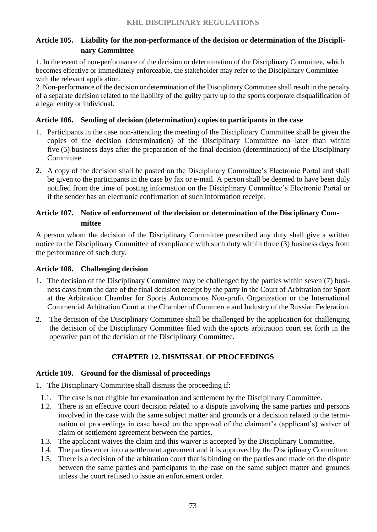# **Article 105. Liability for the non-performance of the decision or determination of the Disciplinary Committee**

1. In the event of non-performance of the decision or determination of the Disciplinary Committee, which becomes effective or immediately enforceable, the stakeholder may refer to the Disciplinary Committee with the relevant application.

2. Non-performance of the decision or determination of the Disciplinary Committee shall result in the penalty of a separate decision related to the liability of the guilty party up to the sports corporate disqualification of a legal entity or individual.

### **Article 106. Sending of decision (determination) copies to participants in the case**

- 1. Participants in the case non-attending the meeting of the Disciplinary Committee shall be given the copies of the decision (determination) of the Disciplinary Committee no later than within five (5) business days after the preparation of the final decision (determination) of the Disciplinary Committee.
- 2. A copy of the decision shall be posted on the Disciplinary Committee's Electronic Portal and shall be given to the participants in the case by fax or e-mail. A person shall be deemed to have been duly notified from the time of posting information on the Disciplinary Committee's Electronic Portal or if the sender has an electronic confirmation of such information receipt.

### **Article 107. Notice of enforcement of the decision or determination of the Disciplinary Committee**

A person whom the decision of the Disciplinary Committee prescribed any duty shall give a written notice to the Disciplinary Committee of compliance with such duty within three (3) business days from the performance of such duty.

## **Article 108. Challenging decision**

- 1. The decision of the Disciplinary Committee may be challenged by the parties within seven (7) business days from the date of the final decision receipt by the party in the Court of Arbitration for Sport at the Arbitration Chamber for Sports Autonomous Non-profit Organization or the International Commercial Arbitration Court at the Chamber of Commerce and Industry of the Russian Federation.
- 2. The decision of the Disciplinary Committee shall be challenged by the application for challenging the decision of the Disciplinary Committee filed with the sports arbitration court set forth in the operative part of the decision of the Disciplinary Committee.

### **CHAPTER 12. DISMISSAL OF PROCEEDINGS**

### **Article 109. Ground for the dismissal of proceedings**

- 1. The Disciplinary Committee shall dismiss the proceeding if:
- 1.1. The case is not eligible for examination and settlement by the Disciplinary Committee.
- 1.2. There is an effective court decision related to a dispute involving the same parties and persons involved in the case with the same subject matter and grounds or a decision related to the termination of proceedings in case based on the approval of the claimant's (applicant's) waiver of claim or settlement agreement between the parties.
- 1.3. The applicant waives the claim and this waiver is accepted by the Disciplinary Committee.
- 1.4. The parties enter into a settlement agreement and it is approved by the Disciplinary Committee.
- 1.5. There is a decision of the arbitration court that is binding on the parties and made on the dispute between the same parties and participants in the case on the same subject matter and grounds unless the court refused to issue an enforcement order.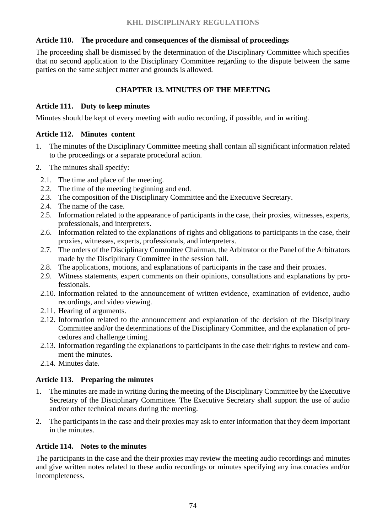### **Article 110. The procedure and consequences of the dismissal of proceedings**

The proceeding shall be dismissed by the determination of the Disciplinary Committee which specifies that no second application to the Disciplinary Committee regarding to the dispute between the same parties on the same subject matter and grounds is allowed.

## **CHAPTER 13. MINUTES OF THE MEETING**

### **Article 111. Duty to keep minutes**

Minutes should be kept of every meeting with audio recording, if possible, and in writing.

#### **Article 112. Minutes content**

- 1. The minutes of the Disciplinary Committee meeting shall contain all significant information related to the proceedings or a separate procedural action.
- 2. The minutes shall specify:
	- 2.1. The time and place of the meeting.
	- 2.2. The time of the meeting beginning and end.
	- 2.3. The composition of the Disciplinary Committee and the Executive Secretary.
	- 2.4. The name of the case.
	- 2.5. Information related to the appearance of participants in the case, their proxies, witnesses, experts, professionals, and interpreters.
	- 2.6. Information related to the explanations of rights and obligations to participants in the case, their proxies, witnesses, experts, professionals, and interpreters.
	- 2.7. The orders of the Disciplinary Committee Chairman, the Arbitrator or the Panel of the Arbitrators made by the Disciplinary Committee in the session hall.
	- 2.8. The applications, motions, and explanations of participants in the case and their proxies.
	- 2.9. Witness statements, expert comments on their opinions, consultations and explanations by professionals.
	- 2.10. Information related to the announcement of written evidence, examination of evidence, audio recordings, and video viewing.
	- 2.11. Hearing of arguments.
	- 2.12. Information related to the announcement and explanation of the decision of the Disciplinary Committee and/or the determinations of the Disciplinary Committee, and the explanation of procedures and challenge timing.
	- 2.13. Information regarding the explanations to participants in the case their rights to review and comment the minutes.
	- 2.14. Minutes date.

### **Article 113. Preparing the minutes**

- 1. The minutes are made in writing during the meeting of the Disciplinary Committee by the Executive Secretary of the Disciplinary Committee. The Executive Secretary shall support the use of audio and/or other technical means during the meeting.
- 2. The participants in the case and their proxies may ask to enter information that they deem important in the minutes.

## **Article 114. Notes to the minutes**

The participants in the case and the their proxies may review the meeting audio recordings and minutes and give written notes related to these audio recordings or minutes specifying any inaccuracies and/or incompleteness.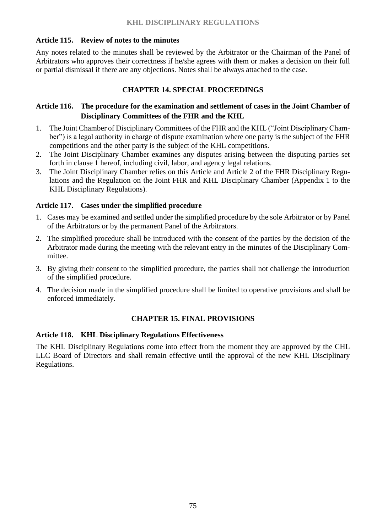### **Article 115. Review of notes to the minutes**

Any notes related to the minutes shall be reviewed by the Arbitrator or the Chairman of the Panel of Arbitrators who approves their correctness if he/she agrees with them or makes a decision on their full or partial dismissal if there are any objections. Notes shall be always attached to the case.

### **CHAPTER 14. SPECIAL PROCEEDINGS**

## **Article 116. The procedure for the examination and settlement of cases in the Joint Chamber of Disciplinary Committees of the FHR and the KHL**

- 1. The Joint Chamber of Disciplinary Committees of the FHR and the KHL ("Joint Disciplinary Chamber") is a legal authority in charge of dispute examination where one party is the subject of the FHR competitions and the other party is the subject of the KHL competitions.
- 2. The Joint Disciplinary Chamber examines any disputes arising between the disputing parties set forth in clause 1 hereof, including civil, labor, and agency legal relations.
- 3. The Joint Disciplinary Chamber relies on this Article and Article 2 of the FHR Disciplinary Regulations and the Regulation on the Joint FHR and KHL Disciplinary Chamber (Appendix 1 to the KHL Disciplinary Regulations).

### **Article 117. Cases under the simplified procedure**

- 1. Cases may be examined and settled under the simplified procedure by the sole Arbitrator or by Panel of the Arbitrators or by the permanent Panel of the Arbitrators.
- 2. The simplified procedure shall be introduced with the consent of the parties by the decision of the Arbitrator made during the meeting with the relevant entry in the minutes of the Disciplinary Committee.
- 3. By giving their consent to the simplified procedure, the parties shall not challenge the introduction of the simplified procedure.
- 4. The decision made in the simplified procedure shall be limited to operative provisions and shall be enforced immediately.

### **CHAPTER 15. FINAL PROVISIONS**

### **Article 118. KHL Disciplinary Regulations Effectiveness**

The KHL Disciplinary Regulations come into effect from the moment they are approved by the CHL LLC Board of Directors and shall remain effective until the approval of the new KHL Disciplinary Regulations.